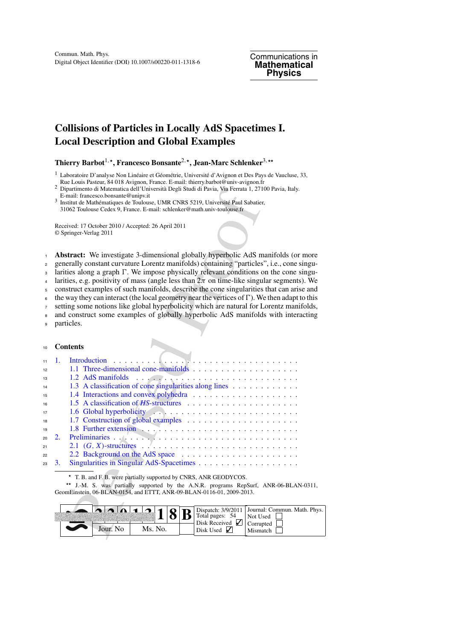**Mathematical Physics**

# **Collisions of Particles in Locally AdS Spacetimes I. Local Description and Global Examples**

# Thierry Barbot<sup>1,\*</sup>, Francesco Bonsante<sup>2,\*</sup>, Jean-Marc Schlenker<sup>3,\*\*</sup>

<sup>1</sup> Laboratoire D'analyse Non Linéaire et Géométrie, Université d'Avignon et Des Pays de Vaucluse, 33, Rue Louis Pasteur. 84 018 Avignon. France. E-mail: thierry.barbot@univ-avignon.fr

Pasteur, 84 0018 Avignon, France. E-mail: thierry.barbotan, France. E-mail: thierry.barbotan.fr 2 Dipartimento di Matematica dell'Università Degli Studi di Pavia, Via Ferrata 1, 27100 Pavia, Italy.<br>E-mail: francesco.bonsan

<sup>1</sup> **Abstract:** We investigate 3-dimensional globally hyperbolic AdS manifolds (or more

<sup>2</sup> generally constant curvature Lorentz manifolds) containing "particles", i.e., cone singu-

 $3$  larities along a graph  $\Gamma$ . We impose physically relevant conditions on the cone singu-

4 larities, e.g. positivity of mass (angle less than  $2\pi$  on time-like singular segments). We

<sup>5</sup> construct examples of such manifolds, describe the cone singularities that can arise and

 $6$  the way they can interact (the local geometry near the vertices of  $\Gamma$ ). We then adapt to this <sup>7</sup> setting some notions like global hyperbolicity which are natural for Lorentz manifolds,

<sup>8</sup> and construct some examples of globally hyperbolic AdS manifolds with interacting

## <sup>10</sup> **Contents**

|                                                                            | Dipartimento di Matematica dell'Università Degli Studi di Pavia, Via Ferrata 1, 27100 Pavia, Italy.<br>E-mail: francesco.bonsante@unipv.it<br>Institut de Mathématiques de Toulouse, UMR CNRS 5219, Université Paul Sabatier,<br>31062 Toulouse Cedex 9, France. E-mail: schlenker@math.univ-toulouse.fr                                                                                                                                                                                                                                                                                                                                                                                                                          |
|----------------------------------------------------------------------------|-----------------------------------------------------------------------------------------------------------------------------------------------------------------------------------------------------------------------------------------------------------------------------------------------------------------------------------------------------------------------------------------------------------------------------------------------------------------------------------------------------------------------------------------------------------------------------------------------------------------------------------------------------------------------------------------------------------------------------------|
|                                                                            | Received: 17 October 2010 / Accepted: 26 April 2011<br>© Springer-Verlag 2011                                                                                                                                                                                                                                                                                                                                                                                                                                                                                                                                                                                                                                                     |
| 1<br>$\overline{2}$<br>3<br>4<br>5<br>6<br>$\overline{7}$<br>8<br>9        | Abstract: We investigate 3-dimensional globally hyperbolic AdS manifolds (or<br>generally constant curvature Lorentz manifolds) containing "particles", i.e., cone<br>larities along a graph $\Gamma$ . We impose physically relevant conditions on the cone<br>larities, e.g. positivity of mass (angle less than $2\pi$ on time-like singular segments<br>construct examples of such manifolds, describe the cone singularities that can aris<br>the way they can interact (the local geometry near the vertices of $\Gamma$ ). We then adapt<br>setting some notions like global hyperbolicity which are natural for Lorentz mani<br>and construct some examples of globally hyperbolic AdS manifolds with inter<br>particles. |
| 10                                                                         | <b>Contents</b>                                                                                                                                                                                                                                                                                                                                                                                                                                                                                                                                                                                                                                                                                                                   |
| 11<br>12<br>13<br>14<br>15<br>16<br>17<br>18<br>19<br>20<br>21<br>22<br>23 | Introduction<br>1.<br>1.1 Three-dimensional cone-manifolds<br>1.2 AdS manifolds<br>1.3 A classification of cone singularities along lines<br>1.5 A classification of HS-structures<br>2.<br>2.2 Background on the AdS space<br>Singularities in Singular AdS-Spacetimes<br>3.<br>T. B. and F. B. were partially supported by CNRS, ANR GEODYCOS.<br>J.-M. S. was partially supported by the A.N.R. programs RepSurf, ANR-06-BLAN<br>GeomEinstein, 06-BLAN-0154, and ETTT, ANR-09-BLAN-0116-01, 2009-2013.                                                                                                                                                                                                                         |
|                                                                            | Journal: Commun. M<br>Dispatch: 3/9/2011<br>8<br>В<br>Total pages: 54<br>Not Used<br>Disk Received $\vert \checkmark \vert$<br>Corrupted<br>Jour. No<br>Ms. No.<br>Disk Used $\sqrt{}$<br>Mismatch                                                                                                                                                                                                                                                                                                                                                                                                                                                                                                                                |

\*\* J.-M. S. was partially supported by the A.N.R. programs RepSurf, ANR-06-BLAN-0311, GeomEinstein, 06-BLAN-0154, and ETTT, ANR-09-BLAN-0116-01, 2009-2013.

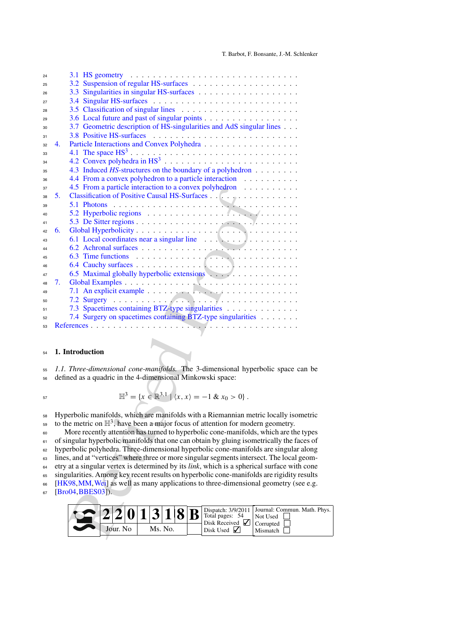| 24 |    |                                                                                             |
|----|----|---------------------------------------------------------------------------------------------|
| 25 |    |                                                                                             |
| 26 |    |                                                                                             |
| 27 |    |                                                                                             |
| 28 |    |                                                                                             |
|    |    | 3.6 Local future and past of singular points                                                |
| 29 |    | 3.7 Geometric description of HS-singularities and AdS singular lines                        |
| 30 |    |                                                                                             |
| 31 |    | 3.8 Positive HS-surfaces                                                                    |
| 32 | 4. |                                                                                             |
| 33 |    |                                                                                             |
| 34 |    |                                                                                             |
| 35 |    | 4.3 Induced HS-structures on the boundary of a polyhedron                                   |
| 36 |    | 4.4 From a convex polyhedron to a particle interaction                                      |
| 37 |    | 4.5 From a particle interaction to a convex polyhedron                                      |
| 38 | 5. | Classification of Positive Causal HS-Surfaces                                               |
| 39 |    | 5.1 Photons                                                                                 |
| 40 |    |                                                                                             |
| 41 |    |                                                                                             |
| 42 | 6. |                                                                                             |
| 43 |    |                                                                                             |
| 44 |    |                                                                                             |
| 45 |    | 6.3 Time functions                                                                          |
| 46 |    |                                                                                             |
| 47 |    | 6.5 Maximal globally hyperbolic extensions                                                  |
| 48 | 7. |                                                                                             |
| 49 |    |                                                                                             |
| 50 |    |                                                                                             |
| 51 |    | 7.3 Spacetimes containing BTZ-type singularities                                            |
| 52 |    | 7.4 Surgery on spacetimes containing BTZ-type singularities                                 |
| 53 |    |                                                                                             |
|    |    |                                                                                             |
|    |    |                                                                                             |
| 54 |    | 1. Introduction                                                                             |
|    |    |                                                                                             |
| 55 |    | 1.1. Three-dimensional cone-manifolds. The 3-dimensional hyperbolic space of                |
| 56 |    | defined as a quadric in the 4-dimensional Minkowski space:                                  |
|    |    |                                                                                             |
|    |    | $\mathbb{H}^3 = \{x \in \mathbb{R}^{3,1} \mid \langle x, x \rangle = -1 \& x_0 > 0\}.$      |
| 57 |    |                                                                                             |
|    |    |                                                                                             |
| 58 |    | Hyperbolic manifolds, which are manifolds with a Riemannian metric locally iso              |
| 59 |    | to the metric on $\mathbb{H}^3$ , have been a major focus of attention for modern geometry. |
| 60 |    | More recently attention has turned to hyperbolic cone-manifolds, which are the              |
| 61 |    | of singular hyperbolic manifolds that one can obtain by gluing isometrically the fa         |
| 62 |    | hyperbolic polyhedra. Three-dimensional hyperbolic cone-manifolds are singular              |
| 63 |    | lines, and at "vertices" where three or more singular segments intersect. The local         |
| 64 |    | etry at a singular vertex is determined by its link, which is a spherical surface with      |
| 65 |    | singularities. Among key recent results on hyperbolic cone-manifolds are rigidity a         |
| 66 |    | [HK98, MM, Wei] as well as many applications to three-dimensional geometry (so              |
| 67 |    | $[Bro04, BBES03]$ ).                                                                        |
|    |    |                                                                                             |
|    |    | Dispatch: 3/9/2011<br>Journal: Commun<br>8<br>$\mathbf{3}$<br>B                             |
|    |    | $\mathbf{1}$<br>Total pages: 54<br>Not Used<br>Disk Received $\sqrt{}$                      |
|    |    | Corrupted<br>Jour. No<br>Ms. No.<br>Disk Used $\sqrt{\phantom{a}}$<br>Mismatch              |
|    |    |                                                                                             |

## <span id="page-1-0"></span>**1. Introduction**

<span id="page-1-1"></span> *1.1. Three-dimensional cone-manifolds.* The 3-dimensional hyperbolic space can be defined as a quadric in the 4-dimensional Minkowski space:

- $\mathbb{H}^{3} = \{x \in \mathbb{R}^{3,1} \mid \langle x, x \rangle = -1 \& x_{0} > 0\}.$
- Hyperbolic manifolds, which are manifolds with a Riemannian metric locally isometric to the metric on  $\mathbb{H}^3$ , have been a major focus of attention for modern geometry.

 More recently attention has turned to hyperbolic cone-manifolds, which are the types 61 of singular hyperbolic manifolds that one can obtain by gluing isometrically the faces of hyperbolic polyhedra. Three-dimensional hyperbolic cone-manifolds are singular along <sup>63</sup> lines, and at "vertices" where three or more singular segments intersect. The local geom- etry at a singular vertex is determined by its *link*, which is a spherical surface with cone singularities. Among key recent results on hyperbolic cone-manifolds are rigidity results [\[HK98,](#page-52-0)MM,Wei] as well as many applications to three-dimensional geometry (see e.g.

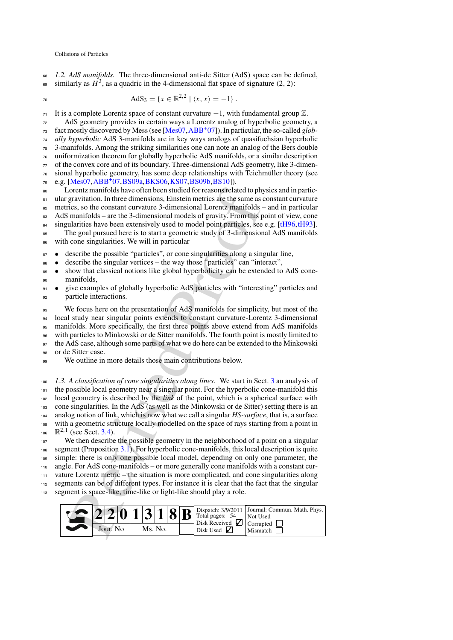<span id="page-2-0"></span> *1.2. AdS manifolds.* The three-dimensional anti-de Sitter (AdS) space can be defined,  $\epsilon$ <sup>9</sup> similarly as *H*<sup>3</sup>, as a quadric in the 4-dimensional flat space of signature (2, 2):

 $AdS_3 = \{x \in \mathbb{R}^{2,2} \mid \langle x, x \rangle = -1\}.$ 

It is a complete Lorentz space of constant curvature  $-1$ , with fundamental group  $\mathbb{Z}$ .

 AdS geometry provides in certain ways a Lorentz analog of hyperbolic geometry, a <sup>73</sup> fact mostly discovered by Mess (see [\[Mes07](#page-52-4), ABB<sup>+</sup>07]). In particular, the so-called *glob*- *ally hyperbolic* AdS 3-manifolds are in key ways analogs of quasifuchsian hyperbolic 3-manifolds. Among the striking similarities one can note an analog of the Bers double uniformization theorem for globally hyperbolic AdS manifolds, or a similar description of the convex core and of its boundary. Three-dimensional AdS geometry, like 3-dimen- sional hyperbolic geometry, has some deep relationships with Teichmüller theory (see e.g. [\[Mes07](#page-52-4),[ABB+](#page-51-2) 07[,BS09a,](#page-52-5)[BKS06](#page-52-6),[KS07](#page-52-7)[,BS09b,](#page-52-8)[BS10](#page-52-9)]).

 Lorentz manifolds have often been studied for reasons related to physics and in partic-81 ular gravitation. In three dimensions, Einstein metrics are the same as constant curvature metrics, so the constant curvature 3-dimensional Lorentz manifolds – and in particular 83 AdS manifolds – are the 3-dimensional models of gravity. From this point of view, cone <sup>84</sup> singularities have been extensively used to model point particles, see e.g. [\[tH96](#page-53-1)[,tH93](#page-53-2)]. 85 The goal pursued here is to start a geometric study of 3-dimensional AdS manifolds

with cone singularities. We will in particular

- describe the possible "particles", or cone singularities along a singular line,
- describe the singular vertices the way those "particles" can "interact",
- show that classical notions like global hyperbolicity can be extended to AdS cone-manifolds,
- give examples of globally hyperbolic AdS particles with "interesting" particles and particle interactions.

 We focus here on the presentation of AdS manifolds for simplicity, but most of the local study near singular points extends to constant curvature-Lorentz 3-dimensional manifolds. More specifically, the first three points above extend from AdS manifolds with particles to Minkowski or de Sitter manifolds. The fourth point is mostly limited to the AdS case, although some parts of what we do here can be extended to the Minkowski or de Sitter case.

<span id="page-2-1"></span>99 We outline in more details those main contributions below.

corentz manifolds ha[v](#page-3-2)e often been stud[i](#page-14-0)ed for reasons related to phy<br>gravitation. In three dimensions, Einstein metrics are the same as<br>its, so the constant curvature 3-dimensional Lorentz manifolds<br>racists, so the consta *1.3. A classification of cone singularities along lines.* We start in Sect. [3](#page-7-0) an analysis of the possible local geometry near a singular point. For the hyperbolic cone-manifold this local geometry is described by the *link* of the point, which is a spherical surface with cone singularities. In the AdS (as well as the Minkowski or de Sitter) setting there is an analog notion of link, which is now what we call a singular *HS-surface*, that is, a surface with a geometric structure locally modelled on the space of rays starting from a point in  $_{106}$   $\mathbb{R}^{2,1}$  (see Sect. 3.4).

 We then describe the possible geometry in the neighborhood of a point on a singular segment (Proposition 3.1). For hyperbolic cone-manifolds, this local description is quite simple: there is only one possible local model, depending on only one parameter, the angle. For AdS cone-manifolds – or more generally cone manifolds with a constant cur- vature Lorentz metric – the situation is more complicated, and cone singularities along segments can be of different types. For instance it is clear that the fact that the singular segment is space-like, time-like or light-like should play a role.

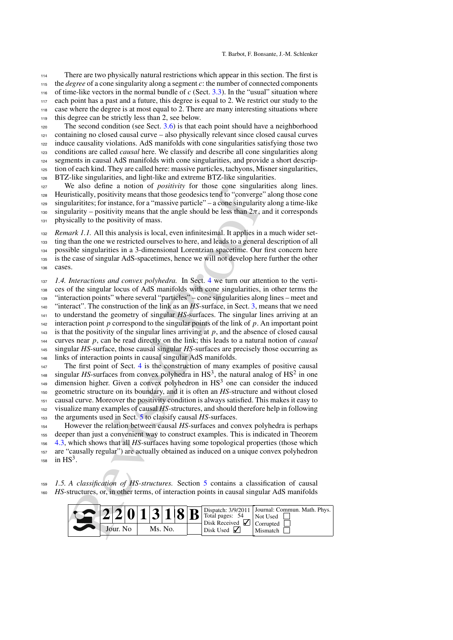There are two physically natural restrictions which appear in this section. The first is the *degree* of a cone singularity along a segment *c*: the number of connected components of time-like vectors in the normal bundle of *c* (Sect. [3.3\)](#page-9-1). In the "usual" situation where each point has a past and a future, this degree is equal to 2. We restrict our study to the case where the degree is at most equal to 2. There are many interesting situations where this degree can be strictly less than 2, see below.

 The second condition (see Sect. [3.6\)](#page-15-1) is that each point should have a neighborhood containing no closed causal curve – also physically relevant since closed causal curves induce causality violations. AdS manifolds with cone singularities satisfying those two conditions are called *causal* here. We classify and describe all cone singularities along segments in causal AdS manifolds with cone singularities, and provide a short descrip- tion of each kind. They are called here: massive particles, tachyons, Misner singularities, BTZ-like singularities, and light-like and extreme BTZ-like singularities.

 We also define a notion of *positivity* for those cone singularities along lines. Heuristically, positivity means that those geodesics tend to "converge" along those cone singularitites; for instance, for a "massive particle" – a cone singularity along a time-like 130 singularity – positivity means that the angle should be less than  $2\pi$ , and it corresponds 131 physically to the positivity of mass.

<span id="page-3-2"></span><span id="page-3-0"></span> *Remark 1.1.* All this analysis is local, even infinitesimal. It applies in a much wider set- ting than the one we restricted ourselves to here, and leads to a general description of all possible singularities in a 3-dimensional Lorentzian spacetime. Our first concern here is the case of singular AdS-spacetimes, hence we will not develop here further the other cases.

e also usine a notub of *positivity* cons[is](#page-28-0)te[d](#page-23-1) to "consigue the salt and the case to the singular<br>tifstically, positivity means that those geodesics tend to "converge<br>ularities; for instance, for a "massive particle" – a *1.4. Interactions and convex polyhedra.* In Sect. 4 we turn our attention to the verti- ces of the singular locus of AdS manifolds with cone singularities, in other terms the "interaction points" where several "particles" – cone singularities along lines – meet and <sup>140</sup> "interact". The construction of the link as an *HS*-surface, in Sect. 3, means that we need to understand the geometry of singular *HS*-surfaces. The singular lines arriving at an 142 interaction point  $p$  correspond to the singular points of the link of  $p$ . An important point 143 is that the positivity of the singular lines arriving at  $p$ , and the absence of closed causal curves near *p*, can be read directly on the link; this leads to a natural notion of *causal* singular *HS*-surface, those causal singular *HS*-surfaces are precisely those occurring as links of interaction points in causal singular AdS manifolds.

 The first point of Sect. 4 is the construction of many examples of positive causal  $\frac{1}{48}$  singular *HS*-surfaces from convex polyhedra in HS<sup>3</sup>, the natural analog of HS<sup>2</sup> in one  $_{149}$  dimension higher. Given a convex polyhedron in  $HS<sup>3</sup>$  one can consider the induced geometric structure on its boundary, and it is often an *HS*-structure and without closed causal curve. Moreover the positivity condition is always satisfied. This makes it easy to visualize many examples of causal *HS*-structures, and should therefore help in following the arguments used in Sect. 5 to classify causal *HS*-surfaces.

 However the relation between causal *HS*-surfaces and convex polyhedra is perhaps deeper than just a convenient way to construct examples. This is indicated in Theorem [4.3,](#page-9-0) which shows that all *HS*-surfaces having some topological properties (those which are "causally regular") are actually obtained as induced on a unique convex polyhedron  $\mu$ <sub>158</sub> in HS<sup>3</sup>.

<span id="page-3-1"></span> *1.5. A classification of HS-structures.* Section 5 contains a classification of causal *HS*-structures, or, in other terms, of interaction points in causal singular AdS manifolds

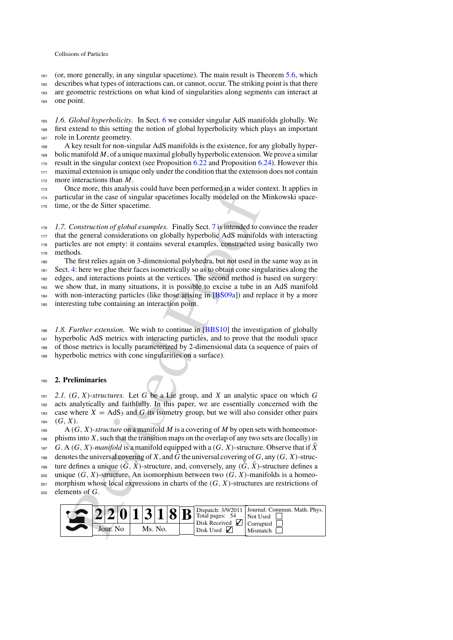(or, more generally, in any singular spacetime). The main result is Theorem [5.6,](#page-12-0) which

describes what types of interactions can, or cannot, occur. The striking point is that there

 are geometric restrictions on what kind of singularities along segments can interact at one point.

<span id="page-4-0"></span> *1.6. Global hyperbolicity.* In Sect. [6](#page-36-0) we consider singular AdS manifolds globally. We first extend to this setting the notion of global hyperbolicity which plays an important role in Lorentz geometry.

 A key result for non-singular AdS manifolds is the existence, for any globally hyper- bolic manifold *M*, of a unique maximal globally hyperbolic extension. We prove a similar result in the singular context (see Proposition [6.22](#page-21-0) and Proposition [6.24\)](#page-22-0). However this

 maximal extension is unique only under the condition that the extension does not contain more interactions than *M*.

 Once more, this analysis could have been performed in a wider context. It applies in particular in the case of singular spacetimes locally modeled on the Minkowski space-175 time, or the de Sitter spacetime.

<span id="page-4-1"></span> *1.7. Construction of global examples.* Finally Sect. 7 is intended to convince the reader that the general considerations on globally hyperbolic AdS manifolds with interacting particles are not empty: it contains several examples, constructed using basically two

 methods. The first relies again on 3-dimensional polyhedra, but not used in the same way as in

181 Sect. 4: here we glue their faces isometrically so as to obtain cone singularities along the

edges, and interactions points at the vertices. The second method is based on surgery:

we show that, in many situations, it is possible to excise a tube in an AdS manifold

with non-interacting particles (like those arising in [BS09a]) and replace it by a more

interesting tube containing an interaction point.

<span id="page-4-2"></span> *1.8. Further extension.* We wish to continue in [BBS10] the investigation of globally hyperbolic AdS metrics with interacting particles, and to prove that the moduli space of those metrics is locally parameterized by 2-dimensional data (a sequence of pairs of hyperbolic metrics with cone singularities on a surface).

## <span id="page-4-3"></span>**2. Preliminaries**

<span id="page-4-4"></span> *2.1.* (*G*, *X*)*-structures.* Let *G* be a Lie group, and *X* an analytic space on which *G* acts analytically and faithfully. In this paper, we are essentially concerned with the 193 case where  $X = AdS_3$  and G its isometry group, but we will also consider other pairs

194  $(G, X)$ .

The mean of this analysis could have been pe[r](#page-52-5)formed in a wider cor-<br>non-more, this analysis could have been performed in a wider could relate the sect [of](#page-43-0) singular spacetimes locally modeled on the section of global exampl A (*G*, *X*)*-structure* on a manifold *M* is a covering of *M* by open sets with homeomor- phisms into *X*, such that the transition maps on the overlap of any two sets are (locally) in  $G \text{A}(G, X)$ -manifold is a manifold equipped with a  $(G, X)$ -structure. Observe that if X denotes the universal covering of *X*, and  $\tilde{G}$  the universal covering of  $G$ , any  $(G, X)$ -structure defines a unique  $(\tilde{G}, \tilde{X})$ -structure, and, conversely, any  $(\tilde{G}, \tilde{X})$ -structure defines a 200 unique  $(G, X)$ -structure. An isomorphism between two  $(G, X)$ -manifolds is a homeo-201 morphism whose local expressions in charts of the  $(G, X)$ -structures are restrictions of elements of *G*.

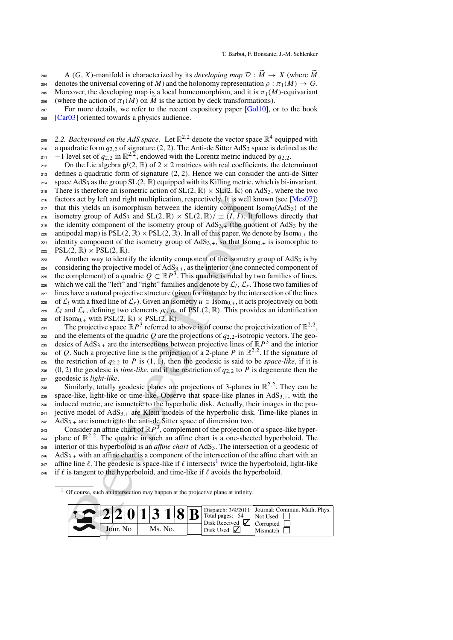T. Barbot, F. Bonsante, J.-M. Schlenker<br>
203 A (*G*, *X*)-manifold is characterized by its *developing map*  $D : \widetilde{M} \to X$  (where  $\widetilde{M}$ 204 denotes the universal covering of *M*) and the holonomy representation  $\rho : \pi_1(M) \to G$ . 205 Moreover, the developing map is a local homeomorphism, and it is  $\pi_1(M)$ -equivariant 203 A (*G*, *X*)-manifold is characte<br>
204 denotes the universal covering of *l*<br>
205 Moreover, the developing map is<br>
(where the action of  $\pi_1(M)$  on  $\widetilde{M}$ 

(where the action of  $\pi_1(M)$  on  $\tilde{M}$  is the action by deck transformations).

<sup>207</sup> For more details, we refer to the recent expository paper [\[Gol10\]](#page-52-11), or to the book <sup>208</sup> [\[Car03\]](#page-52-12) oriented towards a physics audience.

<span id="page-5-0"></span><sup>209</sup> 2.2. *Background on the AdS space*. Let  $\mathbb{R}^{2,2}$  denote the vector space  $\mathbb{R}^4$  equipped with <sup>210</sup> a quadratic form  $q_{2,2}$  of signature (2, 2). The Anti-de Sitter AdS<sub>3</sub> space is defined as the  $_{211}$  –1 level set of  $q_{2,2}$  in  $\mathbb{R}^{2,2}$ , endowed with the Lorentz metric induced by  $q_{2,2}$ .

212 On the Lie algebra  $gl(2, \mathbb{R})$  of  $2 \times 2$  matrices with real coefficients, the determinant 213 defines a quadratic form of signature (2, 2). Hence we can consider the anti-de Sitter defines a quadratic form of signature  $(2, 2)$ . Hence we can consider the anti-de Sitter 214 space  $AdS_3$  as the group  $SL(2, \mathbb{R})$  equipped with its Killing metric, which is bi-invariant. 215 There is therefore an isometric action of  $SL(2, \mathbb{R}) \times SL(2, \mathbb{R})$  on AdS<sub>3</sub>, where the two  $_{216}$  factors act by left and right multiplication, respectively. It is well known (see [\[Mes07](#page-52-4)]) 217 that this yields an isomorphism between the identity component  $Isom<sub>0</sub>(AdS<sub>3</sub>)$  of the <sup>218</sup> isometry group of AdS<sub>3</sub> and SL(2,  $\mathbb{R}$ )  $\times$  SL(2,  $\mathbb{R}$ )/  $\pm$  (*I*, *I*). It follows directly that <sup>219</sup> the identity component of the isometry group of AdS<sub>3</sub>  $+$  (the quotient of AdS<sub>3</sub> by the 220 antipodal map) is  $PSL(2, \mathbb{R}) \times PSL(2, \mathbb{R})$ . In all of this paper, we denote by Isom<sub>0.+</sub> the 221 identity component of the isometry group of  $AdS_{3,+}$ , so that  $Isom_{0,+}$  is isomorphic to 222 PSL $(2,\mathbb{R})\times$  PSL $(2,\mathbb{R})$ .

e is therefore an isometric action of SL(2, R) × SL(2, R) on Ad<br>ns act by left and right multiplication, respectively, It is well know<br>this yields an isomorphism between the identity component Is<br>setty prop of AdS<sub>3</sub> and 223 Another way to identify the identity component of the isometry group of  $AdS_3$  is by  $224$  considering the projective model of AdS<sub>3,+</sub>, as the interior (one connected component of the complement) of a quadric  $Q \subset \mathbb{R}P^3$ . This quadric is ruled by two families of lines, which we call the "left" and "right" families and denote by  $\mathcal{L}_l$ ,  $\mathcal{L}_r$ . Those two families of<br>lines have a natural projective structure (given for instance by the intersection of the lines lines have a natural projective structure (given for instance by the intersection of the lines 228 of  $\mathcal{L}_l$  with a fixed line of  $\mathcal{L}_r$ ). Given an isometry  $u \in \text{Isom}_{0,+}$ , it acts projectively on both 229  $\mathcal{L}_l$  and  $\mathcal{L}_r$ , defining two elements  $\mathcal{L}_l$ ,  $\mathcal{L}_r$  of PSL(2, R). This provides an ident *L*<sub>*l*</sub> and  $\mathcal{L}_r$ , defining two elements  $\rho_l$ ,  $\rho_r$  of PSL(2, R). This provides an identification of Isom<sub>0</sub>, with PSL(2, R)  $\times$  PSL(2, R) of Isom<sub>0,+</sub> with PSL(2,  $\mathbb{R}$ ) × PSL(2,  $\mathbb{R}$ ).

The projective space  $\mathbb{R}P^3$  referred to above is of course the projectivization of  $\mathbb{R}^{2,2}$ , 232 and the elements of the quadric  $Q$  are the projections of  $q_{2,2}$ -isotropic vectors. The geodesics of AdS<sub>3,+</sub> are the intersections between projective lines of  $\mathbb{R}P^3$  and the interior <sup>234</sup> of *Q*. Such a projective line is the projection of a 2-plane *P* in  $\mathbb{R}^{2,2}$ . If the signature of <sup>235</sup> the restriction of  $q_{2,2}$  to *P* is (1, 1), then the geodesic is said to be *space-like*, if it is 236 (0, 2) the geodesic is *time-like*, and if the restriction of  $q_{2,2}$  to *P* is degenerate then the <sup>237</sup> geodesic is *light-like*.

 $\sum_{z=1}^{\infty}$  Similarly, totally geodesic planes are projections of 3-planes in  $\mathbb{R}^{2,2}$ . They can be 239 space-like, light-like or time-like. Observe that space-like planes in  $AdS_{3,+}$ , with the <sup>240</sup> induced metric, are isometric to the hyperbolic disk. Actually, their images in the pro-<sup>241</sup> jective model of  $AdS_{3,+}$  are Klein models of the hyperbolic disk. Time-like planes in  $242$  AdS<sub>3,<sup>+</sup></sub> are isometric to the anti-de Sitter space of dimension two.

<sup>243</sup> Consider an affine chart of  $\mathbb{R}P^3$ , complement of the projection of a space-like hyper- $_{244}$  plane of  $\mathbb{R}^{2,2}$ . The quadric in such an affine chart is a one-sheeted hyperboloid. The <sup>245</sup> interior of this hyperboloid is an *affine chart* of AdS3. The intersection of a geodesic of 246 AdS<sub>3,+</sub> with an affine chart is a component of the intersection of the affine chart with an <sup>247</sup> affine line  $\ell$ . The geodesic is space-like if  $\ell$  intersects<sup>1</sup> twice the hyperboloid, light-like <sup>248</sup> if  $\ell$  is tangent to the hyperboloid, and time-like if  $\ell$  avoids the hyperboloid.

 $1$  Of course, such an intersection may happen at the projective plane at infinity.

<span id="page-5-1"></span>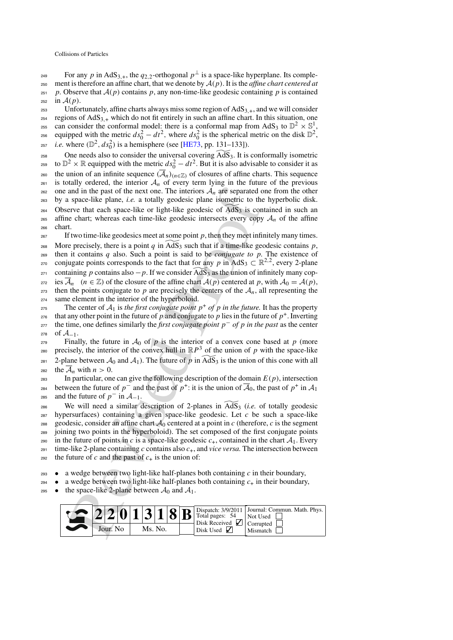For any *p* in AdS<sub>3,+</sub>, the  $q_{2,2}$ -orthogonal  $p^{\perp}$  is a space-like hyperplane. Its comple-250 ment is therefore an affine chart, that we denote by  $A(p)$ . It is the *affine chart centered at* 251 *p*. Observe that  $A(p)$  contains *p*, any non-time-like geodesic containing *p* is contained

 $\lim_{253}$  in  $\mathcal{A}(p)$ . Unfortunately, affine charts always miss some region of  $AdS_{3,+}$ , and we will consider  $254$  regions of AdS<sub>3,+</sub> which do not fit entirely in such an affine chart. In this situation, one <sup>255</sup> can consider the conformal model: there is a conformal map from AdS<sub>3</sub> to  $\mathbb{D}^2 \times \mathbb{S}^1$ , equipped with the metric  $ds_0^2 - dt^2$ , where  $ds_0^2$  is the spherical metric on the disk  $\mathbb{D}^2$ , *i.e.* where  $(\mathbb{D}^2, ds_0^2)$  is a hemisphere (see [\[HE73,](#page-52-13) pp. 131–133]).

258 One needs also to consider the universal covering  $\widetilde{AdS}_3$ . It is conformally isometric to  $\mathbb{D}^2 \times \mathbb{R}$  equipped with the metric  $ds_0^2 - dt^2$ . But it is also advisable to consider it as 260 the union of an infinite sequence  $(\overline{A}_n)_{n \in \mathbb{Z}}$  of closures of affine charts. This sequence  $_{261}$  is totally ordered, the interior  $A_n$  of every term lying in the future of the previous  $262$  one and in the past of the next one. The interiors  $A_n$  are separated one from the other <sup>263</sup> by a space-like plane, *i.e.* a totally geodesic plane isometric to the hyperbolic disk.  $264$  Observe that each space-like or light-like geodesic of  $\widetilde{AdS_3}$  is contained in such an 265 affine chart; whereas each time-like geodesic intersects every copy  $A_n$  of the affine<br>266 chart chart.

 $267$  If two time-like geodesics meet at some point  $p$ , then they meet infinitely many times.

268 More precisely, there is a point *q* in  $\widetilde{AdS}_3$  such that if a time-like geodesic contains *p*,

<sup>269</sup> then it contains *q* also. Such a point is said to be *conjugate to p.* The existence of <sup>270</sup> conjugate points corresponds to the fact that for any *p* in AdS<sub>3</sub>  $\subset \mathbb{R}^{2,2}$ , every 2-plane

 $271$  containing *p* contains also  $-p$ . If we consider  $\widetilde{AdS}_3$  as the union of infinitely many cop-

272 ies  $\overline{A}_n$  ( $n \in \mathbb{Z}$ ) of the closure of the affine chart  $A(p)$  centered at *p*, with  $A_0 = A(p)$ ,<br>273 then the points conjugate to *p* are precisely the centers of the  $A_n$  all representing the 273 then the points conjugate to *p* are precisely the centers of the  $A_n$ , all representing the same element in the interior of the hyperboloid. same element in the interior of the hyperboloid.

The center of  $A_1$  is *the first conjugate point*  $p^+$  *of*  $p$  *in the future.* It has the property that any other point in the future of *p* and conjugate to *p* lies in the future of  $p^+$ . Inverting 277 the time, one defines similarly the *first conjugate point p<sup>−</sup> of p in the past* as the center <sup>278</sup> of  $A_{-1}$ .<br><sup>279</sup> Fina

279 Finally, the future in  $\mathcal{A}_0$  of *p* is the interior of a convex cone based at *p* (more precisely, the interior of the convex bull in  $\mathbb{R}P^3$  of the union of *p* with the space-like precisely, the interior of the convex hull in  $\mathbb{R}P^3$  of the union of *p* with the space-like  $2$ -plane between  $\mathcal{A}_0$  and  $\mathcal{A}_1$ ). The future of *p* in  $\widetilde{AdS}_3$  is the union of this cone with all

282 the  $\overline{\mathcal{A}}_n$  with  $n > 0$ .<br>In particular on In particular, one can give the following description of the domain  $E(p)$ , intersection between the future of *p*<sup>−</sup> and the past of *p*<sup>+</sup>: it is the union of  $\overline{A}_0$ , the past of *p*<sup>+</sup> in  $A_1$ <br>and the future of *p*<sup>−</sup> in  $A_{-1}$ . and the future of  $p^{-}$  in  $\mathcal{A}_{-1}$ .

and in the past of the next one. The interiors  $\vec{A}_n$  are separated a<br>space-like plane, *i.e.* a totally goodesic plane isometric to the<br>space-like pasce. Higher and the past space is plane is space-<br>the centre, whereas <sup>286</sup> We will need a similar description of 2-planes in  $\widetilde{AdS}_3$  (*i.e.* of totally geodesic  $287$  hypersurfaces) containing a given space-like geodesic. Let  $c$  be such a space-like 288 geodesic, consider an affine chart  $A_0$  centered at a point in *c* (therefore, *c* is the segment ioining two points in the hyperboloid). The set composed of the first conjugate points <sup>289</sup> joining two points in the hyperboloid). The set composed of the first conjugate points 290 in the future of points in *c* is a space-like geodesic  $c_+$ , contained in the chart  $A_1$ . Every<br>291 time-like 2-plane containing *c* contains also  $c_+$ , and *vice versa*. The intersection between time-like 2-plane containing *c* contains also  $c_{+}$ , and *vice versa*. The intersection between 292 the future of *c* and the past of  $c_+$  is the union of:

- $\bullet$  a wedge between two light-like half-planes both containing *c* in their boundary,
- <sup>294</sup> a wedge between two light-like half-planes both containing  $c_{+}$  in their boundary,
- 295 the space-like 2-plane between  $A_0$  and  $A_1$ .

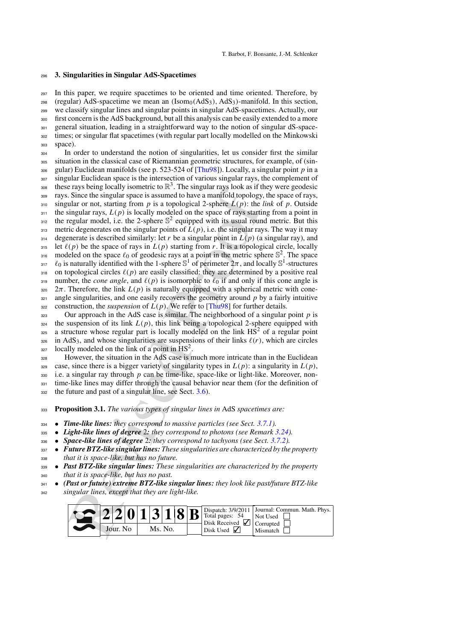#### <span id="page-7-0"></span><sup>296</sup> **3. Singularities in Singular AdS-Spacetimes**

<sup>297</sup> In this paper, we require spacetimes to be oriented and time oriented. Therefore, by (regular) AdS-spacetime we mean an  $(Isom<sub>0</sub>(AdS<sub>3</sub>), AdS<sub>3</sub>)$ -manifold. In this section, <sup>299</sup> we classify singular lines and singular points in singular AdS-spacetimes. Actually, our first concern is the AdS background, but all this analysis can be easily extended to a more <sup>301</sup> general situation, leading in a straightforward way to the notion of singular dS-spacetimes; or singular flat spacetimes (with regular part locally modelled on the Minkowski <sup>303</sup> space).

Frays one to use the simulations. The simulation and the simulation of  $\approx$ . In expansion of the singular space is assumed to lowe a manfield (topology and it of not starting from p is a topological 2-sphere  $F(r)$ : the si In order to understand the notion of singularities, let us consider first the similar situation in the classical case of Riemannian geometric structures, for example, of (sin-<sup>306</sup> gular) Euclidean manifolds (see p. 523-524 of [\[Thu98](#page-53-3)]). Locally, a singular point *p* in a <sup>307</sup> singular Euclidean space is the intersection of various singular rays, the complement of these rays being locally isometric to  $\mathbb{R}^3$ . The singular rays look as if they were geodesic rays. Since the singular space is assumed to have a manifold topology, the space of rays,  $\frac{1}{310}$  singular or not, starting from *p* is a topological 2-sphere  $L(p)$ : the *link* of *p*. Outside  $311$  the singular rays,  $L(p)$  is locally modeled on the space of rays starting from a point in  $1312$  the regular model, i.e. the 2-sphere  $\mathbb{S}^2$  equipped with its usual round metric. But this 313 metric degenerates on the singular points of  $L(p)$ , i.e. the singular rays. The way it may  $_{314}$  degenerate is described similarly: let *r* be a singular point in  $L(p)$  (a singular ray), and 315 let  $\ell(p)$  be the space of rays in  $L(p)$  starting from *r*. It is a topological circle, locally 316 modeled on the space  $\ell_0$  of geodesic rays at a point in the metric sphere  $\mathbb{S}^2$ . The space <sup>317</sup>  $\ell_0$  is naturally identified with the 1-sphere S<sup>1</sup> of perimeter  $2\pi$ , and locally S<sup>1</sup>-structures 318 on topological circles  $\ell(p)$  are easily classified: they are determined by a positive real 319 number, the *cone angle*, and  $\ell(p)$  is isomorphic to  $\ell_0$  if and only if this cone angle is  $320\quad$  2 $\pi$ . Therefore, the link  $L(p)$  is naturally equipped with a spherical metric with cone- $321$  angle singularities, and one easily recovers the geometry around p by a fairly intuitive 322 construction, the *suspension* of  $L(p)$ . We refer to [Thu98] for further details.

 $\frac{323}{223}$  Our approach in the AdS case is similar. The neighborhood of a singular point *p* is  $324$  the suspension of its link  $L(p)$ , this link being a topological 2-sphere equipped with as a structure whose regular part is locally modeled on the link  $H\hat{S}^2$  of a regular point  $326$  in AdS<sub>3</sub>, and whose singularities are suspensions of their links  $\ell(r)$ , which are circles  $\mu$ <sub>327</sub> locally modeled on the link of a point in HS<sup>2</sup>

<sup>328</sup> However, the situation in the AdS case is much more intricate than in the Euclidean case, since there is a bigger variety of singularity types in  $L(p)$ : a singularity in  $L(p)$ ,  $330$  i.e. a singular ray through p can be time-like, space-like or light-like. Moreover, non-<sup>331</sup> time-like lines may differ through the causal behavior near them (for the definition of the future and past of a singular line, see Sect.  $3.6$ ).

<sup>333</sup> **Proposition 3.1.** *The various types of singular lines in* AdS *spacetimes are:*

- <sup>334</sup> *Time-like lines: they correspond to massive particles (see Sect. [3.7.1\)](#page-17-1).*
- <sup>335</sup> *Light-like lines of degree* 2*: they correspond to photons (see Remark [3.24\)](#page-22-0).*
- <sup>336</sup> *Space-like lines of degree* 2*: they correspond to tachyons (see Sect. [3.7.2\)](#page-18-0).*
- <sup>337</sup> *Future BTZ-like singular lines: These singularities are characterized by the property* <sup>338</sup> *that it is space-like, but has no future.*
- <sup>339</sup> *Past BTZ-like singular lines: These singularities are characterized by the property* <sup>340</sup> *that it is space-like, but has no past.*
- <sup>341</sup> *(Past or future) extreme BTZ-like singular lines: they look like past/future BTZ-like*
- <sup>342</sup> *singular lines, except that they are light-like.*

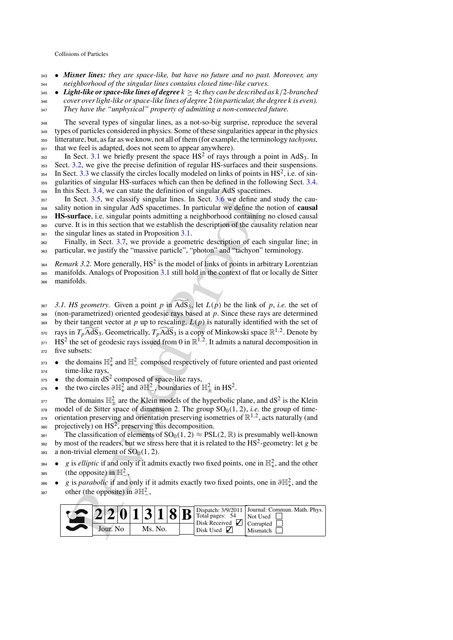- <sup>343</sup> *Misner lines: they are space-like, but have no future and no past. Moreover, any* <sup>344</sup> *neighborhood of the singular lines contains closed time-like curves.*
- **345** Light-like or space-like lines of degree  $k \geq 4$ : they can be described as  $k/2$ -branched <sup>346</sup> *cover over light-like or space-like lines of degree* 2 *(in particular, the degree k is even).* <sup>347</sup> *They have the "unphysical" property of admitting a non-connected future.*

 The several types of singular lines, as a not-so-big surprise, reproduce the several types of particles considered in physics. Some of these singularities appear in the physics litterature, but, as far as we know, not all of them (for example, the terminology *tachyons,* that we feel is adapted, does not seem to appear anywhere).

 $\frac{1}{352}$  In Sect. [3.1](#page-8-0) we briefly present the space HS<sup>2</sup> of rays through a point in AdS<sub>3</sub>. In

 Sect. [3.2,](#page-9-0) we give the precise definition of regular HS-surfaces and their suspensions.  $1.34$  In Sect. [3.3](#page-9-1) we classify the circles locally modeled on links of points in HS<sup>2</sup>, i.e. of sin- gularities of singular HS-surfaces which can then be defined in the following Sect. [3.4.](#page-14-0) In this Sect. 3.4, we can state the definition of singular AdS spacetimes.

 In Sect. 3.5, we classify singular lines. In Sect. 3.6 we define and study the causality notion in singular AdS spacetimes. In particular we define the notion of **causal HS-surface**, i.e. singular points admitting a neighborhood containing no closed causal curve. It is in this section that we establish the description of the causality relation near

 $361$  the singular lines as stated in Proposition  $3.1$ .

Finally, in Sect. 3.7, we provide a geometric description of each singular line; in particular, we justify the "massive particle", "photon" and "tachyon" terminology.

<sup>364</sup> Remark 3.2. More generally,  $HS^2$  is the model of links of points in arbitrary Lorentzian <sup>365</sup> manifolds. Analogs of Proposition 3.1 still hold in the context of flat or locally de Sitter

<span id="page-8-0"></span><sup>366</sup> manifolds.

is Sect. 3.4, we can state the de[f](#page-15-1)inition of singular AdS spacetim<br>
Sect. 3.5, we classify singular lines. In Sect. 3.6 we define a<br>
n Sect. 3.6, we define a<br>
surface, i.e. singular points admitting a neighborhood contain 367 3.1. HS geometry. Given a point p in  $\widetilde{AdS}_3$ , let  $L(p)$  be the link of p, *i.e.* the set of <sup>368</sup> (non-parametrized) oriented geodesic rays based at *p*. Since these rays are determined 369 by their tangent vector at  $p$  up to rescaling,  $L(p)$  is naturally identified with the set of rays in  $T_p \widetilde{AdS}_3$ . Geometrically,  $T_p \widetilde{AdS}_3$  is a copy of Minkowski space  $\mathbb{R}^{1,2}$ . Denote by  $H\sin\theta$  HS<sup>2</sup> the set of geodesic rays issued from 0 in  $\mathbb{R}^{1,2}$ . It admits a natural decomposition in 372 five subsets:

 $\bullet$  the domains  $\mathbb{H}^2_+$  and  $\mathbb{H}^2_-$  composed respectively of future oriented and past oriented <sup>374</sup> time-like rays,

- $\bullet$  the domain  $dS^2$  composed of space-like rays,
- <sup>376</sup> the two circles  $\partial \mathbb{H}^2_+$  and  $\partial \mathbb{H}^2_-$ , boundaries of  $\mathbb{H}^2_\pm$  in HS<sup>2</sup>.

<sup>377</sup> The domains  $\mathbb{H}^2_{\pm}$  are the Klein models of the hyperbolic plane, and dS<sup>2</sup> is the Klein 378 model of de Sitter space of dimension 2. The group  $SO_0(1, 2)$ , *i.e.* the group of time- $\sigma$  orientation preserving and orientation preserving isometries of  $\mathbb{R}^{1,2}$ , acts naturally (and  $_{380}$  projectively) on HS<sup>2</sup>, preserving this decomposition.

381 The classification of elements of  $SO_0(1, 2) \approx PSL(2, \mathbb{R})$  is presumably well-known by most of the readers, but we stress here that it is related to the  $HS<sup>2</sup>$ -geometry: let *g* be 383 a non-trivial element of  $SO<sub>0</sub>(1, 2)$ .

 $g$  is *elliptic* if and only if it admits exactly two fixed points, one in  $\mathbb{H}^2_+$ , and the other 385 (the opposite) in  $\mathbb{H}^2$ .

<sup>386</sup> • *g* is *parabolic* if and only if it admits exactly two fixed points, one in  $\partial \mathbb{H}^2_+$ , and the  $\sigma_{387}$  other (the opposite) in  $\partial \mathbb{H}^2$ .

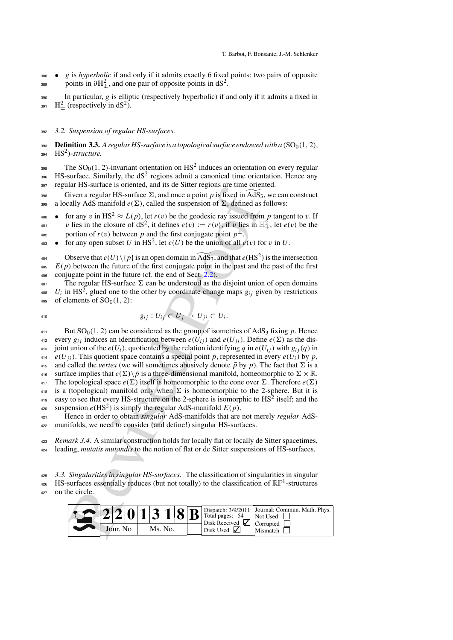<sup>388</sup> • *g* is *hyperbolic* if and only if it admits exactly 6 fixed points: two pairs of opposite points in  $\partial \mathbb{H}^2_\pm$ , and one pair of opposite points in dS<sup>2</sup>.

<sup>390</sup> In particular, *g* is elliptic (respectively hyperbolic) if and only if it admits a fixed in 391  $\mathbb{H}^2$  (respectively in dS<sup>2</sup>).

## <span id="page-9-0"></span><sup>392</sup> *3.2. Suspension of regular HS-surfaces.*

393 **Definition 3.3.** A regular HS-surface is a topological surface endowed with a  $(SO<sub>0</sub>(1, 2),$  $_{394}$  HS<sup>2</sup>)-structure.

The  $SO_0(1, 2)$ -invariant orientation on HS<sup>2</sup> induces an orientation on every regular  $H$ S-surface. Similarly, the dS<sup>2</sup> regions admit a canonical time orientation. Hence any <sup>397</sup> regular HS-surface is oriented, and its de Sitter regions are time oriented.

Given a regular HS-surface  $\Sigma$ , and once a point p is fixed in  $\widetilde{AdS}_3$ , we can construct 399 a locally AdS manifold  $e(\Sigma)$ , called the suspension of  $\Sigma$ , defined as follows:

• for any v in HS<sup>2</sup>  $\approx$  *L*(*p*), let *r*(*v*) be the geodesic ray issued from *p* tangent to v. If v lies in the closure of dS<sup>2</sup>, it defines  $e(v) := r(v)$ ; if v lies in  $\mathbb{H}^2_+$ , let  $e(v)$  be the <sup>402</sup> portion of  $r(v)$  between p and the first conjugate point  $p^{\pm}$ .

 $\bullet$  for any open subset *U* in HS<sup>2</sup>, let  $e(U)$  be the union of all  $e(v)$  for v in *U*.

Observe that  $e(U)\setminus\{p\}$  is an open domain in  $\widetilde{AdS}_3$ , and that  $e(HS^2)$  is the intersection  $E(p)$  between the future of the first conjugate point in the past and the past of the first <sup>406</sup> conjugate point in the future (cf. the end of Sect. 2.2).

407 The regular HS-surface  $\Sigma$  can be understood as the disjoint union of open domains <sup>408</sup> *U<sub>i</sub>* in HS<sup>2</sup>, glued one to the other by coordinate change maps  $g_{ij}$  given by restrictions  $409$  of elements of  $SO<sub>0</sub>(1, 2)$ :

$$
g_{ij}: U_{ij} \subset U_j \to U_{ji} \subset U_i.
$$

and the state of the state of the state of the state of the state of the state of the state of the state of the state of the state of the state of the state of the state of the state is in the solet of the state of the st  $\frac{411}{411}$  But  $\text{SO}_0(1, 2)$  can be considered as the group of isometries of AdS<sub>3</sub> fixing p. Hence every  $g_{ij}$  induces an identification between  $e(U_{ij})$  and  $e(U_{ji})$ . Define  $e(\Sigma)$  as the dis-413 joint union of the  $e(U_i)$ , quotiented by the relation identifying *q* in  $e(U_{ij})$  with  $g_{ij}(q)$  in  $e(U_{ii})$ . This quotient space contains a special point  $\bar{p}$ , represented in every  $e(U_i)$  by  $p$ , 415 and called the *vertex* (we will sometimes abusively denote  $\bar{p}$  by  $p$ ). The fact that  $\Sigma$  is a 416 surface implies that  $e(\Sigma)\setminus \bar{p}$  is a three-dimensional manifold, homeomorphic to  $\Sigma \times \mathbb{R}$ . 417 The topological space  $e(\Sigma)$  itself is homeomorphic to the cone over  $\Sigma$ . Therefore  $e(\Sigma)$ 418 is a (topological) manifold only when  $\Sigma$  is homeomorphic to the 2-sphere. But it is <sup>419</sup> easy to see that every HS-structure on the 2-sphere is isomorphic to  $HS<sup>2</sup>$  itself; and the suspension  $e(HS^2)$  is simply the regular AdS-manifold  $E(p)$ .

<span id="page-9-2"></span><sup>421</sup> Hence in order to obtain *singular* AdS-manifolds that are not merely *regular* AdS-<sup>422</sup> manifolds, we need to consider (and define!) singular HS-surfaces.

<sup>423</sup> *Remark 3.4.* A similar construction holds for locally flat or locally de Sitter spacetimes, <sup>424</sup> leading, *mutatis mutandis* to the notion of flat or de Sitter suspensions of HS-surfaces.

<span id="page-9-1"></span><sup>425</sup> *3.3. Singularities in singular HS-surfaces.* The classification of singularities in singular

 $\text{HS}$ -surfaces essentially reduces (but not totally) to the classification of  $\mathbb{RP}^1$ -structures

427 on the circle.

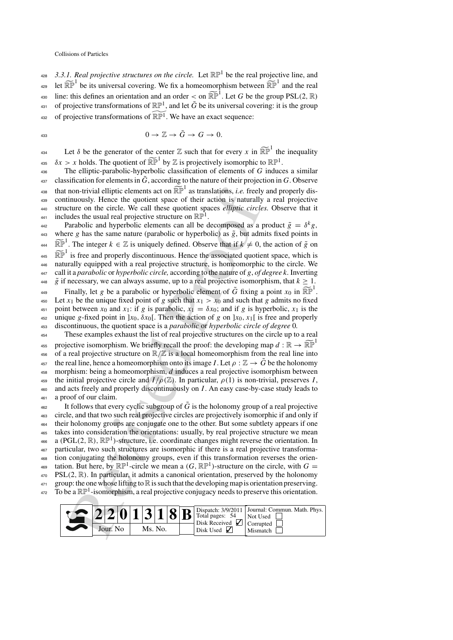<span id="page-10-0"></span><sup>428</sup> 3.3.1. Real projective structures on the circle. Let  $\mathbb{RP}^1$  be the real projective line, and Collisions of Particles<br>
<sup>428</sup> 3.3.1. *Real projective structures on the circle*. Let  $\mathbb{RP}^1$  be the real projective line, and<br>
<sup>429</sup> let  $\mathbb{RP}^1$  be its universal covering. We fix a homeomorphism between  $\mathbb{\overline{RP}}^$ Collisions of Particles<br>
428 3.3.1. Real projective structures on the circle. Let  $\mathbb{RP}^1$  be the real projective line, and<br>
1429 let  $\mathbb{RP}^1$  be its universal covering. We fix a homeomorphism between  $\mathbb{RP}^1$  and t 431 of projective transformations of  $\mathbb{RP}^1$ , and let  $\tilde{G}$  be its universal covering: it is the group <sup>432</sup> of projective transformations of  $\widetilde{\mathbb{R}P^1}$ . We have an exact sequence: Let  $\delta$  be the generator of the center  $\mathbb{Z}$  such that for every *x* in  $\widetilde{\mathbb{RP}}^1$  the inequality<br>
434 Let  $\delta$  be the generator of the center  $\mathbb{Z}$  such that for every *x* in  $\widetilde{\mathbb{RP}}^1$  the inequality

$$
0 \to \mathbb{Z} \to \tilde{G} \to G \to 0.
$$

**b**  $\tilde{C}$   $\tilde{C}$   $\mapsto$  *x*  $\tilde{C}$   $\mapsto$  *x*  $\tilde{C}$   $\mapsto$  *x*  $\tilde{C}$   $\mapsto$  *x*  $\tilde{C}$   $\mapsto$  *x*  $\tilde{C}$   $\mapsto$  *x*  $\tilde{C}$   $\mapsto$  *x*  $\tilde{C}$   $\mapsto$  *x*  $\tilde{C}$  and  $\tilde{C}$   $\tilde{C}$  and  $\tilde{C}$  and  $\tilde{C}$ 

<sup>436</sup> The elliptic-parabolic-hyperbolic classification of elements of *G* induces a similar  $\alpha_{37}$  classification for elements in  $\tilde{G}$ , according to the nature of their projection in *G*. Observe Let  $\delta$  be the generator of the center  $\mathbb{Z}$  such that for every  $x$  in  $\mathbb{RP}^1$  the inequality<br>  $\delta x > x$  holds. The quotient of  $\overline{\mathbb{RP}}^1$  by  $\mathbb{Z}$  is projectively isomorphic to  $\mathbb{RP}^1$ .<br>
The elliptic-parab <sup>439</sup> continuously. Hence the quotient space of their action is naturally a real projective <sup>440</sup> structure on the circle. We call these quotient spaces *elliptic circles.* Observe that it includes the usual real projective structure on  $\mathbb{RP}^1$ .

non-trivial elliptic elements act on  $\mathbb{R}^{\overline{p}^1}$  as translations, *i.e.* freely<br>intuously. Hence the quotient space of their action is naturally<br>thus that the sum of the calority strest elliptic circle are of the r Parabolic and hyperbolic elements can all be decomposed as a product  $\tilde{g} = \delta^k g$ ,  $443$  where *g* has the same nature (parabolic or hyperbolic) as  $\tilde{g}$ , but admits fixed points in Extricution of the integer of the integers of the term is not<br>structure on the circle. We call these quotient spaces *elliptic*<br>includes the usual real projective structure on  $\mathbb{RP}^1$ .<br>Parabolic and hyperbolic element  $\widetilde{\mathbb{RP}}^1$ . The integer  $k \in \mathbb{Z}$  is uniquely defined. Observe that if  $k \neq 0$ , the action of  $\tilde{g}$  on and includes the usual real projective structure on  $\mathbb{RP}^1$ .<br>
According the and hyperbolic elements can all be decomposed as a product  $\tilde{g} = \delta^k g$ , where g has the same nature (parabolic or hyperbolic) as  $\tilde{g}$ , <sup>446</sup> naturally equipped with a real projective structure, is homeomorphic to the circle. We <sup>447</sup> call it a *parabolic* or *hyperbolic circle,* according to the nature of *g*, *of degree k.* Inverting  $\frac{1}{448}$   $\frac{1}{48}$  if necessary, we can always assume, up to a real projective isomorphism, that  $k > 1$ . Figure 3446 and properly discontinuous. Hence the associated quotient space, which is<br>naturally equipped with a real projective structure, is homeomorphic to the circle. We<br>call it a *parabolic or hyperbolic circle*, acco 450 Let  $x_1$  be the unique fixed point of *g* such that  $x_1 > x_0$  and such that *g* admits no fixed 451 point between  $x_0$  and  $x_1$ : if  $g$  is parabolic,  $x_1 = \delta x_0$ ; and if  $g$  is hyperbolic,  $x_1$  is the 452 unique *g*-fixed point in  $[x_0, \delta x_0]$ . Then the action of *g* on  $[x_0, x_1]$  is free and properly <sup>453</sup> discontinuous, the quotient space is a *parabolic* or *hyperbolic circle of degree* 0*.* <sup>454</sup> These examples exhaust the list of real projective structures on the circle up to a real <sup>455</sup> projective isomorphism. We briefly recall the proof: the developing map  $d : \mathbb{R} \to \widetilde{\mathbb{RP}}^1$ 456 of a real projective structure on  $\mathbb{R}/\mathbb{Z}$  is a local homeomorphism from the real line into 457 the real line, hence a homeomorphism onto its image *I*. Let  $\rho : \mathbb{Z} \to \tilde{G}$  be the holonomy <sup>458</sup> morphism: being a homeomorphism, *d* induces a real projective isomorphism between 459 the initial projective circle and  $I/\rho(\mathbb{Z})$ . In particular,  $\rho(1)$  is non-trivial, preserves *I*, <sup>460</sup> and acts freely and properly discontinuously on *I*. An easy case-by-case study leads to <sup>461</sup> a proof of our claim. It follows that every cyclic subgroup of  $\tilde{G}$  is the holonomy group of a real projective <sup>463</sup> circle, and that two such real projective circles are projectively isomorphic if and only if

 their holonomy groups are conjugate one to the other. But some subtlety appears if one takes into consideration the orientations: usually, by real projective structure we mean 466 a (PGL(2,  $\mathbb{R}$ ),  $\mathbb{RP}^1$ )-structure, i.e. coordinate changes might reverse the orientation. In particular, two such structures are isomorphic if there is a real projective transforma- tion conjugating the holonomy groups, even if this transformation reverses the orien-<sup>469</sup> tation. But here, by  $\mathbb{RP}^1$ -circle we mean a  $(G, \mathbb{RP}^1)$ -structure on the circle, with  $G =$  PSL(2, R). In particular, it admits a canonical orientation, preserved by the holonomy group: the one whose lifting to R is such that the developing map is orientation preserving. <sup>472</sup> To be a  $\mathbb{RP}^1$ -isomorphism, a real projective conjugacy needs to preserve this orientation.

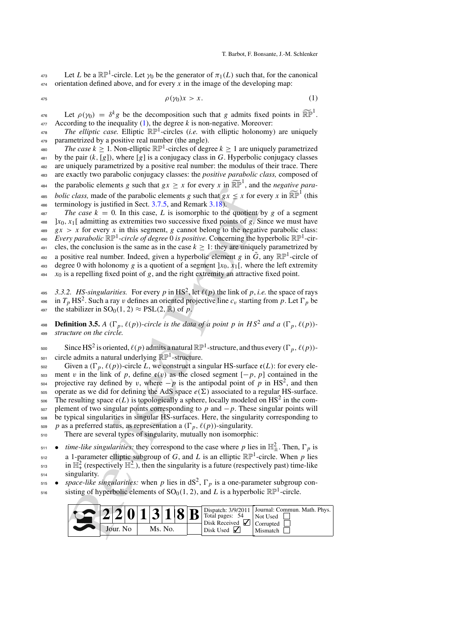<sup>473</sup> Let *L* be a  $\mathbb{RP}^1$ -circle. Let γ<sub>0</sub> be the generator of  $\pi_1(L)$  such that, for the canonical  $474$  orientation defined above, and for every x in the image of the developing map:

<span id="page-11-0"></span>
$$
\rho(\gamma_0)x > x. \tag{1}
$$

<sup>475</sup><br>
Let  $\rho(\gamma_0) x > x$ . (1)<br>
<sup>476</sup> Let  $\rho(\gamma_0) = \delta^k g$  be the decomposition such that *g* admits fixed points in  $\widetilde{\mathbb{RP}}^1$ .  $477$  According to the inequality [\(1\)](#page-11-0), the degree *k* is non-negative. Moreover:

 $T$ <sup>478</sup> *The elliptic case.* Elliptic  $\mathbb{RP}^1$ -circles (*i.e.* with elliptic holonomy) are uniquely 479 parametrized by a positive real number (the angle).

*ABO* The case  $k \geq 1$ . Non-elliptic  $\mathbb{RP}^1$ -circles of degree  $k \geq 1$  are uniquely parametrized  $481$  by the pair  $(k, [g])$ , where  $[g]$  is a conjugacy class in *G*. Hyperbolic conjugacy classes <sup>482</sup> are uniquely parametrized by a positive real number: the modulus of their trace. There <sup>483</sup> are exactly two parabolic conjugacy classes: the *positive parabolic class,* composed of <sup>484</sup> the parabolic elements *g* such that  $gx > x$  for every *x* in  $\widetilde{\mathbb{RP}}^1$ , and the *negative parabolic class,* made of the parabolic elements *g* such that  $gx \leq x$  for every *x* in  $\widetilde{\mathbb{R}^{\mathbb{P}^1}}$  (this 486 terminology is justified in Sect. 3.7.5, and Remark 3.18).

 $F_{487}$  *The case k* = 0. In this case, *L* is isomorphic to the quotient by *g* of a segment  $\alpha_{488}$   $\alpha_{0}$ ,  $x_{1}$  admitting as extremities two successive fixed points of *g*. Since we must have  $\alpha$ <sup>489</sup>  $gx > x$  for every *x* in this segment, *g* cannot belong to the negative parabolic class: *Every parabolic*  $\mathbb{RP}^1$ -circle of degree 0 is positive. Concerning the hyperbolic  $\mathbb{RP}^1$ -cir- $_{491}$  cles, the conclusion is the same as in the case  $k > 1$ : they are uniquely parametrized by <sup>492</sup> a positive real number. Indeed, given a hyperbolic element *g* in  $\tilde{G}$ , any  $\mathbb{RP}^1$ -circle of 493 degree 0 with holonomy *g* is a quotient of a segment  $]x_0, x_1[$ , where the left extremity

 $494$  *x*<sub>0</sub> is a repelling fixed point of *g*, and the right extremity an attractive fixed point.

<sup>495</sup> 3.3.2. HS-singularities. For every *p* in HS<sup>2</sup>, let  $\ell(p)$  the link of *p*, *i.e.* the space of rays <sup>496</sup> in  $T_p$  HS<sup>2</sup>. Such a ray v defines an oriented projective line  $c_v$  starting from p. Let  $\Gamma_p$  be 497 the stabilizer in  $SO_0(1, 2) \approx PSL(2, \mathbb{R})$  of p.

<span id="page-11-1"></span>**Definition 3.5.** *A* ( $\Gamma_p$ ,  $\ell(p)$ )-circle is the data of a point p in HS<sup>2</sup> and a ( $\Gamma_p$ ,  $\ell(p)$ )-<sup>499</sup> *structure on the circle.*

Since HS<sup>2</sup> is oriented,  $\ell(p)$  admits a natural  $\mathbb{RP}^1$ -structure, and thus every  $(\Gamma_n, \ell(p))$ - $\sum_{501}$  circle admits a natural underlying  $\mathbb{RP}^1$ -structure.

and concernants g such tan as  $z_2 \times$  10 etc.,  $y_2 \times$  noise,  $z_1 \times$  noise,  $z_1 \times$  noise,  $z_2 \times$  is simpled in Sect. 3.7.5, and Remark 3.18).<br>
The case  $k = 0$ . In this case,  $L$  is is isomorphic to the quotient by  $x_1$ 502 Given a  $(\Gamma_p, \ell(p))$ -circle *L*, we construct a singular HS-surface  $e(L)$ : for every ele-<br>503 ment *v* in the link of *p*, define  $e(v)$  as the closed segment  $[-p, p]$  contained in the ment v in the link of p, define  $e(v)$  as the closed segment  $[-p, p]$  contained in the projective ray defined by v, where  $-p$  is the antipodal point of p in HS<sup>2</sup>, and then 505 operate as we did for defining the AdS space  $e(\Sigma)$  associated to a regular HS-surface. The resulting space  $\mathfrak{e}(L)$  is topologically a sphere, locally modeled on HS<sup>2</sup> in the complement of two singular points corresponding to  $p$  and  $-p$ . These singular points will <sup>508</sup> be typical singularities in singular HS-surfaces. Here, the singularity corresponding to p as a preferred status, as representation a  $(\Gamma_p, \ell(p))$ -singularity.

<sup>510</sup> There are several types of singularity, mutually non isomorphic:

 $\bullet$  *time-like singularities:* they correspond to the case where p lies in  $\mathbb{H}^2_+$ . Then,  $\Gamma_p$  is  $\alpha$  1-parameter elliptic subgroup of *G*, and *L* is an elliptic  $\mathbb{RP}^1$ -circle. When *p* lies  $\sin$  in  $\mathbb{H}^2$  (respectively  $\mathbb{H}^2$ ), then the singularity is a future (respectively past) time-like <sup>514</sup> singularity.

 $\bullet$  *space-like singularities:* when p lies in dS<sup>2</sup>,  $\Gamma_p$  is a one-parameter subgroup consisting of hyperbolic elements of  $SO<sub>0</sub>(1, 2)$ , and *L* is a hyperbolic  $\mathbb{RP}^1$ -circle.

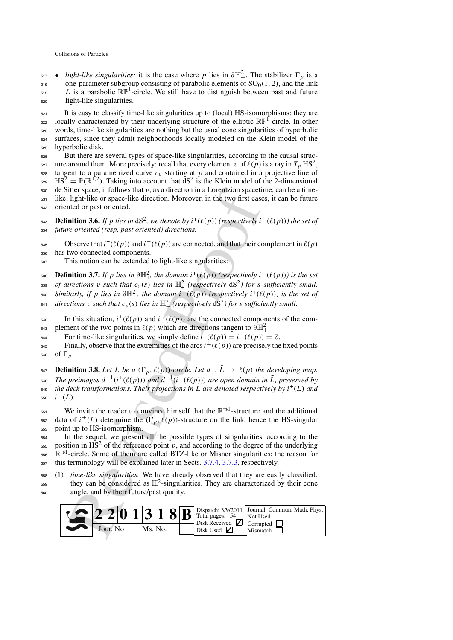- $\bullet$  *light-like singularities:* it is the case where *p* lies in  $\partial \mathbb{H}^2_+$ . The stabilizer Γ<sub>*p*</sub> is a  $518$  one-parameter subgroup consisting of parabolic elements of SO<sub>0</sub>(1, 2), and the link
- $L$  is a parabolic  $\mathbb{R}P^1$ -circle. We still have to distinguish between past and future <sup>520</sup> light-like singularities.

 It is easy to classify time-like singularities up to (local) HS-isomorphisms: they are s22 locally characterized by their underlying structure of the elliptic  $\mathbb{RP}^1$ -circle. In other words, time-like singularities are nothing but the usual cone singularities of hyperbolic surfaces, since they admit neighborhoods locally modeled on the Klein model of the hyperbolic disk.

 But there are several types of space-like singularities, according to the causal struc- $\epsilon_{27}$  ture around them. More precisely: recall that every element v of  $\ell(p)$  is a ray in  $T_p$  HS<sup>2</sup>. tangent to a parametrized curve  $c<sub>v</sub>$  starting at p and contained in a projective line of  $HS<sup>2</sup> = \mathbb{P}(\mathbb{R}^{1,2})$ . Taking into account that  $dS<sup>2</sup>$  is the Klein model of the 2-dimensional de Sitter space, it follows that v, as a direction in a Lorentzian spacetime, can be a time- like, light-like or space-like direction. Moreover, in the two first cases, it can be future oriented or past oriented.

<span id="page-12-0"></span>**Definition 3.6.** *If p lies in*  $dS^2$ *, we denote by i*<sup>+</sup>( $\ell(p)$ ) *(respectively i*<sup>−</sup>( $\ell(p)$ )*) the set of* <sup>534</sup> *future oriented (resp. past oriented) directions.*

Observe that  $i^+(\ell(p))$  and  $i^-(\ell(p))$  are connected, and that their complement in  $\ell(p)$ <sup>536</sup> has two connected components.

<span id="page-12-1"></span><sup>537</sup> This notion can be extended to light-like singularities:

**Definition 3.7.** *If p lies in*  $\partial \mathbb{H}^2_+$ *, the domain i*<sup>+</sup>( $\ell(p)$ ) *(respectively i*<sup>−</sup>( $\ell(p)$ )*) is the set* 

 $\sigma$  *of directions* v *such that*  $c_v(s)$  *lies in*  $\mathbb{H}^2$  *(respectively*  $dS^2$ *) for s sufficiently small. Similarly, if p lies in*  $\partial \mathbb{H}^2_-,$  the domain  $i^-(\ell(p))$  (respectively  $i^+(\ell(p))$ ) is the set of

 $\sigma_{\rm s41}$  directions v such that  $c_v(s)$  lies in  $\mathbb{H}^2_{-}$  (respectively dS<sup>2</sup>) for s sufficiently small.

In this situation,  $i^+(\ell(p))$  and  $i^-(\ell(p))$  are the connected components of the complement of the two points in  $\ell(p)$  which are directions tangent to  $\partial \mathbb{H}^2_+$ .

For time-like singularities, we simply define  $i^+(\ell(p)) = i^-(\ell(p)) = \emptyset$ .

Finally, observe that the extremities of the arcs  $i^{\pm}(\ell(p))$  are precisely the fixed points 546 of  $\Gamma_n$ .

itter space, it follows that  $v$ , as a direction in a Lorentzian spacetic<br>light-like or space-like direction. Moreover, in the two first case<br>the the transmission of the proof of the two first case<br>the or past oriented.<br> 547 **Definition 3.8.** Let L be a  $(\Gamma_p, \ell(p))$ -circle. Let  $d : \tilde{L} \to \ell(p)$  the developing map.  $\bar{f}$ <sub>548</sub> *The preimages d<sup>-1</sup>(i<sup>+</sup>(* $\ell(p)$ *)) and*  $d^{-1}(i^-(\ell(p)))$  *are open domain in*  $\tilde{L}$ , preserved by  $_{549}$  the deck transformations. Their projections in L are denoted respectively by  $i^{+}(L)$  and  $i^-(L)$ .

 $551$  We invite the reader to convince himself that the  $\mathbb{RP}^1$ -structure and the additional <sup>552</sup> data of  $i^{\pm}(L)$  determine the  $(\Gamma_p, \ell(p))$ -structure on the link, hence the HS-singular <sup>553</sup> point up to HS-isomorphism.

<sup>554</sup> In the sequel, we present all the possible types of singularities, according to the position in HS<sup>2</sup> of the reference point p, and according to the degree of the underlying  $ES<sub>556</sub>$   $\mathbb{RP}^1$ -circle. Some of them are called BTZ-like or Misner singularities; the reason for <sup>557</sup> this terminology will be explained later in Sects. 3.7.4, 3.7.3, respectively.

<sup>558</sup> (1) *time-like singularities:* We have already observed that they are easily classified: they can be considered as  $\mathbb{H}^2$ -singularities. They are characterized by their cone <sup>560</sup> angle, and by their future/past quality.

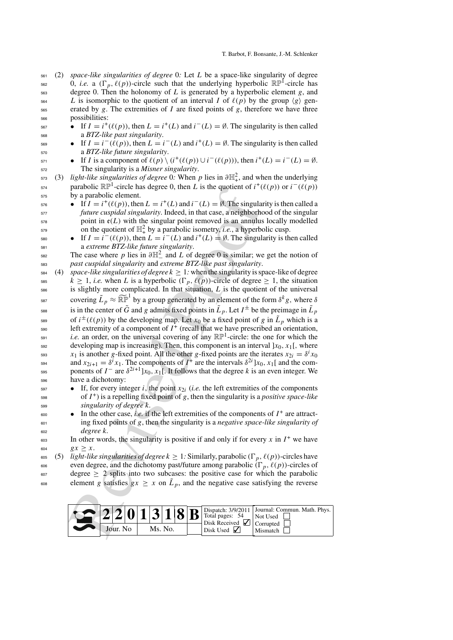- <sup>561</sup> (2) *space-like singularities of degree* 0*:* Let *L* be a space-like singularity of degree <sup>562</sup> 0, *i.e.* a  $(\Gamma_p, \ell(p))$ -circle such that the underlying hyperbolic  $\mathbb{RP}^1$ -circle has <sup>563</sup> degree 0. Then the holonomy of *L* is generated by a hyperbolic element *g*, and  $L$  is isomorphic to the quotient of an interval *I* of  $\ell(p)$  by the group  $\langle g \rangle$  gen- $565$  erated by *g*. The extremities of *I* are fixed points of *g*, therefore we have three <sup>566</sup> possibilities:
- $\bullet$  If *I* = *i*<sup>+</sup>( $\ell(p)$ ), then *L* = *i*<sup>+</sup>(*L*) and *i*<sup>−</sup>(*L*) = Ø. The singularity is then called <sup>568</sup> a *BTZ-like past singularity*.
- If  $I = i^-(\ell(p))$ , then  $L = i^-(L)$  and  $i^+(L) = \emptyset$ . The singularity is then called <sup>570</sup> a *BTZ-like future singularity*.
- **•** If *I* is a component of  $\ell(p) \setminus (i^+(\ell(p)) \cup i^-(\ell(p)))$ , then  $i^+(L) = i^-(L) = ∅$ . <sup>572</sup> The singularity is a *Misner singularity*.
- $\sigma$ <sub>573</sub> (3) *light-like singularities of degree* 0. When *p* lies in  $\partial \mathbb{H}^2_+$ , and when the underlying parabolic  $\mathbb{RP}^1$ -circle has degree 0, then *L* is the quotient of  $i^+(\ell(p))$  or  $i^-(\ell(p))$ <sup>575</sup> by a parabolic element.
- $\bullet$  If *I* = *i*<sup>+</sup>( $\ell(p)$ ), then *L* = *i*<sup>+</sup>(*L*) and *i*<sup>−</sup>(*L*) = ∅. The singularity is then called a <sup>577</sup> *future cuspidal singularity*. Indeed, in that case, a neighborhood of the singular 578 point in  $\mathfrak{e}(L)$  with the singular point removed is an annulus locally modelled<br>579 on the quotient of  $\mathbb{H}^2$  by a parabolic isometry, *i.e.*, a hyperbolic cusp.  $\sigma$ <sub>579</sub> on the quotient of  $\mathbb{H}^2$ , by a parabolic isometry, *i.e.*, a hyperbolic cusp.
- If  $I = i^-(\ell(p))$ , then  $L = i^-(L)$  and  $i^+(L) = \emptyset$ . The singularity is then called <sup>581</sup> a *extreme BTZ-like future singularity*.

The case where *p* lies in  $\partial \mathbb{H}^2$  and *L* of degree 0 is similar; we get the notion of <sup>583</sup> *past cuspidal singularity* and *extreme BTZ-like past singularity*.

- paradole meth-circle instanting that the signal of  $P$  and  $P$  and  $P$  and  $P$  and  $P$  and  $P$  and  $P$  and  $P$  and  $P$  and  $P$  and  $P$  and  $P$  and  $P$  and  $P$  and  $P$  and  $P$  and  $P$  and  $P$  and  $P$  and  $P$  and  $P$  and  $P$ 584 (4) *space-like singularities of degree k*  $\geq$  1*:* when the singularity is space-like of degree 585  $k \ge 1$ , *i.e.* when *L* is a hyperbolic  $(\Gamma_p, \ell(p))$ -circle of degree  $\ge 1$ , the situation <sup>586</sup> is slightly more complicated. In that situation, *L* is the quotient of the universal First case where *p*  $p$  its in  $p_{n-1}$  and *L* or degree  $v$  is similar, we get the hottom or *past cuspidal singularity* and *extreme BTZ-like past singularity*.<br>
Sas (4) *space-like singularities of degree*  $k \ge 1$ ; w is in the center of  $\tilde{G}$  and *g* admits fixed points in  $\tilde{L}_p$ . Let  $I^{\pm}$  be the preimage in  $\tilde{L}_p$ <sup>589</sup> of  $i^{\pm}(\ell(p))$  by the developing map. Let  $x_0$  be a fixed point of g in  $\tilde{L}_p$  which is a  $\epsilon$ <sub>590</sub> left extremity of a component of  $I^+$  (recall that we have prescribed an orientation,  $i.e.$  an order, on the universal covering of any  $\mathbb{RP}^1$ -circle: the one for which the  $\frac{1}{592}$  developing map is increasing). Then, this component is an interval  $\left[x_0, x_1\right]$ , where  $x_1$  is another *g*-fixed point. All the other *g*-fixed points are the iterates  $x_{2i} = \delta^i x_0$ and  $x_{2i+1} = \delta^i x_1$ . The components of  $I^+$  are the intervals  $\delta^{2i}$  ] $x_0, x_1$ [ and the components of  $I^-$  are  $\delta^{2i+1}$   $]x_0, x_1[$ . It follows that the degree *k* is an even integer. We <sup>596</sup> have a dichotomy:
- $\bullet$  If, for every integer *i*, the point  $x_{2i}$  (*i.e.* the left extremities of the components  $\int$ <sup>298</sup>  $\int$ <sup>*I*</sup>  $\int$  is a repelling fixed point of *g*, then the singularity is a *positive space-like* <sup>599</sup> *singularity of degree k.*
- In the other case, *i.e.* if the left extremities of the components of  $I^+$  are attract-<sup>601</sup> ing fixed points of *g*, then the singularity is a *negative space-like singularity of* <sup>602</sup> *degree k.*
- In other words, the singularity is positive if and only if for every  $x$  in  $I^+$  we have 604  $g x > x$ .
- 605 (5) *light-like singularities of degree k*  $\geq$  1: Similarly, parabolic ( $\Gamma_p$ ,  $\ell(p)$ )-circles have <sup>606</sup> even degree, and the dichotomy past/future among parabolic  $(\Gamma_p, \ell(p))$ -circles of  $\epsilon_{607}$  degree  $\geq 2$  splits into two subcases: the positive case for which the parabolic element *g* satisfies  $gx \geq x$  on  $\tilde{L}_p$ , and the negative case satisfying the reverse

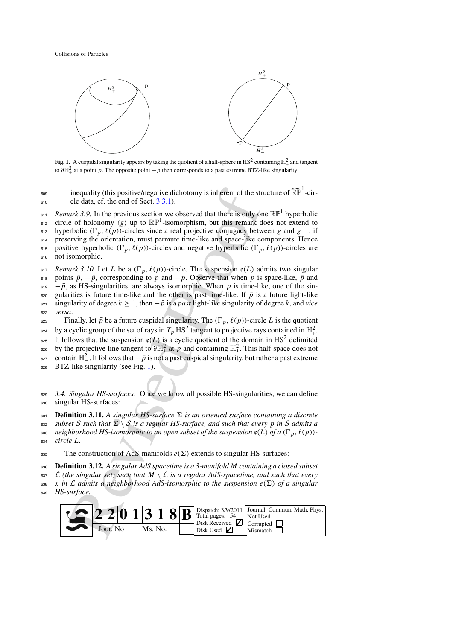

**Fig. 1.** A cuspidal singularity appears by taking the quotient of a half-sphere in HS<sup>2</sup> containing  $\mathbb{H}^2_+$  and tangent to  $\partial \mathbb{H}^2_+$  at a point *p*. The opposite point  $-p$  then corresponds to a past extreme BTZ-like singularity

inequality (this positive/negative dichotomy is inherent of the structure of  $\widetilde{\mathbb{RP}}^1$ -cir-<sup>610</sup> cle data, cf. the end of Sect. 3.3.1).

<span id="page-14-4"></span><span id="page-14-2"></span> $Remark 3.9$ . In the previous section we observed that there is only one  $\mathbb{RP}^1$  hyperbolic  $\epsilon_{12}$  circle of holonomy  $\langle g \rangle$  up to  $\mathbb{RP}^1$ -isomorphism, but this remark does not extend to <sub>613</sub> hyperbolic (Γ<sub>p</sub>,  $\ell(p)$ )-circles since a real projective conjugacy between *g* and  $g^{-1}$ , if <sup>614</sup> preserving the orientation, must permute time-like and space-like components. Hence 615 positive hyperbolic  $(\Gamma_p, \ell(p))$ -circles and negative hyperbolic  $(\Gamma_p, \ell(p))$ -circles are <sup>616</sup> not isomorphic.

<span id="page-14-1"></span>inequality (this positive/negative [d](#page-14-1)ichotomy is inherent of the strate data, cf. the end of Sect. 3.3.1).<br>
ark 3.9. In the previous section we observed that there is only or<br>  $\sigma$  of  $\sigma$  holonomy (g) up to RP<sup>1</sup>-isomorph 617 *Remark 3.10.* Let *L* be a  $(\Gamma_p, \ell(p))$ -circle. The suspension  $\mathfrak{e}(L)$  admits two singular solutions  $\bar{p}$ .  $-\bar{p}$ , corresponding to *p* and  $-p$ . Observe that when *p* is space-like.  $\bar{p}$  and points  $\bar{p}$ , − $\bar{p}$ , corresponding to *p* and −*p*. Observe that when *p* is space-like,  $\bar{p}$  and  $\overline{\rho}$ , as HS-singularities, are always isomorphic. When *p* is time-like, one of the sin-620 gularities is future time-like and the other is past time-like. If  $\bar{p}$  is a future light-like  $\sum_{n=1}^{\infty}$  singularity of degree  $k \ge 1$ , then  $-\bar{p}$  is a *past* light-like singularity of degree *k*, and *vice* <sup>622</sup> *versa*.

623 Finally, let  $\bar{p}$  be a future cuspidal singularity. The  $(\Gamma_p, \ell(p))$ -circle L is the quotient <sup>624</sup> by a cyclic group of the set of rays in  $T_p$  HS<sup>2</sup> tangent to projective rays contained in  $\mathbb{H}^2_+$ . <sup>625</sup> It follows that the suspension  $\varepsilon(L)$  is a cyclic quotient of the domain in HS<sup>2</sup> delimited by the projective line tangent to  $\partial \mathbb{H}^2$  at p and containing  $\mathbb{H}^2$ . This half-space does not by the projective line tangent to  $\partial \mathbb{H}^2_+$  at *p* and containing  $\mathbb{H}^2_+$ . This half-space does not  $_{627}$  contain  $\mathbb{H}^2$ . It follows that  $-\bar{p}$  is not a past cuspidal singularity, but rather a past extreme 628 BTZ-like singularity (see Fig. 1).

<span id="page-14-0"></span><sup>629</sup> *3.4. Singular HS-surfaces.* Once we know all possible HS-singularities, we can define <sup>630</sup> singular HS-surfaces:

<span id="page-14-3"></span>**Definition 3.11.** A singular HS-surface  $\Sigma$  is an oriented surface containing a discrete *subset S* such that  $\Sigma \setminus S$  *is a regular HS-surface, and such that every p in S admits a neighborhood HS-isomorphic to an open subset of the suspension*  $\mathfrak{e}(L)$  *of a*  $(\Gamma_p, \ell(p))$ -<br>634 *circle L. circle L.*

635 The construction of AdS-manifolds  $e(\Sigma)$  extends to singular HS-surfaces:

<sup>636</sup> **Definition 3.12.** *A singular AdS spacetime is a 3-manifold M containing a closed subset*

637 *L* (the singular set) such that  $M \setminus L$  is a regular AdS-spacetime, and such that every  $\cos x$  in *L* admits a neighborhood AdS-isomorphic to the suspension  $e(\Sigma)$  of a singular  $\frac{1}{638}$  *x* in *L* admits a neighborhood AdS-isomorphic to the suspension  $e(\Sigma)$  of a singular  $\text{HS-surface}$ .

<sup>639</sup> *HS-surface.*

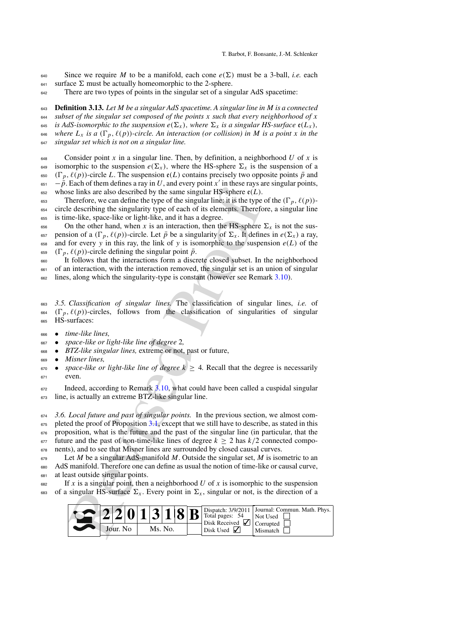640 Since we require *M* to be a manifold, each cone  $e(\Sigma)$  must be a 3-ball, *i.e.* each  $641$  surface  $\Sigma$  must be actually homeomorphic to the 2-sphere.

<span id="page-15-2"></span> $642$  There are two types of points in the singular set of a singular AdS spacetime:

 **Definition 3.13.** *Let M be a singular AdS spacetime. A singular line in M is a connected subset of the singular set composed of the points x such that every neighborhood of x is AdS-isomorphic to the suspension*  $e(\Sigma_x)$ *, where*  $\Sigma_x$  *is a singular HS-surface*  $e(L_x)$ , 646 *where*  $L_x$  *is a* ( $\Gamma_n$ ,  $\ell(p)$ )-circle. An interaction (or collision) in M is a point x in the where  $L_x$  is a  $(\Gamma_p, \ell(p))$ -circle. An interaction (or collision) in M is a point x in the *singular set which is not on a singular line.*

648 Consider point x in a singular line. Then, by definition, a neighborhood U of x is 649 isomorphic to the suspension  $e(\Sigma_x)$ , where the HS-sphere  $\Sigma_x$  is the suspension of a <sup>650</sup> ( $\Gamma_p$ ,  $\ell(p)$ )-circle *L*. The suspension  $\epsilon(L)$  contains precisely two opposite points  $\bar{p}$  and  $-\bar{p}$ . Each of them defines a ray in *U*, and every point x' in these rays are singular points.  $-\bar{p}$ . Each of them defines a ray in *U*, and every point x' in these rays are singular points, 652 whose links are also described by the same singular HS-sphere  $\varepsilon(L)$ .<br>
Therefore, we can define the type of the singular line: it is the type

Therefore, we can define the type of the singular line: it is the type of the  $(\Gamma_p, \ell(p))$ -<sup>654</sup> circle describing the singularity type of each of its elements. Therefore, a singular line <sup>655</sup> is time-like, space-like or light-like, and it has a degree.

656 On the other hand, when *x* is an interaction, then the HS-sphere  $\Sigma$ <sub>x</sub> is not the sus-657 pension of a  $(\Gamma_p, \ell(p))$ -circle. Let  $\bar{p}$  be a singularity of  $\Sigma_x$ . It defines in  $e(\Sigma_x)$  a ray, 658 and for every *y* in this ray, the link of *y* is isomorphic to the suspension  $e(L)$  of the 659 ( $\Gamma_p$ ,  $\ell(p)$ )-circle defining the singular point  $\bar{p}$ .

<sup>660</sup> It follows that the interactions form a discrete closed subset. In the neighborhood <sup>661</sup> of an interaction, with the interaction removed, the singular set is an union of singular

 $662$  lines, along which the singularity-type is constant (however see Remark [3.10\)](#page-14-2).

<span id="page-15-0"></span><sup>663</sup> *3.5. Classification of singular lines.* The classification of singular lines, *i.e.* of  $f_{664}$  ( $\Gamma_p$ ,  $\ell(p)$ )-circles, follows from the classification of singularities of singular <sup>665</sup> HS-surfaces:

<sup>666</sup> • *time-like lines,*

- <sup>667</sup> *space-like or light-like line of degree* 2*,*
- <sup>668</sup> *BTZ-like singular lines,* extreme or not, past or future,
- <sup>669</sup> *Misner lines,*

 $\text{670}$  • *space-like or light-like line of degree k*  $\geq$  4. Recall that the degree is necessarily <sup>671</sup> even.

<span id="page-15-1"></span> $672$  Indeed, according to Remark  $3.10$ , what could have been called a cuspidal singular <sup>673</sup> line, is actually an extreme BTZ-like singular line.

s[e](#page-14-2) links are also described by the same singular HS-sphere  $\epsilon(L)$ <br>berefore, we can define the type of the singular links it [is](#page-3-2) the type<br>describing the singularity type of each of its elements. Therefore,<br>electricity are e *3.6. Local future and past of singular points.* In the previous section, we almost com-675 pleted the proof of Proposition 3.1, except that we still have to describe, as stated in this proposition, what is the future and the past of the singular line (in particular, that the future and the past of non-time-like lines of degree  $k \ge 2$  has  $k/2$  connected compo-nents), and to see that Misner lines are surrounded by closed causal curves.

<sup>679</sup> Let *M* be a singular AdS-manifold *M*. Outside the singular set, *M* is isometric to an <sup>680</sup> AdS manifold. Therefore one can define as usual the notion of time-like or causal curve, <sup>681</sup> at least outside singular points.

 $682$  If *x* is a singular point, then a neighborhood *U* of *x* is isomorphic to the suspension 683 of a singular HS-surface  $\Sigma_x$ . Every point in  $\Sigma_x$ , singular or not, is the direction of a

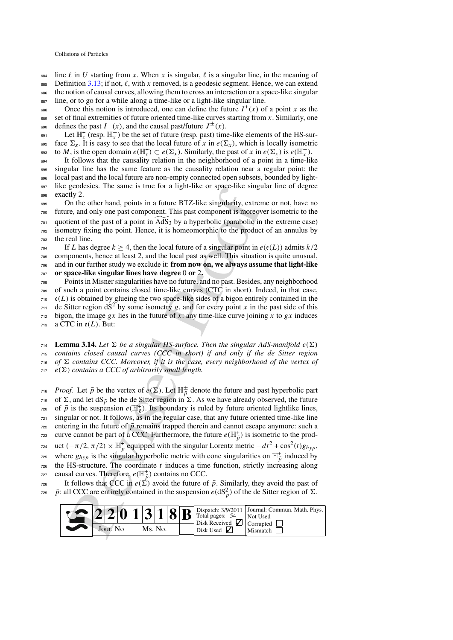$684$  line  $\ell$  in *U* starting from *x*. When *x* is singular,  $\ell$  is a singular line, in the meaning of 685 Definition [3.13;](#page-15-2) if not,  $\ell$ , with x removed, is a geodesic segment. Hence, we can extend the notion of causal curves, allowing them to cross an interaction or a space-like singular

<sup>687</sup> line, or to go for a while along a time-like or a light-like singular line.

Once this notion is introduced, one can define the future  $I^+(x)$  of a point *x* as the <sup>689</sup> set of final extremities of future oriented time-like curves starting from *x*. Similarly, one defines the past  $I^-(x)$ , and the causal past/future  $J^{\pm}(x)$ .

 $\mathbb{E}_{\mathbf{x}}$  (resp.  $\mathbb{H}_{\mathbf{x}}^-$ ) be the set of future (resp. past) time-like elements of the HS-sur-692 face  $\Sigma_x$ . It is easy to see that the local future of x in  $e(\Sigma_x)$ , which is locally isometric to *M*, is the open domain  $e(\mathbb{H}_x^+) \subset e(\Sigma_x)$ . Similarly, the past of *x* in  $e(\Sigma_x)$  is  $e(\mathbb{H}_x^-)$ .

 It follows that the causality relation in the neighborhood of a point in a time-like singular line has the same feature as the causality relation near a regular point: the local past and the local future are non-empty connected open subsets, bounded by light- like geodesics. The same is true for a light-like or space-like singular line of degree exactly 2.

 On the other hand, points in a future BTZ-like singularity, extreme or not, have no future, and only one past component. This past component is moreover isometric to the quotient of the past of a point in  $\widetilde{AdS}_3$  by a hyperbolic (parabolic in the extreme case) isometry fixing the point. Hence, it is homeomorphic to the product of an annulus by the real line.

If *L* has degree  $k \ge 4$ , then the local future of a singular point in  $e(e(L))$  admits  $k/2$  components, hence at least 2, and the local past as well. This situation is quite unusual. components, hence at least 2, and the local past as well. This situation is quite unusual, and in our further study we exclude it: **from now on, we always assume that light-like or space-like singular lines have degree** 0 **or** 2**.**

 Points in Misner singularities have no future, and no past. Besides, any neighborhood of such a point contains closed time-like curves (CTC in short). Indeed, in that case,  $\epsilon(L)$  is obtained by glueing the two space-like sides of a bigon entirely contained in the das Side of this  $\epsilon_{11}$  de Sitter region dS<sup>2</sup> by some isometry g, and for every point x in the past side of this de Sitter region  $dS^2$  by some isometry *g*, and for every point *x* in the past side of this bigon, the image *gx* lies in the future of *x*: any time-like curve joining *x* to *gx* induces a CTC in  $\mathfrak{e}(L)$ . But:

<span id="page-16-0"></span>714 **Lemma 3.14.** Let  $\Sigma$  be a singular HS-surface. Then the singular AdS-manifold  $e(\Sigma)$ <sup>715</sup> *contains closed causal curves (CCC in short) if and only if the de Sitter region*  $\tau$ <sup>16</sup> *of*  $\Sigma$  contains CCC. Moreover, if it is the case, every neighborhood of the vertex of

 $e(\Sigma)$  *contains a CCC of arbitrarily small length.* 

geocosistos. In estate is tue tot a nyant-nice of space-inte singe<br>
geocosistos. In estate is tue tot a nyant-nice of space-inte singer<br>
any 2,<br>
the other hand, points in a future BTZ-like singularity, extreme<br>
ient of th *Proof.* Let  $\bar{p}$  be the vertex of  $e(\Sigma)$ . Let  $\mathbb{H}_{\bar{p}}^{\pm}$  denote the future and past hyperbolic part <sup>719</sup> of  $\Sigma$ , and let dS<sub>*p*</sub> be the de Sitter region in  $\Sigma$ . As we have already observed, the future  $\bar{p}$  is the suspension  $e(\mathbb{H}_{\bar{p}}^+)$ . Its boundary is ruled by future oriented lightlike lines,  $721$  singular or not. It follows, as in the regular case, that any future oriented time-like line  $722$  entering in the future of  $\bar{p}$  remains trapped therein and cannot escape anymore: such a za curve cannot be part of a CCC. Furthermore, the future  $e(\mathbb{H}_{\bar{p}}^{+})$  is isometric to the prod- $T_{724}$  uct  $(-\pi/2, \pi/2) \times \mathbb{H}^+_{\overline{p}}$  equipped with the singular Lorentz metric  $-dt^2 + \cos^2(t)g_{hyp}$ , where  $g_{hyp}$  is the singular hyperbolic metric with cone singularities on  $\mathbb{H}^+_{\vec{p}}$  induced by <sup>726</sup> the HS-structure. The coordinate *t* induces a time function, strictly increasing along causal curves. Therefore,  $e(\mathbb{H}_{\bar{p}}^+)$  contains no CCC.

728 It follows that CCC in  $e(\Sigma)$  avoid the future of  $\bar{p}$ . Similarly, they avoid the past of  $\bar{p}$ : all CCC are entirely contained in the suspension  $\bar{e}$ (dS<sup>2</sup> $_{\bar{p}}$ ) of the de Sitter region of  $\Sigma$ .

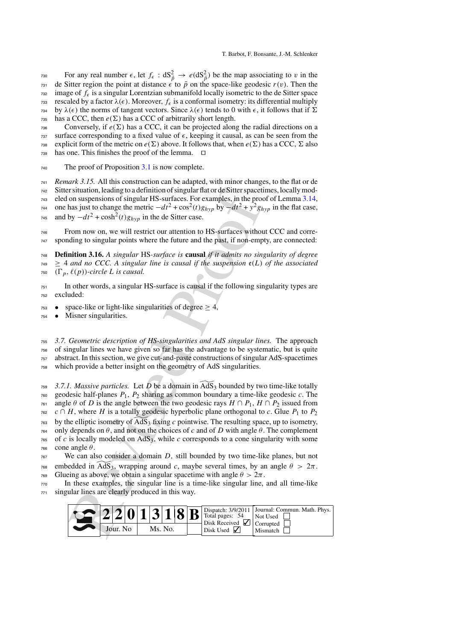For any real number  $\epsilon$ , let  $f_{\epsilon}$  :  $dS_{\bar{p}}^2 \to e(dS_{\bar{p}}^2)$  be the map associating to v in the <sup>731</sup> de Sitter region the point at distance  $\epsilon$  to  $\bar{p}$  on the space-like geodesic  $r(v)$ . Then the  $732$  image of  $f_{\epsilon}$  is a singular Lorentzian submanifold locally isometric to the de Sitter space  $733$  rescaled by a factor  $\lambda(\epsilon)$ . Moreover,  $f_{\epsilon}$  is a conformal isometry: its differential multiply 734 by  $\lambda(\epsilon)$  the norms of tangent vectors. Since  $\lambda(\epsilon)$  tends to 0 with  $\epsilon$ , it follows that if  $\Sigma$ 

735 has a CCC, then  $e(\Sigma)$  has a CCC of arbitrarily short length.

Conversely, if  $e(\Sigma)$  has a CCC, it can be projected along the radial directions on a  $737$  surface corresponding to a fixed value of  $\epsilon$ , keeping it causal, as can be seen from the 738 explicit form of the metric on *e*(Σ) above. It follows that, when *e*(Σ) has a CCC, Σ also

 $739$  has one. This finishes the proof of the lemma.  $\Box$ 

<sup>740</sup> The proof of Proposition [3.1](#page-3-2) is now complete.

<sup>741</sup> *Remark 3.15.* All this construction can be adapted, with minor changes, to the flat or de  $742$  Sitter situation, leading to a definition of singular flat or de Sitter spacetimes, locally mod-<sup>743</sup> eled on suspensions of singular HS-surfaces. For examples, in the proof of Lemma [3.14,](#page-16-0)

 $\sigma$ <sub>744</sub> one has just to change the metric  $-dt^2 + \cos^2(t)g_{hyp}$  by  $-dt^2 + y^2g_{hyp}$  in the flat case, <sup>745</sup> and by  $-dt^2 + \cosh^2(t)g_{hvp}$  in the de Sitter case.

<span id="page-17-2"></span><sup>746</sup> From now on, we will restrict our attention to HS-surfaces without CCC and corre-<sup>747</sup> sponding to singular points where the future and the past, if non-empty, are connected:

<sup>748</sup> **Definition 3.16.** *A singular* HS*-surface is* **causal** *if it admits no singularity of degree* 749  $\geq$  4 *and no CCC. A singular line is causal if the suspension*  $e(L)$  *of the associated*  $\sum_{r=0}^{\infty}$  ( $\Gamma_{n}, \ell(p)$ )-circle L is causal.  $(\Gamma_n, \ell(p))$ -circle L is causal.

<sup>751</sup> In other words, a singular HS-surface is causal if the following singularity types are <sup>752</sup> excluded:

 $753 \bullet$  space-like or light-like singularities of degree  $> 4$ .

<sup>754</sup> • Misner singularities.

<span id="page-17-1"></span><span id="page-17-0"></span> *3.7. Geometric description of HS-singularities and AdS singular lines.* The approach of singular lines we have given so far has the advantage to be systematic, but is quite abstract. In this section, we give cut-and-paste constructions of singular AdS-spacetimes which provide a better insight on the geometry of AdS singularities.

r situation, leading to a definition of singular flat or de Sitter space<br>on suspensions of singular Hat or de Sitter spaces.<br>In the proof singular HS surfaces For examples, an he proof say in the proof<br>has just to change 759 3.7.1. Massive particles. Let D be a domain in  $\widetilde{AdS}_3$  bounded by two time-like totally geodesic half-planes  $P_1$ ,  $P_2$  sharing as common boundary a time-like geodesic *c*. The angle  $\theta$  of *D* is the angle between the two geodesic rays  $H \cap P_1$ ,  $H \cap P_2$  issued from *c* ∩ *H*, where *H* is a totally geodesic hyperbolic plane orthogonal to *c*. Glue  $P_1$  to  $P_2$  by the elliptic isometry of  $\widetilde{AdS}_3$  fixing *c* pointwise. The resulting space, up to isometry, only depends on θ, and not on the choices of *c* and of *D* with angle θ. The complement of *c* is locally modeled on AdS<sub>3</sub>, while *c* corresponds to a cone singularity with some cone angle θ.

<sup>767</sup> We can also consider a domain *D*, still bounded by two time-like planes, but not <sup>768</sup> embedded in  $\widetilde{AdS_3}$ , wrapping around *c*, maybe several times, by an angle  $\theta > 2\pi$ . 769 Glueing as above, we obtain a singular spacetime with angle  $\theta > 2\pi$ .

<span id="page-17-3"></span><sup>770</sup> In these examples, the singular line is a time-like singular line, and all time-like <sup>771</sup> singular lines are clearly produced in this way.

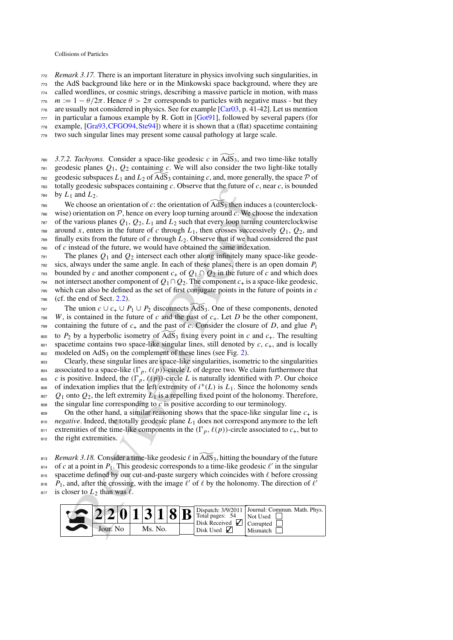<sup>772</sup> *Remark 3.17.* There is an important literature in physics involving such singularities, in

<sup>773</sup> the AdS background like here or in the Minkowski space background, where they are

<sup>774</sup> called wordlines, or cosmic strings, describing a massive particle in motion, with mass

 $m := 1 - \theta/2\pi$ . Hence  $\theta > 2\pi$  corresponds to particles with negative mass - but they

 $776$  are usually not considered in physics. See for example [\[Car03](#page-52-12), p. 41-42]. Let us mention

 $777$  in particular a famous example by R. Gott in [\[Got91\]](#page-52-14), followed by several papers (for

 $778$  example, [\[Gra93](#page-52-15), CFGO94, [Ste94\]](#page-52-17)) where it is shown that a (flat) spacetime containing

<sup>779</sup> two such singular lines may present some causal pathology at large scale.

<span id="page-18-0"></span> 3.7.2. Tachyons. Consider a space-like geodesic c in  $\widetilde{AdS}_3$ , and two time-like totally geodesic planes  $Q_1$ ,  $Q_2$  containing *c*. We will also consider the two light-like totally geodesic subspaces  $L_1$  and  $L_2$  of  $\widetilde{AdS}_3$  containing *c*, and, more generally, the space  $P$  of totally geodesic subspaces containing *c*. Observe that the future of *c*, near *c*, is bounded by  $L_1$  and  $L_2$ .

<sup>785</sup> We choose an orientation of *c*: the orientation of  $\widetilde{AdS_3}$  then induces a (counterclock*r*86 wise) orientation on  $P$ , hence on every loop turning around *c*. We choose the indexation of the various planes  $Q_1$ ,  $Q_2$ ,  $L_1$  and  $L_2$  such that every loop turning counterclockwise of the various planes  $Q_1$ ,  $Q_2$ ,  $L_1$  and  $L_2$  such that every loop turning counterclockwise  $\tau$ <sup>88</sup> around *x*, enters in the future of *c* through  $L_1$ , then crosses successively  $Q_1$ ,  $Q_2$ , and  $789$  finally exits from the future of *c* through  $L_2$ . Observe that if we had considered the past <sup>790</sup> of *c* instead of the future, we would have obtained the same indexation.

 $_{791}$  The planes  $Q_1$  and  $Q_2$  intersect each other along infinitely many space-like geode- $\frac{1}{2}$  sics, always under the same angle. In each of these planes, there is an open domain  $P_i$  $793$  bounded by *c* and another component  $c_+$  of  $Q_1 \cap Q_2$  in the future of *c* and which does 794 not intersect another component of  $Q_1 ∩ Q_2$ . The component  $c_+$  is a space-like geodesic, <sup>795</sup> which can also be defined as the set of first conjugate points in the future of points in *c*  $796$  (cf. the end of Sect. 2.2).

y geodes using c. Observe that the future of  $c$ ,<br>  $R = 0.02$  and  $L_2$ .<br>  $R = 0.02$  and  $L_2$  and  $L_3$  and  $L_4$  and  $L_5$  or the chiral and  $C$ . We choose an orientation of  $C$ : the orientation of AdS<sub>3</sub> then induces of The union  $c \cup c_+ \cup P_1 \cup P_2$  disconnects  $\widetilde{AdS}_3$ . One of these components, denoted  $798$  *W*, is contained in the future of *c* and the past of  $c_{+}$ . Let *D* be the other component,  $_{799}$  containing the future of  $c_+$  and the past of *c*. Consider the closure of *D*, and glue  $P_1$ <sup>800</sup> to  $P_2$  by a hyperbolic isometry of  $\widetilde{AdS}_3$  fixing every point in *c* and *c*<sub>+</sub>. The resulting  $801$  spacetime contains two space-like singular lines, still denoted by  $c$ ,  $c_+$ , and is locally 802 modeled on AdS<sub>3</sub> on the complement of these lines (see Fig. 2).

803 Clearly, these singular lines are space-like singularities, isometric to the singularities 804 associated to a space-like  $(\Gamma_p, \ell(p))$ -circle *L* of degree two. We claim furthermore that <sup>805</sup> *c* is positive. Indeed, the  $(\Gamma_p, \ell(p))$ -circle *L* is naturally identified with *P*. Our choice of indexation implies that the left extremity of  $i^+(L)$  is  $L_1$ . Since the holonomy sends of indexation implies that the left extremity of  $i^+(L)$  is  $L_1$ . Since the holonomy sends  $807$  *Q*<sub>1</sub> onto *Q*<sub>2</sub>, the left extremity *L*<sub>1</sub> is a repelling fixed point of the holonomy. Therefore,  $808$  the singular line corresponding to *c* is positive according to our terminology.

809 On the other hand, a similar reasoning shows that the space-like singular line  $c_{+}$  is 810 *negative*. Indeed, the totally geodesic plane  $L_1$  does not correspond anymore to the left 811 extremities of the time-like components in the  $(\Gamma_p, \ell(p))$ -circle associated to  $c_+$ , but to 812 the right extremities.

<span id="page-18-1"></span>813 *Remark 3.18*. Consider a time-like geodesic  $\ell$  in  $\widetilde{AdS}_3$ , hitting the boundary of the future  $\epsilon_{814}$  of *c* at a point in  $P_1$ . This geodesic corresponds to a time-like geodesic  $\ell'$  in the singular 815 spacetime defined by our cut-and-paste surgery which coincides with  $\ell$  before crossing  $P_1$ , and, after the crossing, with the image  $\ell'$  of  $\ell$  by the holonomy. The direction of  $\ell'$ 817 is closer to  $L_2$  than was  $\ell$ .

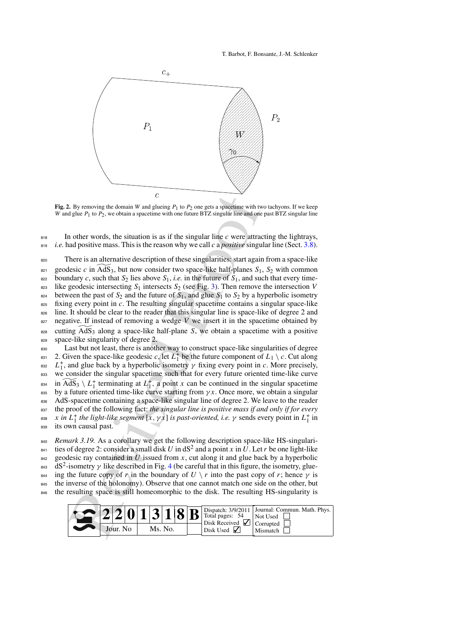

**Fig. 2.** By removing the domain *W* and glueing  $P_1$  to  $P_2$  one gets a spacetime with two tachyons. If we keep *W* and glue *P*<sub>1</sub> to *P*<sub>2</sub>, we obtain a spacetime with one future BTZ singular line and one past BTZ singular line

<sup>818</sup> In other words, the situation is as if the singular line *c* were attracting the lightrays, <sup>819</sup> *i.e.* had positive mass. This is the reason why we call *c* a *positive* singular line (Sect. [3.8\)](#page-23-0).

<span id="page-19-0"></span>Let by removing the domain *W* and glueing  $P_1$  to  $P_2$  one gets a spacetime with to glue  $P_1$  to  $P_2$ , we obtain a spacetime with one future BTZ singular line and one of the revised and positive singular infere is an <sup>820</sup> There is an alternative description of these singularities: start again from a space-like <sup>821</sup> geodesic *c* in  $\widetilde{AdS_3}$ , but now consider two space-like half-planes  $S_1$ ,  $S_2$  with common 822 boundary *c*, such that  $S_2$  lies above  $S_1$ , *i.e.* in the future of  $S_1$ , and such that every time-823 like geodesic intersecting  $S_1$  intersects  $S_2$  (see Fig. 3). Then remove the intersection *V* <sup>824</sup> between the past of  $S_2$  and the future of  $S_1$ , and glue  $S_1$  to  $S_2$  by a hyperbolic isometry <sup>825</sup> fixing every point in *c*. The resulting singular spacetime contains a singular space-like 826 line. It should be clear to the reader that this singular line is space-like of degree 2 and <sup>827</sup> negative. If instead of removing a wedge *V* we insert it in the spacetime obtained by <sup>828</sup> cutting  $\widetilde{AdS}_3$  along a space-like half-plane *S*, we obtain a spacetime with a positive <sup>829</sup> space-like singularity of degree 2. 830 Last but not least, there is another way to construct space-like singularities of degree 2. Given the space-like geodesic *c*, let  $L_1^+$  be the future component of  $L_1 \setminus c$ . Cut along  $L_1^+$ , and glue back by a hyperbolic isometry γ fixing every point in *c*. More precisely, 833 we consider the singular spacetime such that for every future oriented time-like curve  $\lim_{n \to \infty} \widetilde{AdS}_3 \setminus L_1^+$  terminating at  $L_1^+$ , a point *x* can be continued in the singular spacetime 835 by a future oriented time-like curve starting from  $\gamma x$ . Once more, we obtain a singular 836 AdS-spacetime containing a space-like singular line of degree 2. We leave to the reader <sup>837</sup> the proof of the following fact: *the singular line is positive mass if and only if for every x in*  $L_1^+$  *the light-like segment*  $[x, \gamma x]$  *is past-oriented, i.e.*  $\gamma$  sends every point in  $L_1^+$  in <sup>839</sup> its own causal past.

<span id="page-19-1"></span>840 *Remark 3.19.* As a corollary we get the following description space-like HS-singulari- $\frac{1}{841}$  ties of degree 2: consider a small disk *U* in dS<sup>2</sup> and a point *x* in *U*. Let *r* be one light-like  $842$  geodesic ray contained in *U* issued from *x*, cut along it and glue back by a hyperbolic  $dS<sup>2</sup>$ -isometry γ like described in Fig. 4 (be careful that in this figure, the isometry, glue-<sup>844</sup> ing the future copy of *r* in the boundary of  $U \setminus r$  into the past copy of *r*; hence  $\gamma$  is <sup>845</sup> the inverse of the holonomy). Observe that one cannot match one side on the other, but <sup>846</sup> the resulting space is still homeomorphic to the disk. The resulting HS-singularity is

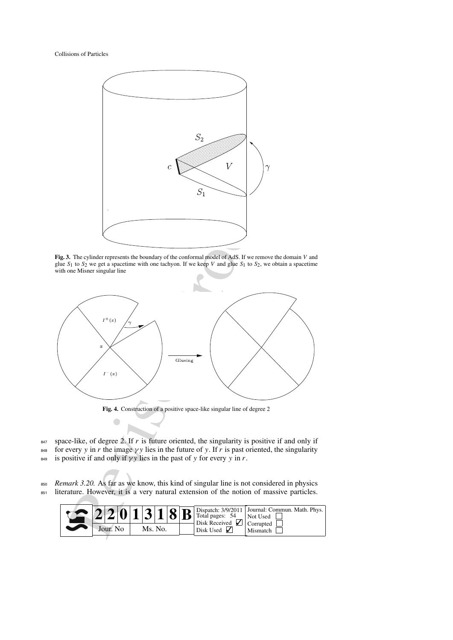Collisions of Particles



<span id="page-20-0"></span>**Fig. 3.** The cylinder represents the boundary of the conformal model of AdS. If we remove the domain *V* and glue  $S_1$  to  $S_2$  we get a spacetime with one tachyon. If we keep *V* and glue  $S_1$  to  $S_2$ , we obtain a spacetime with one Misner singular line



**Fig. 4.** Construction of a positive space-like singular line of degree 2

<span id="page-20-1"></span> $847$  space-like, of degree 2. If *r* is future oriented, the singularity is positive if and only if 848 for every *y* in *r* the image  $\gamma y$  lies in the future of *y*. If *r* is past oriented, the singularity 849 is positive if and only if  $\gamma y$  lies in the past of *y* for every *y* in *r*.

<span id="page-20-2"></span><sup>850</sup> *Remark 3.20.* As far as we know, this kind of singular line is not considered in physics 851 literature. However, it is a very natural extension of the notion of massive particles.

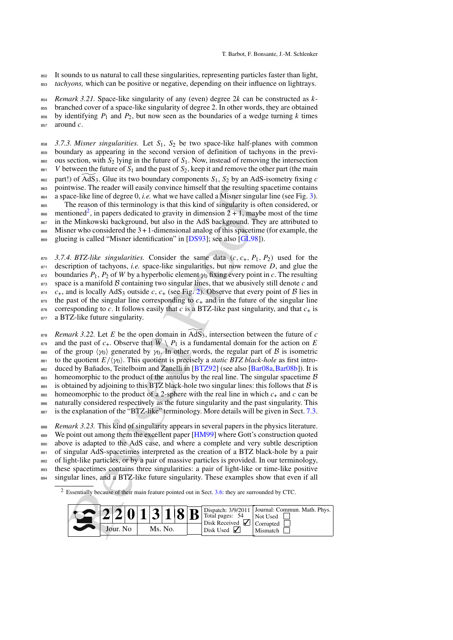<sup>852</sup> It sounds to us natural to call these singularities, representing particles faster than light, <sup>853</sup> *tachyons,* which can be positive or negative, depending on their influence on lightrays.

<span id="page-21-4"></span><sup>854</sup> *Remark 3.21.* Space-like singularity of any (even) degree 2*k* can be constructed as *k*-

<sup>855</sup> branched cover of a space-like singularity of degree 2. In other words, they are obtained 856 by identifying  $P_1$  and  $P_2$ , but now seen as the boundaries of a wedge turning k times <sup>857</sup> around *c*.

<span id="page-21-2"></span><sup>858</sup> *3.7.3. Misner singularities.* Let *S*1, *S*<sup>2</sup> be two space-like half-planes with common <sup>859</sup> boundary as appearing in the second version of definition of tachyons in the previ-<sup>860</sup> ous section, with  $S_2$  lying in the future of  $S_1$ . Now, instead of removing the intersection  $861$  *V* between the future of  $S_1$  and the past of  $S_2$ , keep it and remove the other part (the main  $\overline{\text{662}}$  part!) of  $\widetilde{\text{AdS}_3}$ . Glue its two boundary components  $S_1$ ,  $S_2$  by an AdS-isometry fixing *c* <sup>863</sup> pointwise. The reader will easily convince himself that the resulting spacetime contains 864 a space-like line of degree  $0$ , *i.e.* what we have called a Misner singular line (see Fig. [3\)](#page-20-0). <sup>865</sup> The reason of this terminology is that this kind of singularity is often considered, or <sub>s66</sub> mentioned<sup>2</sup>, in papers dedicated to gravity in dimension  $2 + 1$ , maybe most of the time 867 in the Minkowski background, but also in the AdS background. They are attributed to 868 Misner who considered the  $3 + 1$ -dimensional analog of this spacetime (for example, the

869 glueing is called "Misner identification" in [DS93]; see also [GL98]).

<span id="page-21-1"></span><span id="page-21-0"></span> 3.7.4. BTZ-like singularities. Consider the same data  $(c, c_{+}, P_{1}, P_{2})$  used for the description of tachyons, *i.e.* space-like singularities, but now remove *D*, and glue the 872 boundaries  $P_1$ ,  $P_2$  of *W* by a hyperbolic element γ<sub>0</sub> fixing every point in *c*. The resulting space is a manifold *B* containing two singular lines, that we abusively still denote *c* and *c*<sub>+</sub>, and is locally AdS<sub>3</sub> outside *c*, *c*<sub>+</sub> (see Fig. 2). Observe that every point of *B* lies in the past of the singular line corresponding to  $c_{+}$  and in the future of the singular line corresponding to *c*. It follows easily that *c* is a BTZ-like past singularity, and that  $c_+$  is 877 a BTZ-like future singularity.

EVENC. In Practate will easily convince humself that the resulting to<br>coc-like line of [d](#page-52-20)egree 0, *i.e.* what we have called a Missper singular<br>the reas[o](#page-52-19)n of this terminology is that this kind of singularity is of<br>tioned<sup>2</sup>  $878$  *Remark 3.22.* Let *E* be the open domain in  $\widetilde{AdS}_3$ , intersection between the future of *c* 879 and the past of  $c_{+}$ . Observe that  $W \setminus P_1$  is a fundamental domain for the action on E 880 of the group  $\langle \gamma_0 \rangle$  generated by  $\gamma_0$ . In other words, the regular part of *B* is isometric to the quotient  $E/\langle \gamma_0 \rangle$ . This quotient is precisely a *static BTZ black-hole* as first introto the quotient  $E/\langle \gamma_0 \rangle$ . This quotient is precisely a *static BTZ black-hole* as first intro-882 duced by Bañados, Teitelboim and Zanelli in [BTZ92] (see also [\[Bar08a,](#page-52-21) [Bar08b](#page-52-22)]). It is <sup>883</sup> homeomorphic to the product of the annulus by the real line. The singular spacetime *B* 884 is obtained by adjoining to this BTZ black-hole two singular lines: this follows that  $B$  is<br>885 homeomorphic to the product of a 2-sphere with the real line in which  $c_+$  and  $c$  can be homeomorphic to the product of a 2-sphere with the real line in which  $c_{+}$  and  $c$  can be 886 naturally considered respectively as the future singularity and the past singularity. This 887 is the explanation of the "BTZ-like" terminology. More details will be given in Sect. [7.3.](#page-47-0)

<sup>888</sup> *Remark 3.23.* This kind of singularity appears in several papers in the physics literature. 889 We point out among them the excellent paper [HM99] where Gott's construction quoted <sup>890</sup> above is adapted to the AdS case, and where a complete and very subtle description 891 of singular AdS-spacetimes interpreted as the creation of a BTZ black-hole by a pair <sup>892</sup> of light-like particles, or by a pair of massive particles is provided. In our terminology, <sup>893</sup> these spacetimes contains three singularities: a pair of light-like or time-like positive <sup>894</sup> singular lines, and a BTZ-like future singularity. These examples show that even if all

 $2$  Essentially because of their main feature pointed out in Sect. 3.6: they are surrounded by CTC.

<span id="page-21-3"></span>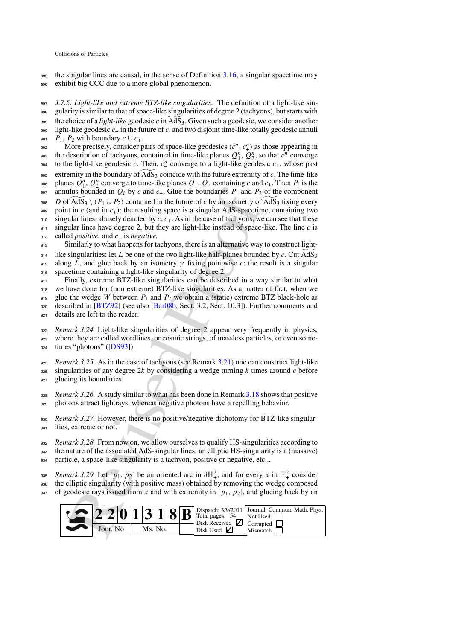$895$  the singular lines are causal, in the sense of Definition [3.16,](#page-17-2) a singular spacetime may

896 exhibit big CCC due to a more global phenomenon.

<span id="page-22-1"></span><sup>897</sup> *3.7.5. Light-like and extreme BTZ-like singularities.* The definition of a light-like sin-<sup>898</sup> gularity is similar to that of space-like singularities of degree 2 (tachyons), but starts with <sup>899</sup> the choice of a *light-like* geodesic *c* in  $\widetilde{AdS_3}$ . Given such a geodesic, we consider another  $\frac{1}{200}$  light-like geodesic  $c_{+}$  in the future of c, and two disjoint time-like totally geodesic annuli 901 *P*<sub>1</sub>, *P*<sub>2</sub> with boundary  $c \cup c_+$ .

dus bounded in  $Q_i$  by c and  $c_4$ . Glue the boundaries  $P_1$  $P_1$  and  $P_2$ <br>
AddS<sub>3</sub> ( $(P_1 \cup P_2)$  contained in the thure of c by an isometry of<br>  $\widehat{A}$ adS<sub>3</sub> ( $P_1 \cup P_2$ ) contained in the thure of c by an isometry of<br>
tin c More precisely, consider pairs of space-like geodesics  $(c^n, c^n)$  as those appearing in the description of tachyons, contained in time-like planes  $Q_1^n$ ,  $Q_2^n$ , so that  $c^n$  converge to the light-like geodesic *c*. Then,  $c_+^n$  converge to a light-like geodesic  $c_+$ , whose past 905 extremity in the boundary of  $\widetilde{AdS}_3$  coincide with the future extremity of *c*. The time-like  $\mathcal{Q}_1$ ,  $\mathcal{Q}_2$ <sup>n</sup>,  $\mathcal{Q}_2$ <sup>n</sup> converge to time-like planes  $Q_1$ ,  $Q_2$  containing *c* and *c*<sub>+</sub>. Then *P<sub>i</sub>* is the 907 annulus bounded in  $Q_i$  by  $c$  and  $c_+$ . Glue the boundaries  $P_1$  and  $P_2$  of the component 908 *D* of  $\widetilde{AdS}_3 \setminus (P_1 \cup P_2)$  contained in the future of *c* by an isometry of  $\widetilde{AdS}_3$  fixing every  $\frac{909}{200}$  point in *c* (and in *c*<sub>+</sub>): the resulting space is a singular AdS-spacetime, containing two 910 singular lines, abusely denoted by *c*, *c*<sub>+</sub>. As in the case of tachyons, we can see that these <sup>911</sup> singular lines have degree 2, but they are light-like instead of space-like. The line *c* is <sup>912</sup> called *positive,* and *c*<sup>+</sup> is *negative.*

<sup>913</sup> Similarly to what happens for tachyons, there is an alternative way to construct light-<sup>914</sup> like singularities: let *L* be one of the two light-like half-planes bounded by *c*. Cut  $\widetilde{AdS}_3$ 915 along *L*, and glue back by an isometry  $\gamma$  fixing pointwise *c*: the result is a singular <sup>916</sup> spacetime containing a light-like singularity of degree 2.

<sup>917</sup> Finally, extreme BTZ-like singularities can be described in a way similar to what <sup>918</sup> we have done for (non extreme) BTZ-like singularities. As a matter of fact, when we 919 glue the wedge *W* between  $P_1$  and  $P_2$  we obtain a (static) extreme BTZ black-hole as 920 described in [BTZ92] (see also [Bar08b, Sect. 3.2, Sect. 10.3]). Further comments and 921 details are left to the reader.

<span id="page-22-0"></span><sup>922</sup> *Remark 3.24.* Light-like singularities of degree 2 appear very frequently in physics, <sup>923</sup> where they are called wordlines, or cosmic strings, of massless particles, or even some-924 times "photons" ( $[DSS3]$ ).

<sup>925</sup> *Remark 3.25.* As in the case of tachyons (see Remark 3.21) one can construct light-like  $\frac{926}{926}$  singularities of any degree 2*k* by considering a wedge turning *k* times around *c* before <sup>927</sup> glueing its boundaries.

<span id="page-22-2"></span><sup>928</sup> *Remark 3.26.* A study similar to what has been done in Remark 3.18 shows that positive <sup>929</sup> photons attract lightrays, whereas negative photons have a repelling behavior.

<sup>930</sup> *Remark 3.27.* However, there is no positive/negative dichotomy for BTZ-like singular-931 ities, extreme or not.

<sup>932</sup> *Remark 3.28.* From now on, we allow ourselves to qualify HS-singularities according to <sup>933</sup> the nature of the associated AdS-singular lines: an elliptic HS-singularity is a (massive) <sup>934</sup> particle, a space-like singularity is a tachyon, positive or negative, etc...

*Remark 3.29.* Let  $[p_1, p_2]$  be an oriented arc in  $\partial \mathbb{H}^2_+$ , and for every *x* in  $\mathbb{H}^2_+$  consider

<sup>936</sup> the elliptic singularity (with positive mass) obtained by removing the wedge composed

937 of geodesic rays issued from x and with extremity in  $[p_1, p_2]$ , and glueing back by an

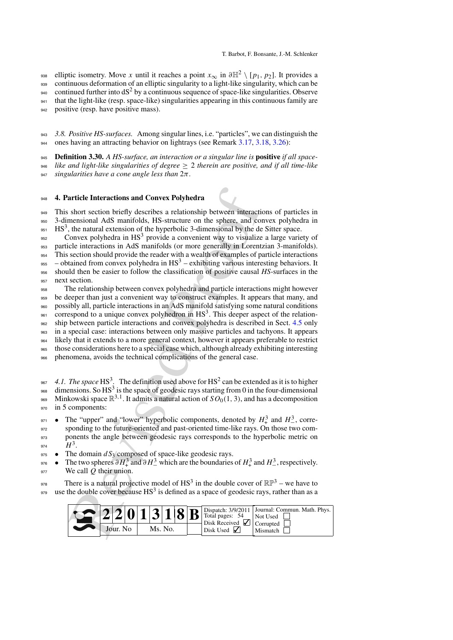elliptic isometry. Move *x* until it reaches a point  $x_{\infty}$  in  $\partial \mathbb{H}^2 \setminus [p_1, p_2]$ . It provides a

<sup>939</sup> continuous deformation of an elliptic singularity to a light-like singularity, which can be

940 continued further into  $dS^2$  by a continuous sequence of space-like singularities. Observe

<sup>941</sup> that the light-like (resp. space-like) singularities appearing in this continuous family are

<sup>942</sup> positive (resp. have positive mass).

<span id="page-23-0"></span><sup>943</sup> *3.8. Positive HS-surfaces.* Among singular lines, i.e. "particles", we can distinguish the <sup>944</sup> ones having an attracting behavior on lightrays (see Remark [3.17,](#page-17-3) [3.18,](#page-18-1) [3.26\)](#page-22-2):

<sup>945</sup> **Definition 3.30.** *A HS-surface, an interaction or a singular line is* **positive** *if all space-*

<sup>946</sup> *like and light-like singularities of degree* ≥ 2 *therein are positive, and if all time-like*

<sup>947</sup> *singularities have a cone angle less than* 2π*.*

<span id="page-23-1"></span><sup>948</sup> **4. Particle Interactions and Convex Polyhedra**

<sup>949</sup> This short section briefly describes a relationship between interactions of particles in <sup>950</sup> 3-dimensional AdS manifolds, HS-structure on the sphere, and convex polyhedra in

 $HSS<sup>3</sup>$ , the natural extension of the hyperbolic 3-dimensional by the de Sitter space.  $_{952}$  Convex polyhedra in HS<sup>3</sup> provide a convenient way to visualize a large variety of

<sup>953</sup> particle interactions in AdS manifolds (or more generally in Lorentzian 3-manifolds).

<sup>954</sup> This section should provide the reader with a wealth of examples of particle interactions  $_{955}$  – obtained from convex polyhedra in HS<sup>3</sup> – exhibiting various interesting behaviors. It

<sup>956</sup> should then be easier to follow the classification of positive causal *HS*-surfaces in the 957 next section.

<sup>958</sup> The relationship between convex polyhedra and particle interactions might however <sup>959</sup> be deeper than just a convenient way to construct examples. It appears that many, and

possibly all, particle interactions in an AdS manifold satisfying some natural conditions

 $\frac{1}{261}$  correspond to a unique convex polyhedron in HS<sup>3</sup>. This deeper aspect of the relation-

962 ship between particle interactions and convex polyhedra is described in Sect. [4.5](#page-27-0) only

<sup>963</sup> in a special case: interactions between only massive particles and tachyons. It appears

likely that it extends to a more general context, however it appears preferable to restrict

<sup>965</sup> those considerations here to a special case which, although already exhibiting interesting

phenomena, avoids the technical complications of the general case.

<span id="page-23-2"></span> $4.1.$  The space HS<sup>3</sup>. The definition used above for HS<sup>2</sup> can be extended as it is to higher  $\frac{1}{1008}$  dimensions. So HS<sup>3</sup> is the space of geodesic rays starting from 0 in the four-dimensional 969 Minkowski space  $\mathbb{R}^{3,1}$ . It admits a natural action of  $SO_0(1, 3)$ , and has a decomposition <sup>970</sup> in 5 components:

• The "upper" and "lower" hyperbolic components, denoted by  $H_+^3$  and  $H_-^3$ , corre-<sup>972</sup> sponding to the future-oriented and past-oriented time-like rays. On those two com-<sup>973</sup> ponents the angle between geodesic rays corresponds to the hyperbolic metric on 974  $H^3$ .

- $\bullet$  The domain  $dS_3$  composed of space-like geodesic rays.
- $\bullet$  The two spheres  $\partial H_+^3$  and  $\partial H_-^3$  which are the boundaries of  $H_+^3$  and  $H_-^3$ , respectively. <sup>977</sup> We call *Q* their union.

There is a natural projective model of  $HS^3$  in the double cover of  $\mathbb{RP}^3$  – we have to  $\frac{979}{979}$  use the double cover because HS<sup>3</sup> is defined as a space of geodesic rays, rather than as a

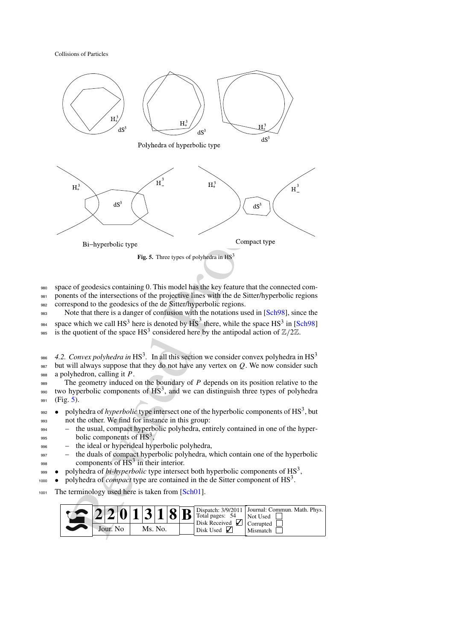

- <span id="page-24-1"></span><sup>980</sup> space of geodesics containing 0. This model has the key feature that the connected com-<sup>981</sup> ponents of the intersections of the projective lines with the de Sitter/hyperbolic regions
- <sup>982</sup> correspond to the geodesics of the de Sitter/hyperbolic regions.
- 983 Note that there is a danger of confusion with the notations used in [\[Sch98\]](#page-52-24), since the space which we call HS<sup>3</sup> here is denoted by  $\widetilde{HS}^3$  there, while the space HS<sup>3</sup> in [\[Sch98](#page-52-24)]
- <sup>985</sup> is the quotient of the space HS<sup>3</sup> considered here by the antipodal action of  $\mathbb{Z}/2\mathbb{Z}$ .

<span id="page-24-0"></span><sup>986</sup> 4.2. Convex polyhedra in  $HS<sup>3</sup>$ . In all this section we consider convex polyhedra in  $HS<sup>3</sup>$  $_{987}$  but will always suppose that they do not have any vertex on *Q*. We now consider such <sup>988</sup> a polyhedron, calling it *P*.

<sup>989</sup> The geometry induced on the boundary of *P* depends on its position relative to the  $\frac{1}{290}$  two hyperbolic components of HS<sup>3</sup>, and we can distinguish three types of polyhedra 991 (Fig. 5).

- $_{992}$  polyhedra of *hyperbolic* type intersect one of the hyperbolic components of HS<sup>3</sup>, but <sup>993</sup> not the other. We find for instance in this group:
- <sup>994</sup> the usual, compact hyperbolic polyhedra, entirely contained in one of the hyper- $_{995}$  bolic components of HS<sup>3</sup>.
- <sup>996</sup> the ideal or hyperideal hyperbolic polyhedra,
- $\frac{997}{997}$  the duals of compact hyperbolic polyhedra, which contain one of the hyperbolic  $_{998}$  components of  $\overline{HS}^3$  in their interior.
- <sup>999</sup> polyhedra of *bi-hyperbolic* type intersect both hyperbolic components of HS<sup>3</sup>.
- $\bullet$  polyhedra of *compact* type are contained in the de Sitter component of HS<sup>3</sup>.
- 1001 The terminology used here is taken from [Sch01].

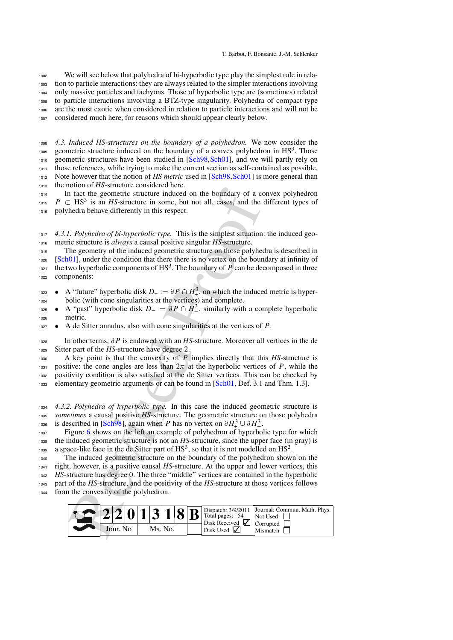We will see below that polyhedra of bi-hyperbolic type play the simplest role in rela- tion to particle interactions: they are always related to the simpler interactions involving only massive particles and tachyons. Those of hyperbolic type are (sometimes) related to particle interactions involving a BTZ-type singularity. Polyhedra of compact type are the most exotic when considered in relation to particle interactions and will not be considered much here, for reasons which should appear clearly below.

<span id="page-25-0"></span> *4.3. Induced HS-structures on the boundary of a polyhedron.* We now consider the  $_{1009}$  geometric structure induced on the boundary of a convex polyhedron in  $HS<sup>3</sup>$ . Those geometric structures have been studied in [\[Sch98](#page-52-24)[,Sch01](#page-52-25)], and we will partly rely on those references, while trying to make the current section as self-contained as possible. Note however that the notion of *HS metric* used in [\[Sch98,](#page-52-24)[Sch01\]](#page-52-25) is more general than the notion of *HS*-structure considered here.

 In fact the geometric structure induced on the boundary of a convex polyhedron  $P \subset HS^3$  is an *HS*-structure in some, but not all, cases, and the different types of polyhedra behave differently in this respect.

 *4.3.1. Polyhedra of bi-hyperbolic type.* This is the simplest situation: the induced geo-metric structure is *always* a causal positive singular *HS*-structure.

 The geometry of the induced geometric structure on those polyhedra is described in [\[Sch01](#page-52-25)], under the condition that there there is no vertex on the boundary at infinity of the two hyperbolic components of  $HS<sup>3</sup>$ . The boundary of *P* can be decomposed in three components:

- $\bullet$  A "future" hyperbolic disk  $D_+ := \partial P \cap H_+^3$ , on which the induced metric is hyper-bolic (with cone singularities at the vertices) and complete.
- $\bullet$  **A** "past" hyperbolic disk  $D = \partial P \cap H^3$ , similarly with a complete hyperbolic metric.
- A de Sitter annulus, also with cone singularities at the vertices of *P*.

 In other terms, ∂ *P* is endowed with an *HS*-structure. Moreover all vertices in the de Sitter part of the *HS*-structure have degree 2.

 A key point is that the convexity of *P* implies directly that this *HS*-structure is positive: the cone angles are less than  $2π$  at the hyperbolic vertices of *P*, while the positivity condition is also satisfied at the de Sitter vertices. This can be checked by elementary geometric arguments or can be found in [Sch01, Def. 3.1 and Thm. 1.3].

 *4.3.2. Polyhedra of hyperbolic type.* In this case the induced geometric structure is *sometimes* a causal positive *HS*-structure. The geometric structure on those polyhedra <sup>1036</sup> is described in [Sch<sup>9</sup><sup>8</sup>], again when *P* has no vertex on  $\partial H_+^3 \cup \partial H_-^3$ .

1037 Figure 6 shows on the left an example of polyhedron of hyperbolic type for which the induced geometric structure is not an *HS*-structure, since the upper face (in gray) is <sup>1039</sup> a space-like face in the de Sitter part of  $HS^3$ , so that it is not modelled on  $HS^2$ .

 The induced geometric structure on the boundary of the polyhedron shown on the right, however, is a positive causal *HS*-structure. At the upper and lower vertices, this *HS*-structure has degree 0. The three "middle" vertices are contained in the hyperbolic part of the *HS*-structure, and the positivity of the *HS*-structure at those vertices follows

from the convexity of the polyhedron.

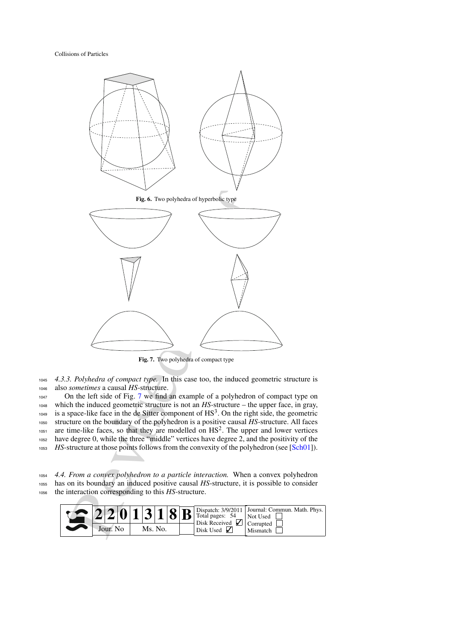<span id="page-26-1"></span>

<span id="page-26-2"></span><sup>1045</sup> *4.3.3. Polyhedra of compact type.* In this case too, the induced geometric structure is <sup>1046</sup> also *sometimes* a causal *HS*-structure.

 On the left side of Fig. 7 we find an example of a polyhedron of compact type on which the induced geometric structure is not an *HS*-structure – the upper face, in gray,  $_{1049}$  is a space-like face in the de Sitter component of  $\text{HS}^3$ . On the right side, the geometric structure on the boundary of the polyhedron is a positive causal *HS*-structure. All faces  $\frac{1}{1051}$  are time-like faces, so that they are modelled on HS<sup>2</sup>. The upper and lower vertices have degree 0, while the three "middle" vertices have degree 2, and the positivity of the *HS*-structure at those points follows from the convexity of the polyhedron (see [\[Sch01\]](#page-52-25)).

<span id="page-26-0"></span><sup>1054</sup> *4.4. From a convex polyhedron to a particle interaction.* When a convex polyhedron <sup>1055</sup> has on its boundary an induced positive causal *HS*-structure, it is possible to consider <sup>1056</sup> the interaction corresponding to this *HS*-structure.

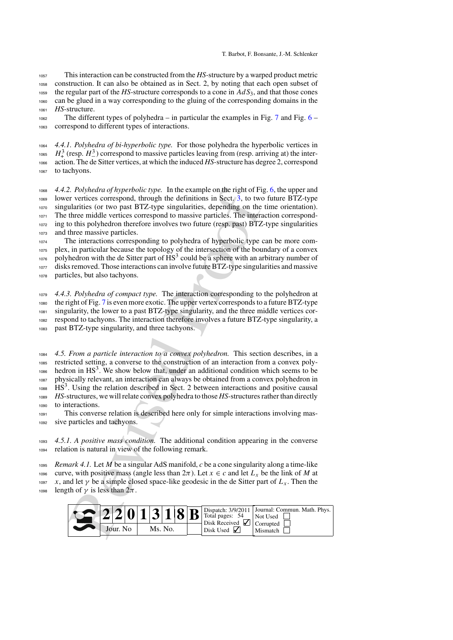This interaction can be constructed from the *HS*-structure by a warped product metric construction. It can also be obtained as in Sect. 2, by noting that each open subset of the regular part of the *HS*-structure corresponds to a cone in *AdS*3, and that those cones can be glued in a way corresponding to the gluing of the corresponding domains in the *HS*-structure.

1062 The different types of polyhedra – in particular the examples in Fig. [7](#page-26-2) and Fig.  $6 -$ correspond to different types of interactions.

 *4.4.1. Polyhedra of bi-hyperbolic type.* For those polyhedra the hyperbolic vertices in  $H^3_+$  (resp.  $H^3_-$ ) correspond to massive particles leaving from (resp. arriving at) the inter- action. The de Sitter vertices, at which the induced *HS*-structure has degree 2, correspond to tachyons.

 *4.4.2. Polyhedra of hyperbolic type.* In the example on the right of Fig. [6,](#page-26-1) the upper and lower vertices correspond, through the definitions in Sect. 3, to two future BTZ-type singularities (or two past BTZ-type singularities, depending on the time orientation). The three middle vertices correspond to massive particles. The interaction correspond- ing to this polyhedron therefore involves two future (resp. past) BTZ-type singularities and three massive particles.

 The interactions corresponding to polyhedra of hyperbolic type can be more com- plex, in particular because the topology of the intersection of the boundary of a convex  $_{1076}$  polyhedron with the de Sitter part of  $HS<sup>3</sup>$  could be a sphere with an arbitrary number of disks removed. Those interactions can involve future BTZ-type singularities and massive particles, but also tachyons.

 *4.4.3. Polyhedra of compact type.* The interaction corresponding to the polyhedron at the right of Fig. 7 is even more exotic. The upper vertex corresponds to a future BTZ-type singularity, the lower to a past BTZ-type singularity, and the three middle vertices cor-respond to tachyons. The interaction therefore involves a future BTZ-type singularity, a

<span id="page-27-0"></span>past BTZ-type singularity, and three tachyons.

2. Polyhedra o[f](#page-7-0) hyperbolic type. In the example on the right of Fighted and the relation of hyperbolic type. In the example on the right of Fighted is to two matter is correspond, through the definitions in Sect.3, to two *4.5. From a particle interaction to a convex polyhedron.* This section describes, in a restricted setting, a converse to the construction of an interaction from a convex poly $h_{\text{1086}}$  hedron in HS<sup>3</sup>. We show below that, under an additional condition which seems to be physically relevant, an interaction can always be obtained from a convex polyhedron in  $H\text{S}^3$ . Using the relation described in Sect. 2 between interactions and positive causal *HS*-structures, we will relate convex polyhedra to those *HS*-structures rather than directly to interactions.

 This converse relation is described here only for simple interactions involving mas-sive particles and tachyons.

 *4.5.1. A positive mass condition.* The additional condition appearing in the converse relation is natural in view of the following remark.

*Remark 4.1.* Let *M* be a singular AdS manifold, *c* be a cone singularity along a time-like

curve, with positive mass (angle less than 2π). Let *x* ∈ *c* and let *Lx* be the link of *M* at

1097 *x*, and let  $\gamma$  be a simple closed space-like geodesic in the de Sitter part of  $L_x$ . Then the

1098 length of  $\gamma$  is less than  $2\pi$ .

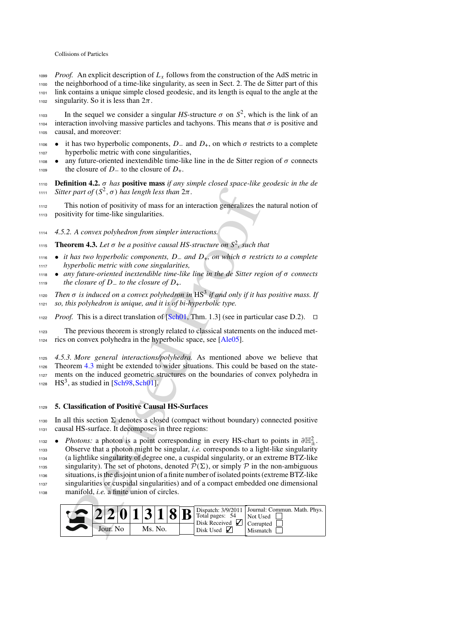*Proof.* An explicit description of  $L<sub>x</sub>$  follows from the construction of the AdS metric in the neighborhood of a time-like singularity, as seen in Sect. 2. The de Sitter part of this link contains a unique simple closed geodesic, and its length is equal to the angle at the 1102 singularity. So it is less than  $2\pi$ .

 $I<sub>103</sub>$  In the sequel we consider a singular *HS*-structure σ on  $S<sup>2</sup>$ , which is the link of an  $1104$  interaction involving massive particles and tachyons. This means that σ is positive and <sup>1105</sup> causal, and moreover:

- <sup>1106</sup>  $\bullet$  it has two hyperbolic components, *D*<sub>−</sub> and *D*<sub>+</sub>, on which *σ* restricts to a complete <sup>1107</sup> hyperbolic metric with cone singularities,
- 1108 any future-oriented inextendible time-like line in the de Sitter region of  $\sigma$  connects <sup>1109</sup> the closure of *D*<sup>−</sup> to the closure of *D*+.

<sup>1110</sup> **Definition 4.2.** σ *has* **positive mass** *if any simple closed space-like geodesic in the de sitter part of*  $(S^2, \sigma)$  *has length less than*  $2\pi$ *.* 

<sup>1112</sup> This notion of positivity of mass for an interaction generalizes the natural notion of <sup>1113</sup> positivity for time-like singularities.

- <sup>1114</sup> *4.5.2. A convex polyhedron from simpler interactions.*
- **Theorem 4.3.** Let  $\sigma$  be a positive causal HS-structure on  $S^2$ , such that
- <sup>1116</sup> *it has two hyperbolic components, D*<sup>−</sup> *and D*+*, on which* σ *restricts to a complete* <sup>1117</sup> *hyperbolic metric with cone singularities,*
- <sup>1118</sup> *any future-oriented inextendible time-like line in the de Sitter region of* σ *connects* <sup>1119</sup> *the closure of D*<sup>−</sup> *to the closure of D*+*.*
- *Then*  $\sigma$  *is induced on a convex polyhedron in*  $HS^3$  *if and only if it has positive mass. If* <sup>1121</sup> *so, this polyhedron is unique, and it is of bi-hyperbolic type.*
- 1122 *Proof.* This is a direct translation of  $\left[\text{Sch}(1), \text{Thm. 1.3}\right]$  (see in particular case D.2).  $\Box$
- <sup>1123</sup> The previous theorem is strongly related to classical statements on the induced met-<sup>1124</sup> rics on convex polyhedra in the hyperbolic space, see [Ale05].

 *4.5.3. More general interactions/polyhedra.* As mentioned above we believe that Theorem 4.3 might be extended to wider situations. This could be based on the state- ments on the induced geometric structures on the boundaries of convex polyhedra in  $HS<sup>3</sup>$ , as studied in [Sch98, Sch01].

## <span id="page-28-0"></span><sup>1129</sup> **5. Classification of Positive Causal HS-Surfaces**

1130 In all this section  $\Sigma$  denotes a closed (compact without boundary) connected positive <sup>1131</sup> causal HS-surface. It decomposes in three regions:

*r part of* ( $S^2$ ,  $\sigma$ ) has length less than  $2\pi$ .<br>
This notion of positivity of mass for an interaction generalizes the<br>
divity for time-like singularities.<br>
2. A convex polyh[ed](#page-52-25)ron from simpler interactions.<br> **orem 4.** <sup>1132</sup> • *Photons:* a photon is a point corresponding in every HS-chart to points in  $\partial \mathbb{H}^2_+$ . <sup>1133</sup> Observe that a photon might be singular, *i.e.* corresponds to a light-like singularity <sup>1134</sup> (a lightlike singularity of degree one, a cuspidal singularity, or an extreme BTZ-like <sup>1135</sup> singularity). The set of photons, denoted  $\mathcal{P}(\Sigma)$ , or simply  $\mathcal P$  in the non-ambiguous situations, is the disjoint union of a finite number of isolated points (extreme BTZ-like situations, is the disjoint union of a finite number of isolated points (extreme BTZ-like <sup>1137</sup> singularities or cuspidal singularities) and of a compact embedded one dimensional <sup>1138</sup> manifold, *i.e.* a finite union of circles.

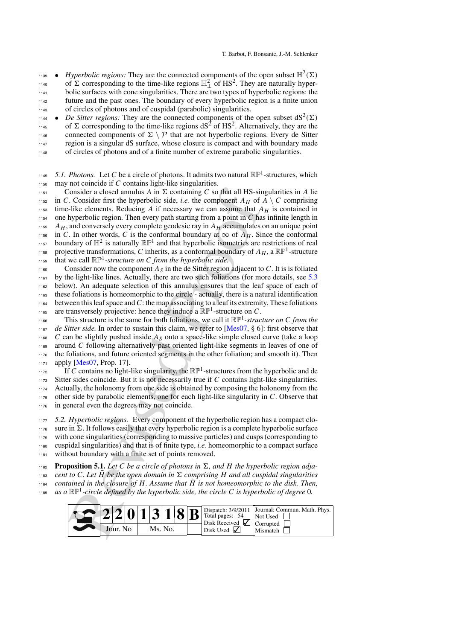<sup>1139</sup> • *Hyperbolic regions:* They are the connected components of the open subset  $\mathbb{H}^2(\Sigma)$ of  $\Sigma$  corresponding to the time-like regions  $\mathbb{H}^2$  of HS<sup>2</sup>. They are naturally hyper-1141 bolic surfaces with cone singularities. There are two types of hyperbolic regions: the <sup>1142</sup> future and the past ones. The boundary of every hyperbolic region is a finite union <sup>1143</sup> of circles of photons and of cuspidal (parabolic) singularities.

 $\bullet$  *De Sitter regions:* They are the connected components of the open subset  $dS^2(\Sigma)$ <sup>1145</sup> of  $\Sigma$  corresponding to the time-like regions dS<sup>2</sup> of HS<sup>2</sup>. Alternatively, they are the 1146 connected components of  $\Sigma \setminus \mathcal{P}$  that are not hyperbolic regions. Every de Sitter<br>1147 region is a singular dS surface, whose closure is compact and with boundary made region is a singular dS surface, whose closure is compact and with boundary made <sup>1148</sup> of circles of photons and of a finite number of extreme parabolic singularities.

<span id="page-29-0"></span> $5.1.$  *Photons.* Let *C* be a circle of photons. It admits two natural  $\mathbb{RP}^1$ -structures, which <sup>1150</sup> may not coincide if *C* contains light-like singularities.

Consider a closed annulus A in  $\Sigma$  containing C so that all HS-sin<br>Consider a closed annulus A in  $\Sigma$  containing C so that all HS-sin<br>- like elements. Reducing A if necessary we can assume that A of<br>the elements. Reduci 1151 Consider a closed annulus *A* in  $\Sigma$  containing *C* so that all HS-singularities in *A* lie 1152 in *C*. Consider first the hyperbolic side, *i.e.* the component  $A_H$  of  $A \setminus C$  comprising  $1153$  time-like elements. Reducing *A* if necessary we can assume that  $A_H$  is contained in  $_{1154}$  one hyperbolic region. Then every path starting from a point in *C* has infinite length in  $1155$  *A<sub>H</sub>*, and conversely every complete geodesic ray in  $A_H$  accumulates on an unique point 1156 in *C*. In other words, *C* is the conformal boundary at ∞ of  $A_H$ . Since the conformal <sup>1157</sup> boundary of  $\mathbb{H}^2$  is naturally  $\mathbb{RP}^1$  and that hyperbolic isometries are restrictions of real projective transformations, *C* inherits, as a conformal boundary of  $A_H$ , a  $\mathbb{RP}^1$ -structure that we call  $\mathbb{RP}^1$ -structure on C from the hyperbolic side. 1160 Consider now the component  $A_S$  in the de Sitter region adjacent to C. It is is foliated

 by the light-like lines. Actually, there are two such foliations (for more details, see [5.3](#page-31-0) below). An adequate selection of this annulus ensures that the leaf space of each of these foliations is homeomorphic to the circle - actually, there is a natural identification between this leaf space and*C*: the map associating to a leaf its extremity. These foliations <sup>1165</sup> are transversely projective: hence they induce a  $\mathbb{RP}^1$ -structure on *C*.

This structure is the same for both foliations, we call it  $\mathbb{RP}^1$ -structure on C from the *de Sitter side.* In order to sustain this claim, we refer to [Mes07, § 6]: first observe that  $\epsilon$  can be slightly pushed inside  $A<sub>S</sub>$  onto a space-like simple closed curve (take a loop around *C* following alternatively past oriented light-like segments in leaves of one of the foliations, and future oriented segments in the other foliation; and smooth it). Then apply [Mes07, Prop. 17].

If *C* contains no light-like singularity, the  $\mathbb{RP}^1$ -structures from the hyperbolic and de 1173 Sitter sides coincide. But it is not necessarily true if  $C$  contains light-like singularities. <sup>1174</sup> Actually, the holonomy from one side is obtained by composing the holonomy from the <sup>1175</sup> other side by parabolic elements, one for each light-like singularity in *C*. Observe that

<sup>1176</sup> in general even the degrees may not coincide.

<span id="page-29-1"></span> *5.2. Hyperbolic regions.* Every component of the hyperbolic region has a compact clo- sure in  $\Sigma$ . It follows easily that every hyperbolic region is a complete hyperbolic surface with cone singularities (corresponding to massive particles) and cusps (corresponding to cuspidal singularities) and that is of finite type, *i.e.* homeomorphic to a compact surface without boundary with a finite set of points removed.

**Proposition 5.1.** Let C be a circle of photons in  $\Sigma$ , and H the hyperbolic region adja $r_{\text{183}}$  *cent to C. Let* H be the open domain in  $\Sigma$  comprising H and all cuspidal singularities <sup>1184</sup> contained in the closure of H. Assume that H is not homeomorphic to the disk. Then, <sup>1185</sup> as a  $\mathbb{RP}^1$ -circle defined by the hyperbolic side, the circle C is hyperbolic of degree 0.

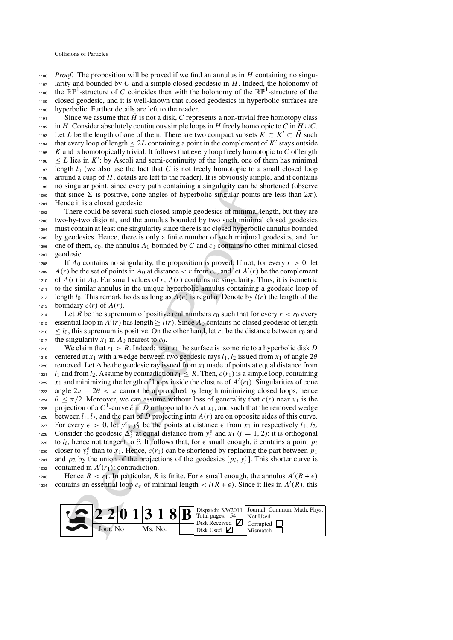$1186$  *Proof.* The proposition will be proved if we find an annulus in *H* containing no singu-<sup>1187</sup> larity and bounded by *C* and a simple closed geodesic in *H*. Indeed, the holonomy of the RP<sup>1</sup>-structure of *C* coincides then with the holonomy of the RP<sup>1</sup>-structure of the closed geodesic, and it is well-known that closed geodesics in hyperbolic surfaces are <sup>1190</sup> hyperbolic. Further details are left to the reader.

Since we assume that  $H$  is not a disk,  $C$  represents a non-trivial free homotopy class <sup>1192</sup> in *H*. Consider absolutely continuous simple loops in *H* freely homotopic to *C* in *H* ∪*C*. 1193 Let *L* be the length of one of them. There are two compact subsets  $K \subset K' \subset H$  such that every loop of length  $\leq 2L$  containing a point in the complement of K' stays outside <sup>1195</sup> *K* and is homotopically trivial. It follows that every loop freely homotopic to *C* of length  $1196 \le L$  lies in K': by Ascoli and semi-continuity of the length, one of them has minimal 1197 length  $l_0$  (we also use the fact that  $C$  is not freely homotopic to a small closed loop 1198 around a cusp of  $H$ , details are left to the reader). It is obviously simple, and it contains <sup>1199</sup> no singular point, since every path containing a singularity can be shortened (observe  $1200$  that since Σ is positive, cone angles of hyperbolic singular points are less than  $2π$ ). <sup>1201</sup> Hence it is a closed geodesic.

 There could be several such closed simple geodesics of minimal length, but they are two-by-two disjoint, and the annulus bounded by two such minimal closed geodesics must contain at least one singularity since there is no closed hyperbolic annulus bounded by geodesics. Hence, there is only a finite number of such minimal geodesics, and for 1206 one of them,  $c_0$ , the annulus  $A_0$  bounded by *C* and  $c_0$  contains no other minimal closed geodesic.

<sup>1208</sup> If  $A_0$  contains no singularity, the proposition is proved. If not, for every  $r > 0$ , let  $A(r)$  be the set of points in  $A_0$  at distance  $\lt r$  from  $c_0$ , and let  $A'(r)$  be the complement 1210 of  $A(r)$  in  $A_0$ . For small values of  $r$ ,  $A(r)$  contains no singularity. Thus, it is isometric <sup>1211</sup> to the similar annulus in the unique hyperbolic annulus containing a geodesic loop of 1212 length  $l_0$ . This remark holds as long as  $A(r)$  is regular. Denote by  $l(r)$  the length of the 1213 boundary  $c(r)$  of  $A(r)$ .

1214 Let *R* be the supremum of positive real numbers  $r_0$  such that for every  $r < r_0$  every essential loop in  $A'(r)$  has length  $\geq l(r)$ . Since  $A_0$  contains no closed geodesic of length  $1216 \le l_0$ , this supremum is positive. On the other hand, let  $r_1$  be the distance between  $c_0$  and 1217 the singularity  $x_1$  in  $A_0$  nearest to  $c_0$ .

meand points, since every pair containing a since of is not be the section of since  $\Sigma$  is not since, cone angles of hyperbolic singular points there it is a closed geodesic.<br>
There is a closed geodesic is a closed proof <sup>1218</sup> We claim that  $r_1 > R$ . Indeed: near  $x_1$  the surface is isometric to a hyperbolic disk *D* 1219 centered at  $x_1$  with a wedge between two geodesic rays  $l_1$ ,  $l_2$  issued from  $x_1$  of angle  $2\theta$ 1220 removed. Let  $\Delta$  be the geodesic ray issued from  $x_1$  made of points at equal distance from  $1_{12}$ <sup>1</sup> and from  $l_2$ . Assume by contradiction  $r_1 \leq R$ . Then,  $c(r_1)$  is a simple loop, containing  $x_1$  and minimizing the length of loops inside the closure of  $A'(r_1)$ . Singularities of cone  $1223$  angle  $2\pi - 2\theta < \pi$  cannot be approached by length minimizing closed loops, hence  $\theta \le \pi/2$ . Moreover, we can assume without loss of generality that  $c(r)$  near  $x_1$  is the projection of a C<sup>1</sup>-curve  $\hat{c}$  in *D* orthogonal to  $\Delta$  at  $x_1$ , and such that the removed wedge 1226 between  $l_1, l_2$ , and the part of *D* projecting into  $A(r)$  are on opposite sides of this curve. For every  $\epsilon > 0$ , let  $y_1^{\epsilon}$ ,  $y_2^{\epsilon}$  be the points at distance  $\epsilon$  from  $x_1$  in respectively  $l_1, l_2$ . case Consider the geodesic  $\Delta_i^{\epsilon}$  at equal distance from  $y_i^{\epsilon}$  and  $x_1$  (*i* = 1, 2): it is orthogonal to  $l_i$ , hence not tangent to  $\hat{c}$ . It follows that, for  $\epsilon$  small enough,  $\hat{c}$  contains a point  $p_i$ closer to  $y_i^{\epsilon}$  than to  $x_1$ . Hence,  $c(r_1)$  can be shortened by replacing the part between  $p_1$ and  $p_2$  by the union of the projections of the geodesics  $[p_i, y_i^{\epsilon}]$ . This shorter curve is 1232 contained in  $A'(r_1)$ : contradiction.

Hence  $R < r_1$ . In particular, R is finite. For  $\epsilon$  small enough, the annulus  $A'(R + \epsilon)$ contains an essential loop  $c_{\epsilon}$  of minimal length  $\langle l(R+\epsilon)$ . Since it lies in  $A'(R)$ , this

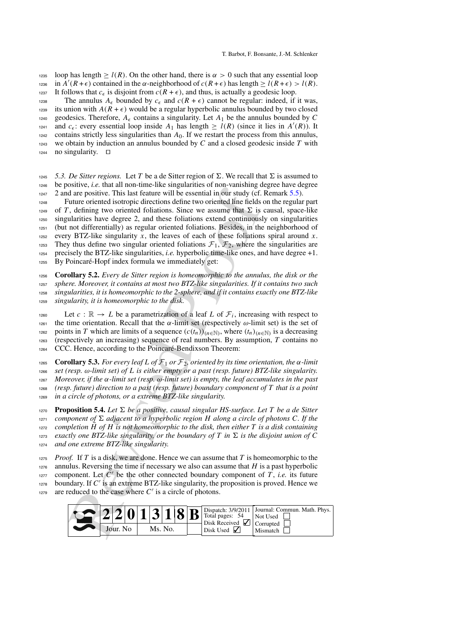1235 loop has length  $\geq l(R)$ . On the other hand, there is  $\alpha > 0$  such that any essential loop is  $\lim_{n \to \infty} A'(R + \epsilon)$  contained in the  $\alpha$ -neighborhood of  $c(R + \epsilon)$  has length  $\ge l(R + \epsilon) > l(R)$ . 1237 It follows that  $c_{\epsilon}$  is disjoint from  $c(R + \epsilon)$ , and thus, is actually a geodesic loop.

The annulus  $A_{\epsilon}$  bounded by  $c_{\epsilon}$  and  $c(R + \epsilon)$  cannot be regular: indeed, if it was, 1239 its union with  $A(R + \epsilon)$  would be a regular hyperbolic annulus bounded by two closed 1240 geodesics. Therefore,  $A_{\epsilon}$  contains a singularity. Let  $A_1$  be the annulus bounded by C and  $c_{\epsilon}$ : every essential loop inside  $A_1$  has length  $\geq l(R)$  (since it lies in  $A'(R)$ ). It  $1242$  contains strictly less singularities than  $A_0$ . If we restart the process from this annulus, 1243 we obtain by induction an annulus bounded by  $C$  and a closed geodesic inside  $T$  with  $_{1244}$  no singularity.  $\square$ 

<span id="page-31-0"></span>1245 *5.3. De Sitter regions.* Let T be a de Sitter region of  $\Sigma$ . We recall that  $\Sigma$  is assumed to <sup>1246</sup> be positive, *i.e.* that all non-time-like singularities of non-vanishing degree have degree <sup>1247</sup> 2 and are positive. This last feature will be essential in our study (cf. Remark [5.5\)](#page-11-1).

Some version in the mass can be considered to the measure of the consideration of the proof of the field in our study (cf. defining two oriented isotropic directions define two oriented in our study (cf. (, defining two o <sup>1248</sup> Future oriented isotropic directions define two oriented line fields on the regular part <sup>1249</sup> of *T*, defining two oriented foliations. Since we assume that  $\Sigma$  is causal, space-like <sup>1250</sup> singularities have degree 2, and these foliations extend continuously on singularities <sup>1251</sup> (but not differentially) as regular oriented foliations. Besides, in the neighborhood of 1252 every BTZ-like singularity  $x$ , the leaves of each of these foliations spiral around  $x$ . 1253 They thus define two singular oriented foliations  $F_1$ ,  $F_2$ , where the singularities are precisely the BTZ-like singularities, *i.e.* hyperbolic time-like ones, and have degree +1. precisely the BTZ-like singularities, *i.e.* hyperbolic time-like ones, and have degree +1. <sup>1255</sup> By Poincaré-Hopf index formula we immediately get:

 **Corollary 5.2.** *Every de Sitter region is homeomorphic to the annulus, the disk or the sphere. Moreover, it contains at most two BTZ-like singularities. If it contains two such singularities, it is homeomorphic to the 2-sphere, and if it contains exactly one BTZ-like singularity, it is homeomorphic to the disk.*

Let  $c : \mathbb{R} \to L$  be a parametrization of a leaf *L* of  $\mathcal{F}_i$ , increasing with respect to the time orientation. Recall that the  $\alpha$ -limit set (respectively  $\omega$ -limit set) is the set of the time orientation. Recall that the  $\alpha$ -limit set (respectively  $\omega$ -limit set) is the set of points in *T* which are limits of a sequence  $(c(t_n))_{n\in\mathbb{N}}$ , where  $(t_n)_{n\in\mathbb{N}}$  is a decreasing <sup>1263</sup> (respectively an increasing) sequence of real numbers. By assumption, *T* contains no <sup>1264</sup> CCC. Hence, according to the Poincaré-Bendixson Theorem:

**Corollary 5.3.** *For every leaf L of*  $\mathcal{F}_1$  *or*  $\mathcal{F}_2$ *, oriented by its time orientation, the*  $\alpha$ *-limit set (resp.* ω*-limit set) of L is either empty or a past (resp. future) BTZ-like singularity. Moreover, if the* α*-limit set (resp.* ω*-limit set) is empty, the leaf accumulates in the past (resp. future) direction to a past (resp. future) boundary component of T that is a point in a circle of photons, or a extreme BTZ-like singularity.*

**1270 Proposition 5.4.** Let  $\Sigma$  be a positive, causal singular HS-surface. Let T be a de Sitter 1271 *component of*  $\Sigma$  *adjacent to a hyperbolic region H along a circle of photons C. If the completion*  $\overline{H}$  of  $H$  is not homeomorphic to the disk, then either  $T$  is a disk containing 1273 *exactly one BTZ-like singularity, or the boundary of T in*  $\Sigma$  *is the disjoint union of C* <sup>1274</sup> *and one extreme BTZ-like singularity.*

<sup>1275</sup> *Proof.* If *T* is a disk, we are done. Hence we can assume that *T* is homeomorphic to the  $1276$  annulus. Reversing the time if necessary we also can assume that *H* is a past hyperbolic component. Let  $C'$  be the other connected boundary component of *T*, *i.e.* its future  $_{1278}$  boundary. If *C'* is an extreme BTZ-like singularity, the proposition is proved. Hence we  $1279$  are reduced to the case where  $C'$  is a circle of photons.

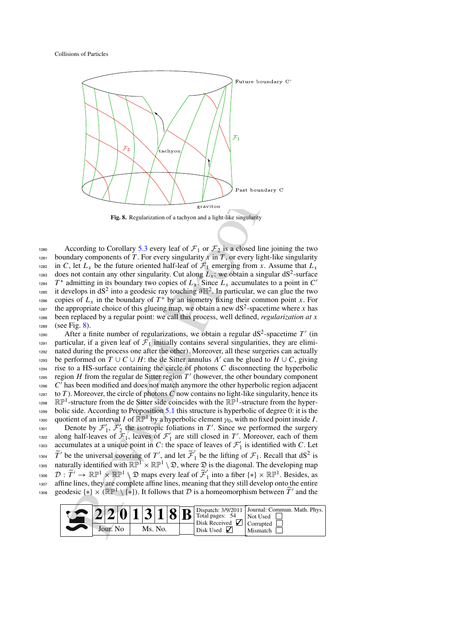

<span id="page-32-0"></span>**Fig. 8.** Regularization of a tachyon and a light-like singularity

1280 According to Corollary 5.3 every leaf of  $\mathcal{F}_1$  or  $\mathcal{F}_2$  is a closed line joining the two<br>1281 boundary components of *T*. For every singularity *x* in *T*, or every light-like singularity boundary components of  $T$ . For every singularity  $x$  in  $T$ , or every light-like singularity 1282 in *C*, let  $L_x$  be the future oriented half-leaf of  $\mathcal{F}_1$  emerging from *x*. Assume that  $L_x$ does not contain any other singularity. Cut along  $L_x$ : we obtain a singular dS<sup>2</sup>-surface <sup>1284</sup> *T*<sup>\*</sup> admitting in its boundary two copies of  $L_x$ . Since  $L_x$  accumulates to a point in *C*<sup>1</sup> <sup>1285</sup> it develops in dS<sup>2</sup> into a geodesic ray touching  $\partial \mathbb{H}^2$ . In particular, we can glue the two copies of  $L_x$  in the boundary of  $T^*$  by an isometry fixing their common point *x*. For the appropriate choice of this glueing map, we obtain a new  $dS^2$ -spacetime where *x* has <sup>1288</sup> been replaced by a regular point: we call this process, well defined, *regularization at x*  $1289$  (see Fig. 8).

From the degeneration of a tachyon and a light-like [s](#page-3-2)ingularity<br>
Fig. 8. Regularization of a tachyon and a light-like singularity<br>
activities<br>
activities in Fig. 8. The every similaritity  $\sin \theta$ ,  $\theta$ , the very light<br>
and After a finite number of regularizations, we obtain a regular  $dS^2$ -spacetime *T'* (in  $1291$  particular, if a given leaf of  $\mathcal{F}_1$  initially contains several singularities, they are elimi-<br> $1292$  nated during the process one after the other). Moreover, all these surgeries can actually nated during the process one after the other). Moreover, all these surgeries can actually be performed on  $T \cup C \cup H$ : the de Sitter annulus A' can be glued to  $H \cup C$ , giving <sup>1294</sup> rise to a HS-surface containing the circle of photons *C* disconnecting the hyperbolic region *H* from the regular de Sitter region  $T'$  (however, the other boundary component  $C'$  has been modified and does not match anymore the other hyperbolic region adjacent  $1297$  to *T*). Moreover, the circle of photons *C* now contains no light-like singularity, hence its  $R\mathbb{P}^1$ -structure from the de Sitter side coincides with the  $R\mathbb{P}^1$ -structure from the hyper-1299 bolic side. According to Proposition 5.1 this structure is hyperbolic of degree 0: it is the <sup>1300</sup> quotient of an interval *I* of  $\mathbb{RP}^1$  by a hyperbolic element  $\gamma_0$ , with no fixed point inside *I*. Denote by  $\mathcal{F}'_1$ ,  $\mathcal{F}'_2$  the isotropic foliations in *T'*. Since we performed the surgery <sup>1302</sup> along half-leaves of  $\mathcal{F}_1$ , leaves of  $\mathcal{F}'_1$  are still closed in *T'*. Moreover, each of them accumulates at a unique point in *C*: the space of leaves of  $\mathcal{F}'_1$  is identified with *C*. Let <sup>1304</sup>  $\widetilde{T}'$  be the universal covering of *T*', and let  $\widetilde{\mathcal{F}}'_1$  be the lifting of  $\mathcal{F}_1$ . Recall that dS<sup>2</sup> is naturally identified with  $\mathbb{RP}^1 \times \mathbb{RP}^1 \setminus \mathfrak{D}$ , where  $\mathfrak{D}$  is the diagonal. The developing map 1306  $\mathcal{D}: \widetilde{T}' \to \mathbb{RP}^1 \times \mathbb{RP}^1 \setminus \mathfrak{D}$  maps every leaf of  $\widetilde{\mathcal{F}}'_1$  into a fiber { $*$ } ×  $\mathbb{RP}^1$ . Besides, as <sup>1307</sup> affine lines, they are complete affine lines, meaning that they still develop onto the entire geodesic  $\{*\}\times(\mathbb{RP}^1\setminus\{*\})$ . It follows that  $\mathcal D$  is a homeomorphism between  $\widetilde T'$  and the .<br>-<br>|

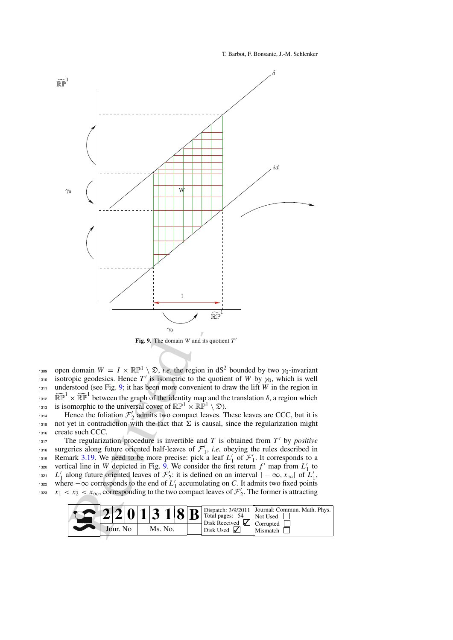T. Barbot, F. Bonsante, J.-M. Schlenker



<span id="page-33-0"></span>open domain  $W = I \times \mathbb{RP}^1 \setminus \mathfrak{D}$ , *i.e.* the region in dS<sup>2</sup> bounded by two  $\gamma_0$ -invariant isotropic geodesics. Hence *T'* is isometric to the quotient of *W* by  $\gamma_0$ , which is well <sup>1311</sup> understood (see Fig. 9; it has been more convenient to draw the lift *W* in the region in Represent to the graph of the identity map and the translation  $\delta$ , a region isotropic geodesics. Hence *T'* is isometric to the quotient of *W* by *γ*<sub>0</sub>, which is well understood (see Fig. 9; it has been more convenie

<sup>1313</sup> is isomorphic to the universal cover of  $\mathbb{RP}^1 \times \mathbb{RP}^1 \setminus \mathcal{D}$ ).<br>Hence the foliation  $\mathcal{F}'_2$  admits two compact leaves. These leaves are CCC, but it is 1315 not yet in contradiction with the fact that  $\Sigma$  is causal, since the regularization might <sup>1316</sup> create such CCC.

The regularization procedure is invertible and  $T$  is obtained from  $T'$  by *positive* surgeries along future oriented half-leaves of  $\mathcal{F}'_1$ , *i.e.* obeying the rules described in Remark 3.19. We need to be more precise: pick a leaf  $L'_1$  of  $\mathcal{F}'_1$ . It corresponds to a vertical line in *W* depicted in Fig. 9. We consider the first return  $f'$  map from  $L'_1$  to 1321 *L*<sup>1</sup> along future oriented leaves of *F*<sub>2</sub>: it is defined on an interval  $]-\infty$ , *x*<sub>∞</sub>[ of *L*<sup>1</sup><sub>1</sub>, where  $-\infty$  corresponds to the end of  $\tilde{L}'_1$  accumulating on *C*. It admits two fixed points <sup>1323</sup>  $x_1 < x_2 < x_\infty$ , corresponding to the two compact leaves of  $\mathcal{F}'_2$ . The former is attracting

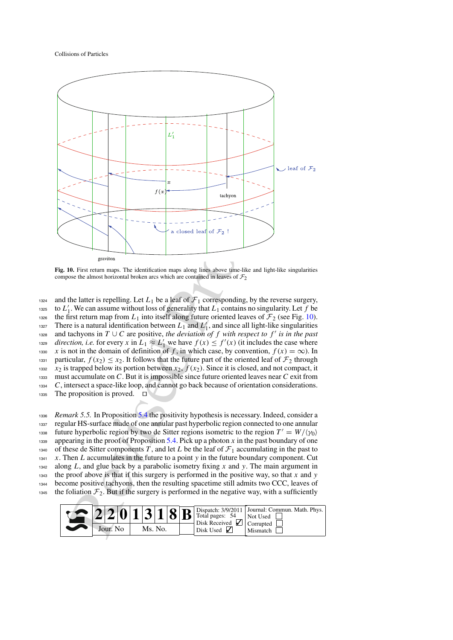Collisions of Particles



<span id="page-34-0"></span>**Fig. 10.** First return maps. The identification maps along lines above time-like and light-like singularities compose the almost horizontal broken arcs which are contained in leaves of  $\mathcal{F}_2$ 

F(x)<br>
a closed lead of  $\mathcal{F}_2$ <br>
a closed lead of  $\mathcal{F}_2$ <br>
a closed lead of  $\mathcal{F}_2$ <br>
(a). First return maps The identification maps along lines above time-like and<br>
we halter [is](#page-9-2) repelling. Let  $L_1$  be a leaf of  $\mathcal$ 1324 and the latter is repelling. Let  $L_1$  be a leaf of  $\mathcal{F}_1$  corresponding, by the reverse surgery, to  $L'_1$ . We can assume without loss of generality that  $L_1$  contains no singularity. Let f be to  $L'_1$ . We can assume without loss of generality that  $L_1$  contains no singularity. Let *f* be 1326 the first return map from  $L_1$  into itself along future oriented leaves of  $\mathcal{F}_2$  (see Fig. [10\)](#page-34-0). There is a natural identification between  $L_1$  and  $L'_1$ , and since all light-like singularities <sup>1328</sup> and tachyons in  $T \cup C$  are positive, *the deviation of f with respect to f' is in the past direction, i.e.* for every *x* in  $L_1 \approx L'_1$  we have  $f(x) \le f'(x)$  (it includes the case where 1330 *x* is not in the domain of definition of *f*, in which case, by convention,  $f(x) = \infty$ ). In particular,  $f(x_2) \le x_2$ . It follows that the future part of the oriented leaf of  $\mathcal{F}_2$  through  $x_2$  is trapped below its portion between  $x_2$ ,  $f(x_2)$ . Since it is closed, and not compact, it  $x_2$  is trapped below its portion between  $x_2$ ,  $f(x_2)$ . Since it is closed, and not compact, it <sup>1333</sup> must accumulate on *C*. But it is impossible since future oriented leaves near *C* exit from <sup>1334</sup> *C*, intersect a space-like loop, and cannot go back because of orientation considerations.  $1335$  The proposition is proved.  $\Box$ 

<sup>1336</sup> *Remark 5.5.* In Proposition 5.4 the positivity hypothesis is necessary. Indeed, consider a <sup>1337</sup> regular HS-surface made of one annular past hyperbolic region connected to one annular future hyperbolic region by two de Sitter regions isometric to the region  $T' = W/\langle \gamma_0 \rangle$ 1339 appearing in the proof of Proposition 5.4. Pick up a photon  $x$  in the past boundary of one 1340 of these de Sitter components *T*, and let *L* be the leaf of  $\mathcal{F}_1$  accumulating in the past to <sup>1341</sup> *x*. Then *L* accumulates in the future to a point *y* in the future boundary component. Cut <sup>1342</sup> along *L*, and glue back by a parabolic isometry fixing *x* and *y*. The main argument in <sup>1343</sup> the proof above is that if this surgery is performed in the positive way, so that *x* and *y* <sup>1344</sup> become positive tachyons, then the resulting spacetime still admits two CCC, leaves of 1345 the foliation  $F_2$ . But if the surgery is performed in the negative way, with a sufficiently

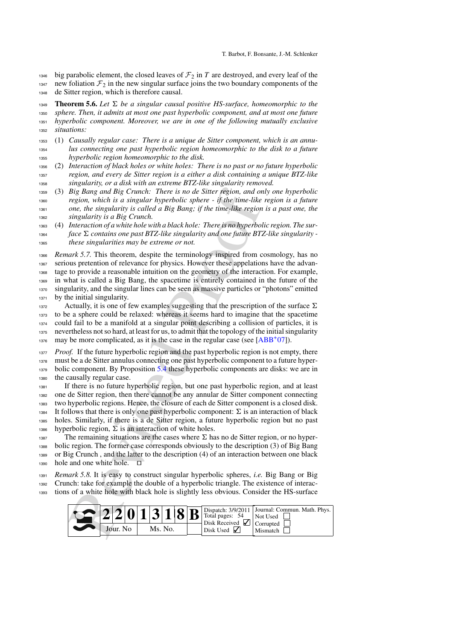1346 big parabolic element, the closed leaves of  $\mathcal{F}_2$  in  $T$  are destroyed, and every leaf of the 1347 new foliation  $\mathcal{F}_2$  in the new singular surface joins the two boundary components of the de Sitter region, which is therefore causal.

**Theorem 5.6.** Let  $\Sigma$  be a singular causal positive HS-surface, homeomorphic to the *sphere. Then, it admits at most one past hyperbolic component, and at most one future hyperbolic component. Moreover, we are in one of the following mutually exclusive situations:*

- (1) *Causally regular case: There is a unique de Sitter component, which is an annu- lus connecting one past hyperbolic region homeomorphic to the disk to a future hyperbolic region homeomorphic to the disk.*
- (2) *Interaction of black holes or white holes: There is no past or no future hyperbolic region, and every de Sitter region is a either a disk containing a unique BTZ-like singularity, or a disk with an extreme BTZ-like singularity removed.*
- (3) *Big Bang and Big Crunch: There is no de Sitter region, and only one hyperbolic region, which is a singular hyperbolic sphere - if the time-like region is a future one, the singularity is called a Big Bang; if the time-like region is a past one, the singularity is a Big Crunch.*
- (4) *Interaction of a white hole with a black hole: There is no hyperbolic region. The sur-face contains one past BTZ-like singularity and one future BTZ-like singularity -*
- *these singularities may be extreme or not.*

 *Remark 5.7.* This theorem, despite the terminology inspired from cosmology, has no serious pretention of relevance for physics. However these appelations have the advan- tage to provide a reasonable intuition on the geometry of the interaction. For example, in what is called a Big Bang, the spacetime is entirely contained in the future of the singularity, and the singular lines can be seen as massive particles or "photons" emitted 1371 by the initial singularity.

1372 Actually, it is one of few examples suggesting that the prescription of the surface  $\Sigma$  to be a sphere could be relaxed: whereas it seems hard to imagine that the spacetime could fail to be a manifold at a singular point describing a collision of particles, it is nevertheless not so hard, at least for us, to admit that the topology of the initial singularity 1376 may be more complicated, as it is the case in the regular case (see  $[ABB<sup>+</sup>07]$ ).

*Proof.* If the future hyperbolic region and the past hyperbolic region is not empty, there must be a de Sitter annulus connecting one past hyperbolic component to a future hyper- bolic component. By Proposition 5.4 these hyperbolic components are disks: we are in the causally regular case.

Big Bang and Big Crunch: There is no de Sitter region, and on<br>
region, which is a singular hyperbolic sphere - if the time-like<br>
region, which is a singular in stand the periodic sphere - if the time-like<br>
region one, the If there is no future hyperbolic region, but one past hyperbolic region, and at least one de Sitter region, then there cannot be any annular de Sitter component connecting two hyperbolic regions. Hence, the closure of each de Sitter component is a closed disk. <sup>1384</sup> It follows that there is only one past hyperbolic component:  $\Sigma$  is an interaction of black holes. Similarly, if there is a de Sitter region, a future hyperbolic region but no past 1386 hyperbolic region,  $\Sigma$  is an interaction of white holes.

<sup>1387</sup> The remaining situations are the cases where  $\Sigma$  has no de Sitter region, or no hyper- bolic region. The former case corresponds obviously to the description (3) of Big Bang or Big Crunch , and the latter to the description (4) of an interaction between one black  $_{1390}$  hole and one white hole.  $\square$ 

 *Remark 5.8.* It is easy to construct singular hyperbolic spheres, *i.e.* Big Bang or Big Crunch: take for example the double of a hyperbolic triangle. The existence of interac-

tions of a white hole with black hole is slightly less obvious. Consider the HS-surface

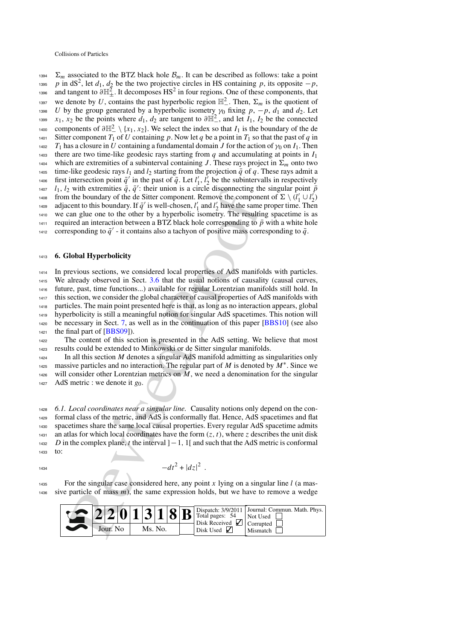1394  $\Sigma_m$  associated to the BTZ black hole  $\mathcal{B}_m$ . It can be described as follows: take a point <sup>1395</sup> *p* in dS<sup>2</sup>, let *d*<sub>1</sub>, *d*<sub>2</sub> be the two projective circles in HS containing *p*, its opposite −*p*, 1396 and tangent to  $\partial \mathbb{H}^2_+$ . It decomposes HS<sup>2</sup> in four regions. One of these components, that we denote by *U*, contains the past hyperbolic region  $\mathbb{H}^2$ . Then,  $\Sigma_m$  is the quotient of 1398 *U* by the group generated by a hyperbolic isometry  $\gamma_0$  fixing  $p$ ,  $-p$ ,  $d_1$  and  $d_2$ . Let  $x_1, x_2$  be the points where  $d_1, d_2$  are tangent to  $\partial \mathbb{H}^2$ , and let  $I_1, I_2$  be the connected components of  $\partial \mathbb{H}^2 \setminus \{x_1, x_2\}$ . We select the index so that  $I_1$  is the boundary of the de 1401 Sitter component  $T_1$  of *U* containing *p*. Now let *q* be a point in  $T_1$  so that the past of *q* in 1402 *T*<sub>1</sub> has a closure in *U* containing a fundamental domain *J* for the action of  $\gamma_0$  on  $I_1$ . Then there are two time-like geodesic rays starting from  $q$  and accumulating at points in  $I_1$ <sup>1404</sup> which are extremities of a subinterval containing *J*. These rays project in  $\Sigma_m$  onto two 1405 time-like geodesic rays  $l_1$  and  $l_2$  starting from the projection  $\bar{q}$  of  $q$ . These rays admit a first intersection point  $\bar{q}$  in the past of  $\bar{q}$ . Let  $l'_1$ ,  $l'_2$  be the subintervalls in respectively  $l_1$ , *l*<sub>2</sub> with extremities  $\bar{q}$ ,  $\bar{q}$ <sup>'</sup>: their union is a circle disconnecting the singular point  $\bar{p}$ from the boundary of the de Sitter component. Remove the component of  $\Sigma \setminus (l'_1 \cup l'_2)$ adjacent to this boundary. If  $\bar{q}^{\prime}$  is well-chosen,  $l_1^{\prime}$  and  $l_2^{\prime}$  have the same proper time. Then <sup>1410</sup> we can glue one to the other by a hyperbolic isometry. The resulting spacetime is as 1411 required an interaction between a BTZ black hole corresponding to  $\bar{p}$  with a white hole corresponding to  $\bar{q}^{\prime}$  - it contains also a tachyon of positive mass corresponding to  $\bar{q}$ .

## <span id="page-36-0"></span><sup>1413</sup> **6. Global Hyperbolicity**

with extremities  $\vec{q}_i$  c'i their union is a circle discomecting the<br>
with the boundary of the de Sitter component. Remove the component<br>
orth the boundary of the de Sitter component. Remove the component<br>
cent to this In previous sections, we considered local properties of AdS manifolds with particles. We already observed in Sect. 3.6 that the usual notions of causality (causal curves, future, past, time functions...) available for regular Lorentzian manifolds still hold. In this section, we consider the global character of causal properties of AdS manifolds with particles. The main point presented here is that, as long as no interaction appears, global hyperbolicity is still a meaningful notion for singular AdS spacetimes. This notion will  $\frac{420}{420}$  be necessary in Sect. 7, as well as in the continuation of this paper [\[BBS10](#page-52-10)] (see also the final part of [BBS09]).

<sup>1422</sup> The content of this section is presented in the AdS setting. We believe that most <sup>1423</sup> results could be extended to Minkowski or de Sitter singular manifolds.

In all this section *M* denotes a singular AdS manifold admitting as singularities only massive particles and no interaction. The regular part of *M* is denoted by  $M^*$ . Since we will consider other Lorentzian metrics on  $M$ , we need a denomination for the singular AdS metric : we denote it  $g_0$ .

<span id="page-36-1"></span><sup>1428</sup> *6.1. Local coordinates near a singular line.* Causality notions only depend on the conformal class of the metric, and AdS is conformally flat. Hence, AdS spacetimes and flat spacetimes share the same local causal properties. Every regular AdS spacetime admits an atlas for which local coordinates have the form  $(z, t)$ , where *z* describes the unit disk *D* in the complex plane, *t* the interval  $]-1$ , 1[ and such that the AdS metric is conformal <sup>1433</sup> to:

$$
-dt^2 + |dz|^2.
$$

1435 For the singular case considered here, any point  $x$  lying on a singular line  $l$  (a mas-<sup>1436</sup> sive particle of mass *m*), the same expression holds, but we have to remove a wedge

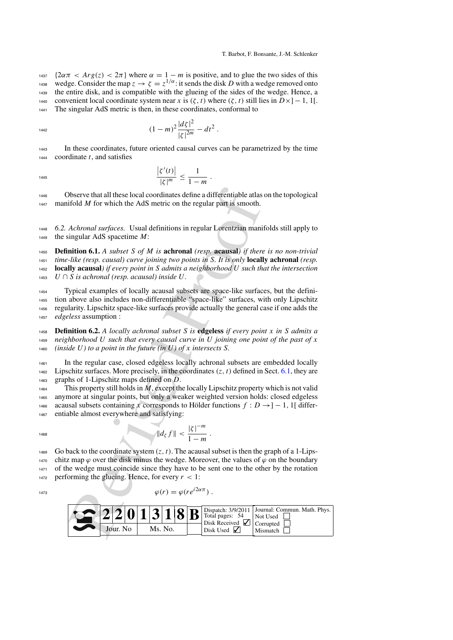$1437 \{2\alpha\pi < Arg(z) < 2\pi\}$  where  $\alpha = 1 - m$  is positive, and to glue the two sides of this wedge. Consider the map  $z \to \zeta = z^{1/\alpha}$ : it sends the disk *D* with a wedge removed onto <sup>1439</sup> the entire disk, and is compatible with the glueing of the sides of the wedge. Hence, a 1440 convenient local coordinate system near *x* is  $(\zeta, t)$  where  $(\zeta, t)$  still lies in  $D \times ] - 1$ , 1[. <sup>1441</sup> The singular AdS metric is then, in these coordinates, conformal to

$$
(1-m)^2\frac{|d\zeta|^2}{|\zeta|^{2m}} - dt^2.
$$

<sup>1443</sup> In these coordinates, future oriented causal curves can be parametrized by the time <sup>1444</sup> coordinate *t*, and satisfies

1

$$
\frac{|\zeta'(t)|}{|\zeta|^{m}} \le \frac{1}{1-m} \ .
$$

<sup>1446</sup> Observe that all these local coordinates define a differentiable atlas on the topological 1447 manifold *M* for which the AdS metric on the regular part is smooth.

<span id="page-37-0"></span><sup>1448</sup> *6.2. Achronal surfaces.* Usual definitions in regular Lorentzian manifolds still apply to <sup>1449</sup> the singular AdS spacetime *M*:

<sup>1450</sup> **Definition 6.1.** *A subset S of M is* **achronal** *(resp.* **acausal***) if there is no non-trivial* <sup>1451</sup> *time-like (resp. causal) curve joining two points in S. It is only* **locally achronal** *(resp.* <sup>1452</sup> **locally acausal***) if every point in S admits a neighborhood U such that the intersection*

<sup>1453</sup> *U* ∩ *S is achronal (resp. acausal) inside U.*

 Typical examples of locally acausal subsets are space-like surfaces, but the defini- tion above also includes non-differentiable "space-like" surfaces, with only Lipschitz regularity. Lipschitz space-like surfaces provide actually the general case if one adds the *edgeless* assumption :

<sup>1458</sup> **Definition 6.2.** *A locally achronal subset S is* **edgeless** *if every point x in S admits a* <sup>1459</sup> *neighborhood U such that every causal curve in U joining one point of the past of x* <sup>1460</sup> *(inside U) to a point in the future (in U) of x intersects S.*

<sup>1461</sup> In the regular case, closed edgeless locally achronal subsets are embedded locally  $_{1462}$  Lipschitz surfaces. More precisely, in the coordinates  $(z, t)$  defined in Sect. [6.1,](#page-36-1) they are <sup>1463</sup> graphs of 1-Lipschitz maps defined on *D*.

 This property still holds in *M*, except the locally Lipschitz property which is not valid anymore at singular points, but only a weaker weighted version holds: closed edgeless 1466 acausal subsets containing *x* corresponds to Hölder functions  $f : D \rightarrow ] - 1$ , 1[ differ-entiable almost everywhere and satisfying:

$$
\|d_{\zeta} f\| < \frac{|\zeta|^{-m}}{1-m} \; .
$$

Go back to the coordinate system  $(z, t)$ . The acausal subset is then the graph of a 1-Lips-1470 chitz map  $\varphi$  over the disk minus the wedge. Moreover, the values of  $\varphi$  on the boundary <sup>1471</sup> of the wedge must coincide since they have to be sent one to the other by the rotation 1472 performing the glueing. Hence, for every  $r < 1$ :

$$
\varphi(r) = \varphi(re^{i2\alpha\pi}).
$$

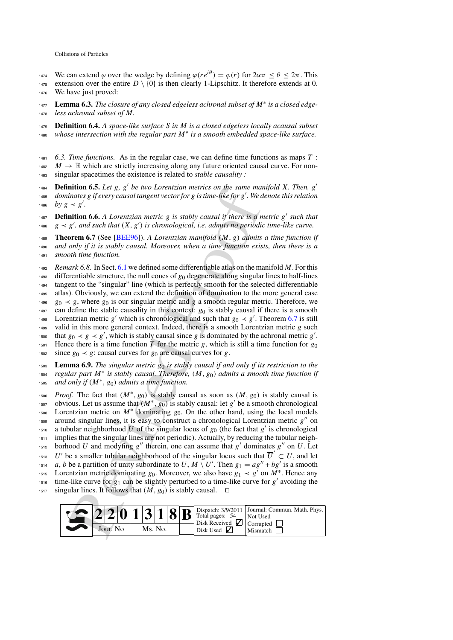- We can extend  $\varphi$  over the wedge by defining  $\varphi(re^{i\theta}) = \varphi(r)$  for  $2\alpha\pi \le \theta \le 2\pi$ . This 1475 extension over the entire  $D \setminus \{0\}$  is then clearly 1-Lipschitz. It therefore extends at 0.
- <sup>1476</sup> We have just proved:
- **Lemma 6.3.** *The closure of any closed edgeless achronal subset of M*<sup>∗</sup> <sup>1477</sup> *is a closed edge-*<sup>1478</sup> *less achronal subset of M.*
- <sup>1479</sup> **Definition 6.4.** *A space-like surface S in M is a closed edgeless locally acausal subset whose intersection with the regular part M<sup>∗</sup> is a smooth embedded space-like surface.*
- <span id="page-38-0"></span><sup>1481</sup> *6.3. Time functions.* As in the regular case, we can define time functions as maps *T* : <sup>1482</sup>  $M \to \mathbb{R}$  which are strictly increasing along any future oriented causal curve. For non-<sup>1483</sup> singular spacetimes the existence is related to *stable causality :*
- 1484 **Definition 6.5.** Let g,  $g'$  be two Lorentzian metrics on the same manifold X. Then,  $g'$ *dominates g if every causal tangent vector for g is time-like for g* <sup>1485</sup> *. We denote this relation by*  $g \prec g'$ .
- 1487 **Definition 6.6.** A Lorentzian metric g is stably causal if there is a metric g' such that  $g \prec g'$ , and such that  $(X, g')$  is chronological, i.e. admits no periodic time-like curve.
- <sup>1489</sup> **Theorem 6.7** (See [BEE96]). *A Lorentzian manifold* (*M*, *g*) *admits a time function if* <sup>1490</sup> *and only if it is stably causal. Moreover, when a time function exists, then there is a* <sup>1491</sup> *smooth time function.*
- <sup>1492</sup> *Remark 6.8.* In Sect. 6.1 we defined some differentiable atlas on the manifold *M*. For this  $_{1493}$  differentiable structure, the null cones of  $g_0$  degenerate along singular lines to half-lines <sup>1494</sup> tangent to the "singular" line (which is perfectly smooth for the selected differentiable <sup>1495</sup> atlas). Obviously, we can extend the definition of domination to the more general case  $1496 \t g_0 \t g$ , where  $g_0$  is our singular metric and *g* a smooth regular metric. Therefore, we <sup>1497</sup> can define the stable causality in this context: *g*<sup>0</sup> is stably causal if there is a smooth 1498 Lorentzian metric *g*' which is chronological and such that *g*<sup>0</sup> *z g*'. Theorem [6.7](#page-12-1) is still <sup>1499</sup> valid in this more general context. Indeed, there is a smooth Lorentzian metric *g* such that  $g_0 \prec g \prec g'$ , which is stably causal since *g* is dominated by the achronal metric *g'*. 1501 Hence there is a time function *T* for the metric *g*, which is still a time function for  $g_0$ 1502 since *g*<sup>0</sup> *g*: causal curves for *g*<sup>0</sup> are causal curves for *g*.
- <sup>1503</sup> **Lemma 6.9.** *The singular metric g*<sup>0</sup> *is stably causal if and only if its restriction to the regular part M*<sup>∗</sup> <sup>1504</sup> *is stably causal. Therefore,* (*M*, *g*0) *admits a smooth time function if*
- $1505$  and only if  $(M^*, g_0)$  admits a time function.
- **ninon 6.5.** Let g, g be two Lorentzian metrics on the same manimum<br>index g if every causal tangent we corrent convention for  $\leq$  is time-like for g'. We all the same of the same of the same of the same of  $\leq$  g', and *Proof.* The fact that  $(M^*, g_0)$  is stably causal as soon as  $(M, g_0)$  is stably causal is <sup>1507</sup> obvious. Let us assume that  $(M^*, g_0)$  is stably causal: let  $g'$  be a smooth chronological 1508 Lorentzian metric on  $M^*$  dominating  $g_0$ . On the other hand, using the local models  $1509$  around singular lines, it is easy to construct a chronological Lorentzian metric  $g''$  on a tubular neighborhood *U* of the singular locus of  $g_0$  (the fact that  $g'$  is chronological <sup>1511</sup> implies that the singular lines are not periodic). Actually, by reducing the tubular neighborhood *U* and modyfing  $g''$  therein, one can assume that  $g'$  dominates  $g''$  on *U*. Let <sup>1513</sup> *U'* be a smaller tubular neighborhood of the singular locus such that  $\overline{U}' \subset U$ , and let <sup>1514</sup> *a*, *b* be a partition of unity subordinate to *U*, *M* \ *U'*. Then  $g_1 = ag'' + bg'$  is a smooth 1515 Lorentzian metric dominating *g*<sub>0</sub>. Moreover, we also have  $g_1 \prec g'$  on  $M^*$ . Hence any  $t_{\text{1516}}$  time-like curve for  $g_1$  can be slightly perturbed to a time-like curve for  $g'$  avoiding the 1517 singular lines. It follows that  $(M, g_0)$  is stably causal.  $\Box$

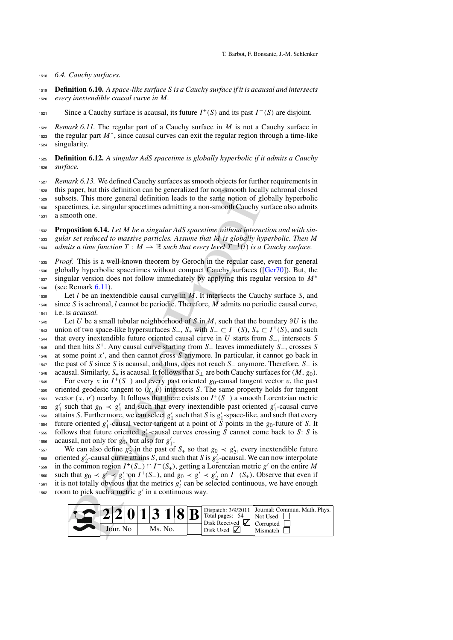<span id="page-39-0"></span><sup>1518</sup> *6.4. Cauchy surfaces.*

<sup>1519</sup> **Definition 6.10.** *A space-like surface S is a Cauchy surface if it is acausal and intersects* <sup>1520</sup> *every inextendible causal curve in M.*

Since a Cauchy surface is acausal, its future  $I^+(S)$  and its past  $I^-(S)$  are disjoint.

<sup>1522</sup> *Remark 6.11.* The regular part of a Cauchy surface in *M* is not a Cauchy surface in <sub>1523</sub> the regular part *M*<sup>∗</sup>, since causal curves can exit the regular region through a time-like singularity.

<sup>1525</sup> **Definition 6.12.** *A singular AdS spacetime is globally hyperbolic if it admits a Cauchy* <sup>1526</sup> *surface.*

 *Remark 6.13.* We defined Cauchy surfaces as smooth objects for further requirements in this paper, but this definition can be generalized for non-smooth locally achronal closed subsets. This more general definition leads to the same notion of globally hyperbolic spacetimes, i.e. singular spacetimes admitting a non-smooth Cauchy surface also admits a smooth one.

<sup>1532</sup> **Proposition 6.14.** *Let M be a singular AdS spacetime without interaction and with sin-*<sup>1533</sup> *gular set reduced to massive particles. Assume that M is globally hyperbolic. Then M admits a time function T* :  $M$  →  $ℝ$  *such that every level*  $T^{-1}(t)$  *is a Cauchy surface.* 

 *Proof.* This is a well-known theorem by Geroch in the regular case, even for general globally hyperbolic spacetimes without compact Cauchy surfaces ([\[Ger70\]](#page-52-28)). But, the singular version does not follow immediately by applying this regular version to *M*<sup>∗</sup> <sup>1537</sup> (see Remark 6.11).

<sup>1539</sup> Let *l* be an inextendible causal curve in *M*. It intersects the Cauchy surface *S*, and <sup>1540</sup> since *S* is achronal, *l* cannot be periodic. Therefore, *M* admits no periodic causal curve, <sup>1541</sup> i.e. is *acausal.*

<sup>1542</sup> Let *U* be a small tubular neighborhood of *S* in *M*, such that the boundary ∂*U* is the 1543 union of two space-like hypersurfaces  $S_-, S_+$  with  $S_− ⊂ I^-(S), S_+ ⊂ I^+(S)$ , and such <sup>1544</sup> that every inextendible future oriented causal curve in *U* starts from *S*−, intersects *S* and then hits *S*<sup>+</sup> <sup>1545</sup> . Any causal curve starting from *S*<sup>−</sup> leaves immediately *S*−, crosses *S*  $1546$  at some point  $x'$ , and then cannot cross *S* anymore. In particular, it cannot go back in <sup>1547</sup> the past of *S* since *S* is acausal, and thus, does not reach *S*− anymore. Therefore, *S*− is 1548 acausal. Similarly,  $S_+$  is acausal. It follows that  $S_+$  are both Cauchy surfaces for  $(M, g_0)$ .

paper, but this definition can be generalized for non-smooth local<br>ets. This more general definition leads to the same notion of gletimes, i.e. singular spacetimes admitting a non-smooth Cauchy s<br>costion 6.14. Let M be a For every *x* in  $I^+(S^-)$  and every past oriented *g*<sub>0</sub>-causal tangent vector *v*, the past 1550 oriented geodesic tangent to  $(x, v)$  intersects *S*. The same property holds for tangent vector (*x*, v ) nearby. It follows that there exists on *I* <sup>+</sup> <sup>1551</sup> (*S*−) a smooth Lorentzian metric <sup>1552</sup>  $g'_1$  such that  $g_0 \prec g'_1$  and such that every inextendible past oriented  $g'_1$ -causal curve <sup>1553</sup> attains *S*. Furthermore, we can select  $g'_1$  such that *S* is  $g'_1$ -space-like, and such that every future oriented  $g'_1$ -causal vector tangent at a point of  $\overline{S}$  points in the  $g_0$ -future of  $\overline{S}$ . It follows that future oriented  $g'_1$ -causal curves crossing  $\overline{S}$  cannot come back to  $\overline{S}$ :  $\overline{S}$  is <sup>1556</sup> acausal, not only for  $g_0$ , but also for  $g'_1$ .

We can also define  $g'_2$  in the past of  $S_+$  so that  $g_0 \prec g'_2$ , every inextendible future 1558 oriented  $g'_2$ -causal curve attains *S*, and such that *S* is  $g'_2$ -acausal. We can now interpolate  $\lim_{t \to \infty}$  in the common region  $I^+(S^-) \cap I^-(S^+),$  getting a Lorentzian metric *g*' on the entire *M* <sup>1560</sup> such that  $g_0 \prec g' \prec g'_1$  on  $I^+(S_-)$ , and  $g_0 \prec g' \prec g'_2$  on  $I^-(S_+)$ . Observe that even if  $\frac{1}{561}$  it is not totally obvious that the metrics  $g'_i$  can be selected continuous, we have enough  $r_{1562}$  room to pick such a metric  $g'$  in a continuous way.

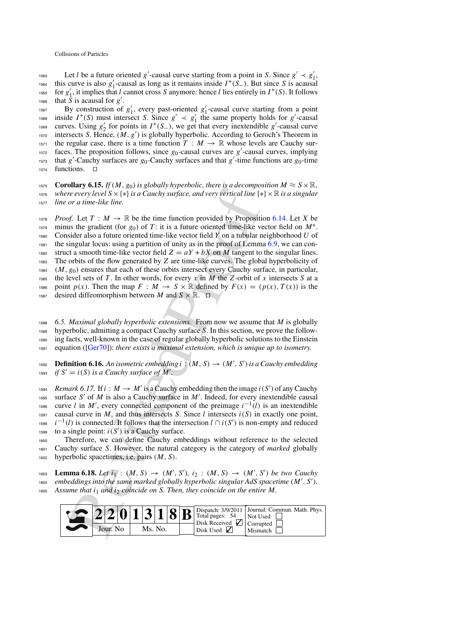Let *l* be a future oriented *g*'-causal curve starting from a point in *S*. Since  $g' \prec g'_1$ , this curve is also *g* <sup>1</sup>-causal as long as it remains inside *<sup>I</sup>* <sup>+</sup> <sup>1564</sup> (*S*−). But since *<sup>S</sup>* is acausal for  $g'_1$ , it implies that *l* cannot cross *S* anymore: hence *l* lies entirely in  $I^+(S)$ . It follows  $_{1566}$  that *S* is acausal for  $g'$ .

1567 By construction of  $g'_1$ , every past-oriented  $g'_1$ -causal curve starting from a point 1568 inside  $I^+(S)$  must intersect *S*. Since  $g' \prec g'_1$  the same property holds for  $g'$ -causal <sup>1569</sup> curves. Using  $g'_2$  for points in  $I^+(S_-)$ , we get that every inextendible  $g'$ -causal curve  $i<sub>570</sub>$  intersects *S*. Hence,  $(M, g')$  is globally hyperbolic. According to Geroch's Theorem in 1571 the regular case, there is a time function  $T : M \to \mathbb{R}$  whose levels are Cauchy sur $f_{1572}$  faces. The proposition follows, since  $g_0$ -causal curves are  $g'$ -causal curves, implying that *g*'-Cauchy surfaces are *g*<sub>0</sub>-Cauchy surfaces and that *g*'-time functions are *g*<sub>0</sub>-time  $1574$  functions.  $\Box$ 

1575 **Corollary 6.15.** *If*  $(M, g_0)$  *is globally hyperbolic, there is a decomposition*  $M \approx S \times \mathbb{R}$ , <sup>1576</sup> *where every level S*× {∗} *is a Cauchy surface, and very vertical line* {∗}×R *is a singular* <sup>1577</sup> *line or a time-like line.*

being that is  $\alpha$ ,  $\alpha$ ,  $\beta$ ,  $\alpha$ ,  $\beta$ ,  $\alpha$ ,  $\beta$ ,  $\alpha$  and  $\alpha$ ,  $\beta$  and  $\alpha$  and  $\alpha$  being the  $\alpha$  of  $t$  is  $\alpha$  fancely surface, and very vertical line (so  $\alpha$  at time-like line.<br>
so the gradient (for  $g_0$ ) <sup>1578</sup> *Proof.* Let  $T : M \to \mathbb{R}$  be the time function provided by Proposition [6.14.](#page-16-0) Let X be <sup>1579</sup> minus the gradient (for  $g_0$ ) of *T* : it is a future oriented time-like vector field on  $M^*$ . <sup>1580</sup> Consider also a future oriented time-like vector field *Y* on a tubular neighborhood *U* of <sup>1581</sup> the singular locus: using a partition of unity as in the proof of Lemma [6.9,](#page-14-4) we can con-1582 struct a smooth time-like vector field  $Z = aY + bX$  on *M* tangent to the singular lines. <sup>1583</sup> The orbits of the flow generated by *Z* are time-like curves. The global hyperbolicity of <sup>1584</sup> (*M*, *g*0) ensures that each of these orbits intersect every Cauchy surface, in particular, 1585 the level sets of *T*. In other words, for every *x* in *M* the *Z*-orbit of *x* intersects *S* at a 1586 point  $p(x)$ . Then the map  $F : M \to S \times \mathbb{R}$  defined by  $F(x) = (p(x), T(x))$  is the 1587 desired diffeomorphism between *M* and  $S \times \mathbb{R}$ .  $\Box$ 

<span id="page-40-0"></span><sup>1588</sup> *6.5. Maximal globally hyperbolic extensions.* From now we assume that *M* is globally <sup>1589</sup> hyperbolic, admitting a compact Cauchy surface *S*. In this section, we prove the follow-<sup>1590</sup> ing facts, well-known in the case of regular globally hyperbolic solutions to the Einstein

<sup>1591</sup> equation ([Ger70]): *there exists a maximal extension, which is unique up to isometry.*

**Definition 6.16.** An isometric embedding  $i : (M, S) \rightarrow (M', S')$  is a Cauchy embedding <sup>1593</sup> *if*  $S' = i(S)$  *is a Cauchy surface of M'.* 

*Remark 6.17.* If  $i : M \rightarrow M'$  is a Cauchy embedding then the image  $i(S')$  of any Cauchy  $1595$  surface *S'* of *M* is also a Cauchy surface in *M'*. Indeed, for every inextendible causal <sup>1596</sup> curve *l* in *M'*, every connected component of the preimage  $i^{-1}(l)$  is an inextendible <sup>1597</sup> causal curve in *M*, and thus intersects *S*. Since *l* intersects *i*(*S*) in exactly one point, <sup>1598</sup>  $i^{-1}(l)$  is connected. It follows that the intersection  $l \cap i(S')$  is non-empty and reduced to a single point:  $i(S')$  is a Cauchy surface.

<sup>1600</sup> Therefore, we can define Cauchy embeddings without reference to the selected <sup>1601</sup> Cauchy surface *S*. However, the natural category is the category of *marked* globally <sup>1602</sup> hyperbolic spacetimes, i.e. pairs (*M*, *S*).

1603 **Lemma 6.18.** *Let*  $i_1$  :  $(M, S) \to (M', S')$ ,  $i_2$  :  $(M, S) \to (M', S')$  be two Cauchy 1604 embeddings into the same marked globally hyperbolic singular AdS spacetime (M', S'). <sup>1605</sup> *Assume that i*<sup>1</sup> *and i*<sup>2</sup> *coincide on S. Then, they coincide on the entire M.*

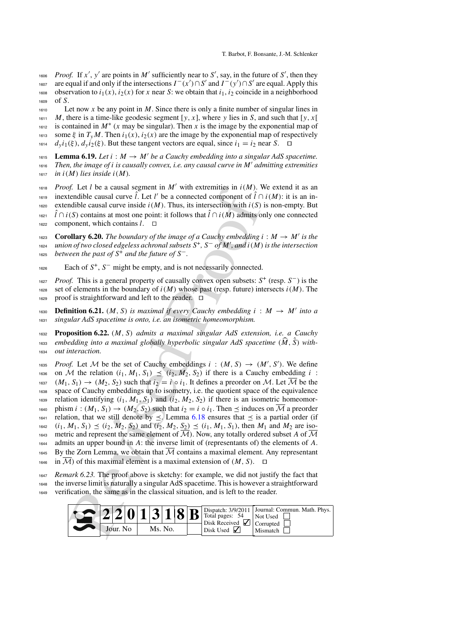$P_{\text{roof.}}$  If *x'*, *y'* are points in *M'* sufficiently near to *S'*, say, in the future of *S'*, then they are equal if and only if the intersections  $I^-(x') \cap S'$  and  $I^-(y') \cap S'$  are equal. Apply this 1608 observation to  $i_1(x)$ ,  $i_2(x)$  for x near *S*: we obtain that  $i_1$ ,  $i_2$  coincide in a neighborhood <sup>1609</sup> of *S*.

1610 Let now x be any point in  $M$ . Since there is only a finite number of singular lines in  $1611$  *M*, there is a time-like geodesic segment [y, x], where y lies in *S*, and such that [y, x[  $\lim_{1612}$  is contained in *M*<sup>\*</sup> (*x* may be singular). Then *x* is the image by the exponential map of 1613 some  $\xi$  in  $T_yM$ . Then  $i_1(x)$ ,  $i_2(x)$  are the image by the exponential map of respectively 1614  $d_{\nu}i_1(\xi), d_{\nu}i_2(\xi)$ . But these tangent vectors are equal, since  $i_1 = i_2$  near *S*.  $\Box$ 

 $H_{615}$  **Lemma 6.19.** *Let i* :  $M \rightarrow M'$  *be a Cauchy embedding into a singular AdS spacetime. Then, the image of i is causally convex, i.e. any causal curve in M* <sup>1616</sup> *admitting extremities*  $1617$  *in i*(*M*) *lies inside i*(*M*).

 $P_{\text{roof.}}$  Let *l* be a causal segment in *M'* with extremities in  $i(M)$ . We extend it as an  $\hat{i}$  inextendible causal curve  $\hat{i}$ . Let *l'* be a connected component of  $\hat{i} \cap i(M)$ : it is an in-1620 extendible causal curve inside  $i(M)$ . Thus, its intersection with  $i(S)$  is non-empty. But  $\hat{i}$  ∩  $\hat{i}$  (*S*) contains at most one point: it follows that  $\hat{i}$  ∩  $\hat{i}$  (*M*) admits only one connected 1622 component, which contains  $l$ .  $\Box$ 

**Corollary 6.20.** *The boundary of the image of a Cauchy embedding*  $i : M \rightarrow M'$  *is the union of two closed edgeless achronal subsets*  $S^+$ ,  $S^-$  *of*  $M'$ , and *i*( $M$ ) *is the intersection between the past of*  $S^+$  *and the future of*  $S^-$ *.* 

 $\epsilon_{1626}$  Each of  $S^+$ ,  $S^-$  might be empty, and is not necessarily connected.

*Proof.* This is a general property of causally convex open subsets: *S*<sup>+</sup> (resp. *S*<sup>−</sup>) is the 1628 set of elements in the boundary of  $i(M)$  whose past (resp. future) intersects  $i(M)$ . The  $_{1629}$  proof is straightforward and left to the reader.  $\Box$ 

1630 **Definition 6.21.** (*M*, *S*) *is maximal if every Cauchy embedding*  $i : M \rightarrow M'$  *into a* <sup>1631</sup> *singular AdS spacetime is onto, i.e. an isometric homeomorphism.*

<sup>1632</sup> **Proposition 6.22.** (*M*, *S*) *admits a maximal singular AdS extension, i.e. a Cauchy* <sup>1633</sup> embedding into a maximal globally hyperbolic singular AdS spacetime ( $\widehat{M}$ ,  $\widehat{S}$ ) with-<sup>1634</sup> *out interaction.*

*y*. Let the a causal segment in *M* win extremelits in  $(P, M)$ .<br>
Let the a causal segment in *M* win extremelistion ( $P$ ). The the denoting the causal curve in the second component of  $\hat{I} \cap I$  ( $\hat{S}$ ) contains at most *Proof.* Let *M* be the set of Cauchy embeddings *i* :  $(M, S) \rightarrow (M', S')$ . We define 1636 on *M* the relation  $(i_1, M_1, S_1) \preceq (i_2, M_2, S_2)$  if there is a Cauchy embedding *i*:  $1637$   $(M_1, S_1) \rightarrow (M_2, S_2)$  such that  $i_2 = i \circ i_1$ . It defines a preorder on M. Let  $\overline{M}$  be the <sup>1638</sup> space of Cauchy embeddings up to isometry, i.e. the quotient space of the equivalence 1639 relation identifying  $(i_1, M_1, S_1)$  and  $(i_2, M_2, S_2)$  if there is an isometric homeomor- $1640$  phism  $i:(M_1, S_1) \rightarrow (M_2, S_2)$  such that  $i_2 = i \circ i_1$ . Then  $\prec$  induces on  $\overline{\mathcal{M}}$  a preorder relation, that we still denote by  $\leq$ . Lemma 6.18 ensures that  $\leq$  is a partial order (if  $(i_1, M_1, S_1) \leq (i_2, M_2, S_2)$  and  $(i_2, M_2, S_2) \leq (i_1, M_1, S_1)$ , then  $M_1$  and  $M_2$  are iso-1643 metric and represent the same element of  $\overline{M}$ ). Now, any totally ordered subset A of  $\overline{M}$ admits an upper bound in *A*: the inverse limit of (representants of) the elements of *A*. 1645 By the Zorn Lemma, we obtain that  $\overline{\mathcal{M}}$  contains a maximal element. Any representant 1646 in  $\overline{\mathcal{M}}$ ) of this maximal element is a maximal extension of  $(M, S)$ .  $\Box$ 

<sup>1647</sup> *Remark 6.23.* The proof above is sketchy: for example, we did not justify the fact that <sup>1648</sup> the inverse limit is naturally a singular AdS spacetime. This is however a straightforward

<sup>1649</sup> verification, the same as in the classical situation, and is left to the reader.

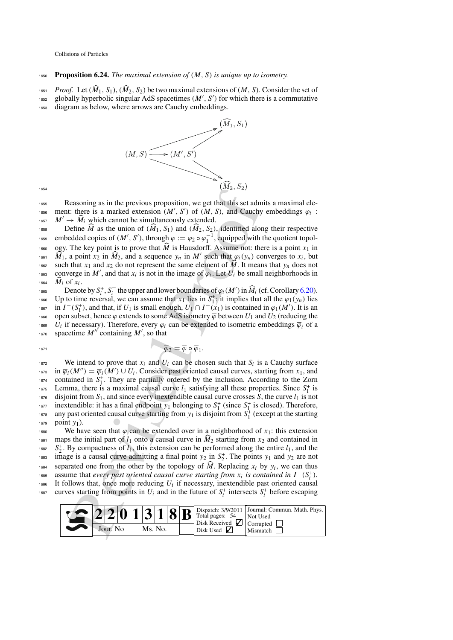## <sup>1650</sup> **Proposition 6.24.** *The maximal extension of* (*M*, *S*) *is unique up to isometry.*

<sup>1651</sup> *Proof.* Let  $(\widehat{M}_1, S_1), (\widehat{M}_2, S_2)$  be two maximal extensions of  $(M, S)$ . Consider the set of

 $_{1652}$  globally hyperbolic singular AdS spacetimes  $(M', S')$  for which there is a commutative

<sup>1653</sup> diagram as below, where arrows are Cauchy embeddings.



1654

<sup>1655</sup> Reasoning as in the previous proposition, we get that this set admits a maximal ele-1656 ment: there is a marked extension  $(M', S')$  of  $(M, S)$ , and Cauchy embeddings  $\varphi_i$ : 1656 ment: there is a marked extension  $(M', S')$  of  $(M, S')$ <br>1657  $M' \rightarrow \hat{M}_i$  which cannot be simultaneously extended. <sup>1654</sup><br>
<sup>1658</sup><br>
Reasoning as in the previous proposition, we get that this set admits a maximal element: there is a marked extension  $(M', S')$  of  $(M, S)$ , and Cauchy embeddings  $\varphi_i$ :<br>  $M' \rightarrow \widehat{M}_i$  which cannot be simultane

tess embedded copies of  $(M', S')$ , through  $\varphi := \varphi_2 \circ \varphi_1^{-1}$ , equipped with the quotient topol-1650 ment: there is a marked extension  $(M', S')$  of  $(M, S)$ , and Cauchy embeddings  $\varphi_i$ :<br>
1657  $M' \rightarrow \hat{M}_i$  which cannot be simultaneously extended.<br>
Define  $\hat{M}$  as the union of  $(\hat{M}_1, S_1)$  and  $(\hat{M}_2, S_2)$ , identifie *M*<sup>1</sup>  $\rightarrow$   $\hat{M}_i$  which cannot be simultaneously extended.<br>
Define  $\hat{M}$  as the union of  $(\hat{M}_1, S_1)$  and  $(\hat{M}_2, S_2)$ , identified along their respective<br>
embedded copies of  $(M', S')$ , through  $\varphi := \varphi_2 \circ \varphi_1^{-1}$ , e 1659 Define  $\hat{M}$  as the union of  $(\hat{M}_1, S_1)$  and  $(\hat{M}_2, S_2)$ , identified along their respective<br>
embedded copies of  $(M', S')$ , through  $\varphi := \varphi_2 \circ \varphi_1^{-1}$ , equipped with the quotient topol-<br>
1669 ogy. The key point  $\sum_{i=1}^{\infty}$  converge in *M'*, and that  $x_i$  is not in the image of  $\varphi_i$ . Let  $U_i$  be small neighborhoods in <sup>1669</sup> embedde</sup><br><sup>1661</sup>  $\overline{M}_1$ , a po<br><sup>1662</sup> such that<br><sup>1663</sup>  $\overline{M}_i$  of  $x_i$ . *i* the upper and lower boundaries of  $\varphi_i(M')$  in  $\widehat{M}_i$  (cf. Corollary [6.20\)](#page-20-2).<br> *i* these south that  $x_1$  and  $x_2$  do not represent the same element of  $\widehat{M}$ . It means that  $y_n$  does not converge in  $M'$ , and that

Denote by  $S_i^+$ ,  $S_i^-$ 1666 Up to time reversal, we can assume that *x*<sub>1</sub> lies in *S*<sup>+</sup>; it implies that all the  $\varphi_1(y_n)$  lies  $\lim_{t \to 0} I^{-}(S_1^+)$ , and that, if  $U_1$  is small enough,  $U_1 \cap I^{-}(x_1)$  is contained in  $\varphi_1(M')$ . It is an 1668 open subset, hence  $\varphi$  extends to some AdS isometry  $\overline{\varphi}$  between  $U_1$  and  $U_2$  (reducing the <sup>1669</sup> *U<sub>i</sub>* if necessary). Therefore, every  $\varphi_i$  can be extended to isometric embeddings  $\overline{\varphi}_i$  of a 1670 spacetime  $M''$  containing  $M'$ , so that

$$
1671\\
$$

$$
\overline{\varphi}_2 = \overline{\varphi} \circ \overline{\varphi}_1.
$$

casoning as in the previous proposition, we get that this set admospheres it. It there is a marked extension  $(M', S')$  of  $(M, S)$ , and Cauchy  $\rightarrow \hat{M}_i$ , which cannot be simultaneously extended.<br>
Let there is a marked extensi We intend to prove that  $x_i$  and  $U_i$  can be chosen such that  $S_i$  is a Cauchy surface <sup>1673</sup> in  $\overline{\varphi}_i(M'') = \overline{\varphi}_i(M') \cup U_i$ . Consider past oriented causal curves, starting from  $x_1$ , and <sup>1674</sup> contained in  $S_1^+$ . They are partially ordered by the inclusion. According to the Zorn 1675 Lemma, there is a maximal causal curve  $l_1$  satisfying all these properties. Since  $S_1^+$  is 1676 disjoint from  $S_1$ , and since every inextendible causal curve crosses  $S$ , the curve  $l_1$  is not <sup>1677</sup> inextendible: it has a final endpoint  $y_1$  belonging to  $S_1^+$  (since  $S_1^+$  is closed). Therefore, <sup>1678</sup> any past oriented causal curve starting from  $y_1$  is disjoint from  $S_1^+$  (except at the starting <sup>1679</sup> point *y*1). 1676 disjoint from  $S_1$ , and since every inextendible causal curve crosses  $S$ , the curve  $l_1$  is not inextendible: it has a final endpoint  $y_1$  belonging to  $S_1^+$  (since  $S_1^+$  is closed). Therefore, any past orien

<sup>1680</sup> We have seen that  $\varphi$  can be extended over in a neighborhood of  $x_1$ : this extension maps the initial part of  $l_1$  onto a causal curve in  $\hat{M}_2$  starting from  $x_2$  and contained in <sup>1682</sup>  $S_2^+$ . By compactness of  $l_1$ , this extension can be performed along the entire  $l_1$ , and the  $\frac{1}{1683}$  image is a causal curve admitting a final point  $y_2$  in  $S_2^+$ . The points  $y_1$  and  $y_2$  are not Separated one from the other by the topology of  $\hat{M}$ . Replacing *x<sub>i</sub>* by *y<sub>i</sub>*, we can the other by the seteration can be performed along the entire  $l_1$ , and the topology of  $l_1$ , this extension can be performed a assume that *every past oriented causal curve starting from*  $x_i$  *is contained in*  $I^-(S_i^+)$ *.*  $1686$  It follows that, once more reducing  $U_i$  if necessary, inextendible past oriented causal the curves starting from points in  $U_i$  and in the future of  $S_i^+$  intersects  $S_i^+$  before escaping

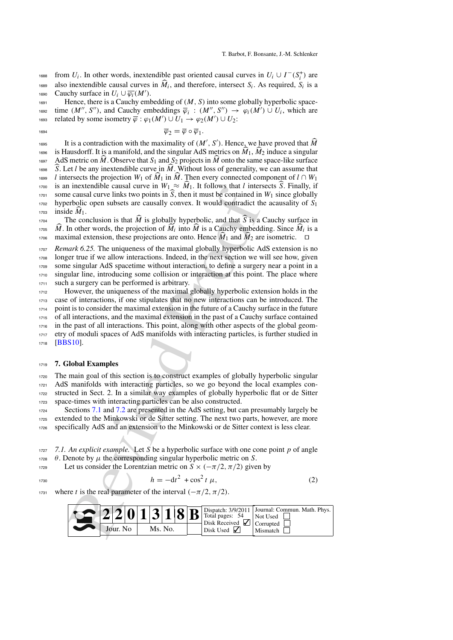from *U<sub>i</sub>*. In other words, inextendible past oriented causal curves in  $U_i \cup I^-(S_i^+)$  are 1688 from  $U_i$ . In other words, inextendible past oriented causal curves in  $U_i \cup I^-(S_i^+)$  are<br>
1689 also inextendible causal curves in  $\hat{M}_i$ , and therefore, intersect  $S_i$ . As required,  $S_i$  is a 1689 also inextendible causal curves in  $\widehat{M}_i$ , and therefore, intersect  $S_i$ . As required,  $S_i$  is a Cauchy surface in  $U_i \cup \overline{\varphi_i}(M')$ .

 $1691$  Hence, there is a Cauchy embedding of  $(M, S)$  into some globally hyperbolic spacetime  $(M'', S'')$ , and Cauchy embeddings  $\overline{\varphi}_i : (M'', S'') \rightarrow \varphi_i(M') \cup U_i$ , which are related by some isometry  $\overline{\varphi}: \varphi_1(M') \cup U_1 \rightarrow \varphi_2(M') \cup U_2$ : <sup>1691</sup><br>
Hence, there is a Cauchy embedding of  $(M, S)$  into some globally hyperbolic space-<br>
time  $(M'', S'')$ , and Cauchy embeddings  $\overline{\varphi}_i : (M'', S'') \to \varphi_i(M') \cup U_i$ , which are<br>
related by some isometry  $\overline{\varphi} : \varphi_1(M') \cup U_1 \to \varphi_$ 

$$
1694
$$

 $\overline{\varphi}_2 = \overline{\varphi} \circ \overline{\varphi}_1.$ 

It is a contradiction with the maximality of  $(M', S')$ . Hence, we have proved that M 1692 time  $(M'', S'')$ , and Cauchy embeddings  $\overline{\varphi}_i : (M'', S'') \to \varphi_i(M') \cup U_i$ , which are<br>related by some isometry  $\overline{\varphi} : \varphi_1(M') \cup U_1 \to \varphi_2(M') \cup U_2$ :<br> $\overline{\varphi}_2 = \overline{\varphi} \circ \overline{\varphi}_1$ .<br>It is a contradiction with the maximality of 1693 related by some isometry  $\overline{\varphi}$ :  $\varphi_1(M') \cup U_1 \rightarrow \varphi_2(M') \cup U_2$ :<br>
1694<br>
1696 It is a contradiction with the maximality of  $(M', S')$ . Hence, we have proved that  $\widehat{M}$ <br>
1696 is Hausdorff. It is a manifold, and the sin <sup>1694</sup><br>
1698 It is a contradiction with the maximality of  $(M', S')$ . Hence, we have proved that  $\widehat{M}$ <br>
1696 is Hausdorff. It is a manifold, and the singular AdS metrics on  $\widehat{M}_1$ ,  $\widehat{M}_2$  induce a singular<br>
1697 AdS 1695 It is a contradiction with the maximality of  $(M', S')$ . Hence, we have proved that  $\hat{M}$ <br>1696 is Hausdorff. It is a manifold, and the singular AdS metrics on  $\hat{M}_1$ ,  $\hat{M}_2$  induce a singular<br>1697 AdS metric on  $\hat$ 1700 is an inextendible causal curve in  $W_1 \approx \hat{M}_1$ . It follows that *I* intersects *S*. Finally, if  $\hat{M}$  is a manifold, and the singular AdS metrics on  $\hat{M}_1$ ,  $\hat{M}_2$  induce a singular AdS metric on  $\hat{M}$ . Obs 1896 IS Hausdorff. It is a manifold, and the singular AdS metrics on  $M_1$ ,  $M_2$  induce a singular<br>
AdS metric on  $\hat{M}$ . Observe that  $S_1$  and  $S_2$  projects in  $\hat{M}$  onto the same space-like surface<br>  $\hat{S}$ . Let 1702 hyperbolic open subsets are causally convex. It would contradict the acausality of  $S_1$ <br>1703 inside  $\hat{M}_1$ . <sup>1698</sup> <br><sup>1699</sup> *l* intersects<br><sup>1700</sup> is an inext<br><sup>1701</sup> some causs<br><sup>1702</sup> hyperbolic<br><sup>1703</sup> inside  $\hat{M}_1$ . <sup>1700</sup> Intersects the projection  $W_1$  or  $M_1$  in  $M$ . Then every connected component of  $l \cap W_1$ <br>
<sup>1700</sup> is an inextendible causal curve in  $W_1 \approx \hat{M}_1$ . It follows that *l* intersects  $\hat{S}$ . Finally, if<br>
<sup>1702</sup> some *M* is an inextendible causal curve in  $W_1 \approx M_1$ . It follows that *l* intersects *S*. Finally, if<br>
some causal curve links two points in  $\hat{S}$ , then it must be contained in  $W_1$  since globally<br>
hyperbolic open subsets

<sup>1706</sup>  $\widehat{M}$ . In other words, the projection of  $\widehat{M}_i$  into  $\widehat{M}$  is a Cauchy embedding. Since  $\widehat{M}_i$  is a maximal extension, these projections are onto. Hence  $\widehat{M}_1$  and  $\widehat{M}_2$  are isometric.  $\Box$ 

 *Remark 6.25.* The uniqueness of the maximal globally hyperbolic AdS extension is no longer true if we allow interactions. Indeed, in the next section we will see how, given some singular AdS spacetime without interaction, to define a surgery near a point in a singular line, introducing some collision or interaction at this point. The place where such a surgery can be performed is arbitrary.

[i](#page-45-0)n methemology can<br>also travels and the  $\frac{m_1}{m_1}$  in the most such that<br>can calculate causal curve links two points in  $\overline{S}$ , then it must be contained in<br>the causal curve links two points in  $\overline{S}$ , then it must However, the uniqueness of the maximal globally hyperbolic extension holds in the case of interactions, if one stipulates that no new interactions can be introduced. The point is to consider the maximal extension in the future of a Cauchy surface in the future of all interactions, and the maximal extension in the past of a Cauchy surface contained in the past of all interactions. This point, along with other aspects of the global geom- etry of moduli spaces of AdS manifolds with interacting particles, is further studied in <sup>1718</sup> [\[BBS10](#page-52-10)].

#### <span id="page-43-0"></span><sup>1719</sup> **7. Global Examples**

 The main goal of this section is to construct examples of globally hyperbolic singular AdS manifolds with interacting particles, so we go beyond the local examples con- structed in Sect. 2. In a similar way examples of globally hyperbolic flat or de Sitter space-times with interacting particles can be also constructed.

1724 Sections 7.1 and 7.2 are presented in the AdS setting, but can presumably largely be <sup>1725</sup> extended to the Minkowski or de Sitter setting. The next two parts, however, are more <sup>1726</sup> specifically AdS and an extension to the Minkowski or de Sitter context is less clear.

<span id="page-43-1"></span><sup>1727</sup> *7.1. An explicit example.* Let *S* be a hyperbolic surface with one cone point *p* of angle 1728  $\theta$ . Denote by  $\mu$  the corresponding singular hyperbolic metric on *S*.

<sup>1729</sup> Let us consider the Lorentzian metric on 
$$
S \times (-\pi/2, \pi/2)
$$
 given by

$$
h = -dt^2 + \cos^2 t \mu,
$$
 (2)

1731 where *t* is the real parameter of the interval  $(-\pi/2, \pi/2)$ .

<span id="page-43-2"></span>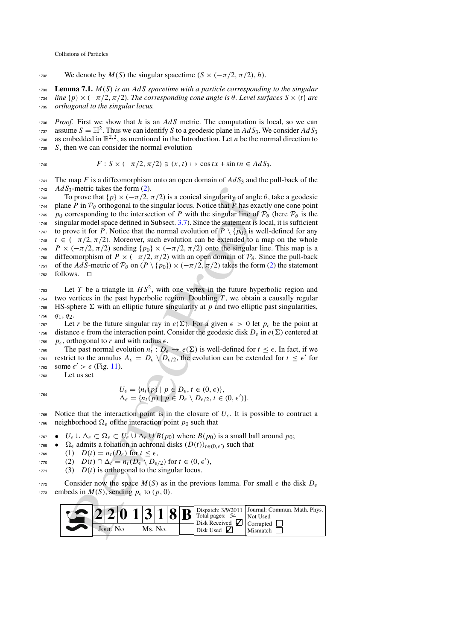1732 We denote by  $M(S)$  the singular spacetime  $(S \times (-\pi/2, \pi/2), h)$ .

<sup>1733</sup> **Lemma 7.1.** *M*(*S*) *is an Ad S spacetime with a particle corresponding to the singular* <sup>1734</sup> *line* {*p*} × (−π/2,π/2)*. The corresponding cone angle is* θ*. Level surfaces S* × {*t*} *are* <sup>1735</sup> *orthogonal to the singular locus.*

<sup>1736</sup> *Proof.* First we show that *h* is an *AdS* metric. The computation is local, so we can assume  $S = \mathbb{H}^2$ . Thus we can identify *S* to a geodesic plane in  $AdS_3$ . We consider  $AdS_3$ <sup>1738</sup> as embedded in  $\mathbb{R}^{2,2}$ , as mentioned in the Introduction. Let *n* be the normal direction to <sup>1739</sup> *S*, then we can consider the normal evolution

$$
F: S \times (-\pi/2, \pi/2) \ni (x, t) \mapsto \cos tx + \sin tn \in AdS_3.
$$

1741 The map *F* is a diffeomorphism onto an open domain of  $AdS_3$  and the pull-back of the <sup>1742</sup> *AdS*3-metric takes the form [\(2\)](#page-43-2).

Smetric lakes the form (2).<br>
Signification of the singular singularity of angle<br>
o prove that  $[p] \times (-\pi/2, \pi/2)$  is a conical singularity of angle<br>  $P$  in  $P_\theta$  orthogonal to the singular locus. Notice that  $P$  has exact<br> 1743 To prove that  $\{p\} \times (-\pi/2, \pi/2)$  is a conical singularity of angle  $\theta$ , take a geodesic 1744 plane *P* in  $\mathcal{P}_{\theta}$  orthogonal to the singular locus. Notice that *P* has exactly one cone point 1745 *p*<sub>0</sub> corresponding to the intersection of *P* with the singular line of  $\mathcal{P}_{\theta}$  (here  $\mathcal{P}_{\theta}$  is th 1745 *p*<sub>0</sub> corresponding to the intersection of *P* with the singular line of  $\mathcal{P}_{\theta}$  (here  $\mathcal{P}_{\theta}$  is the singular model space defined in Subsect. 3.7). Since the statement is local, it is sufficient singular model space defined in Subsect.  $3.7$ ). Since the statement is local, it is sufficient 1747 to prove it for *P*. Notice that the normal evolution of  $P \setminus \{p_0\}$  is well-defined for any 1748  $t \in (-\pi/2, \pi/2)$ . Moreover, such evolution can be extended to a map on the whole <sup>1749</sup> *P* × (−π/2,π/2) sending {*p*0} × (−π/2,π/2) onto the singular line. This map is a 1750 diffeomorphism of *P* × (−π/2, π/2) with an open domain of  $P_{\theta}$ . Since the pull-back of the *AdS*-metric of  $P_{\theta}$  on  $(P \setminus \{p_0\}) \times (-\pi/2, \pi/2)$  takes the form (2) the statement 1751 of the *AdS*-metric of  $P_\theta$  on  $(P \setminus \{p_0\}) \times (-\pi/2, \pi/2)$  takes the form [\(2\)](#page-43-2) the statement follows. □ follows.  $\Box$ 

 $Let T$  be a triangle in  $HS^2$ , with one vertex in the future hyperbolic region and  $1754$  two vertices in the past hyperbolic region. Doubling T, we obtain a causally regular 1755 HS-sphere  $\Sigma$  with an elliptic future singularity at p and two elliptic past singularities, 1756  $q_1, q_2$ .

1757 Let *r* be the future singular ray in  $e(\Sigma)$ . For a given  $\epsilon > 0$  let  $p_{\epsilon}$  be the point at distance  $\epsilon$  from the interaction point. Consider the geodesic disk  $D_{\epsilon}$  in  $e(\Sigma)$  centered at  $p_{\epsilon}$ , orthogonal to *r* and with radius  $\epsilon$ .

The past normal evolution  $n_t : D_{\epsilon} \to e(\Sigma)$  is well-defined for  $t \leq \epsilon$ . In fact, if we r<sup>1761</sup> restrict to the annulus  $A_{\epsilon} = D_{\epsilon} \setminus D_{\epsilon/2}$ , the evolution can be extended for  $t \leq \epsilon'$  for 1762 some  $\epsilon' > \epsilon$  (Fig. 11).

<sup>1763</sup> Let us set

$$
U_{\epsilon} = \{n_t(p) \mid p \in D_{\epsilon}, t \in (0, \epsilon)\},
$$
  
\n
$$
\Delta_{\epsilon} = \{n_t(p) \mid p \in D_{\epsilon} \setminus D_{\epsilon/2}, t \in (0, \epsilon')\}.
$$

1765 Notice that the interaction point is in the closure of  $U_{\epsilon}$ . It is possible to contruct a 1766 neighborhood  $\Omega$ <sub>c</sub> of the interaction point *p*<sub>0</sub> such that

<sup>1767</sup> **•**  $U_{\epsilon} \cup \Delta_{\epsilon} \subset \Omega_{\epsilon} \subset U_{\epsilon} \cup \Delta_{\epsilon} \cup B(p_0)$  where  $B(p_0)$  is a small ball around  $p_0$ ;

- $\Omega$ <sub>ε</sub> admits a foliation in achronal disks  $(D(t))$ <sub>*t*∈(0, $ε'$ )</sub> such that
- 1769 (1)  $D(t) = n_t(D_\epsilon)$  for  $t \le \epsilon$ ,
- <sup>1770</sup> (2)  $D(t) \cap \Delta_t = n_t (D_{\epsilon} \setminus D_{\epsilon/2})$  for  $t \in (0, \epsilon'),$
- $1771$  (3)  $D(t)$  is orthogonal to the singular locus.

1772 Consider now the space  $M(S)$  as in the previous lemma. For small  $\epsilon$  the disk  $D_{\epsilon}$ 1773 embeds in  $M(S)$ , sending  $p_{\epsilon}$  to  $(p, 0)$ .

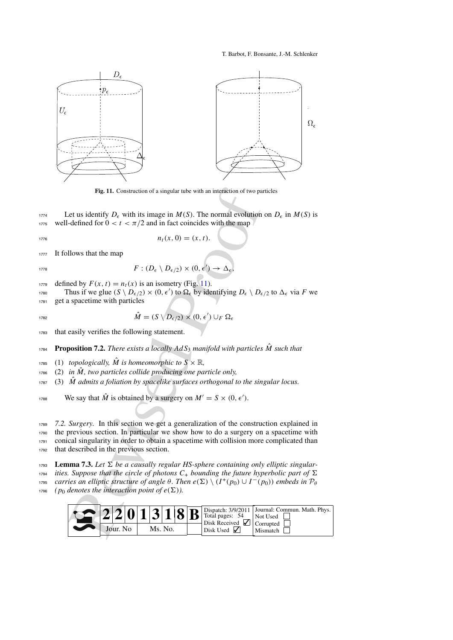T. Barbot, F. Bonsante, J.-M. Schlenker



**Fig. 11.** Construction of a singular tube with an interaction of two particles

1774 Let us identify  $D_{\epsilon}$  with its image in  $M(S)$ . The normal evolution on  $D_{\epsilon}$  in  $M(S)$  is 1775 well-defined for  $0 < t < \pi/2$  and in fact coincides with the map

$$
n_t(x,0) = (x,t).
$$

1777 It follows that the map

$$
F:(D_{\epsilon}\setminus D_{\epsilon/2})\times(0,\epsilon')\to\Delta_{\epsilon},
$$

1779 defined by  $F(x, t) = n_t(x)$  is an isometry (Fig. 11).

Thus if we glue  $(S \setminus D_{\epsilon/2}) \times (0, \epsilon')$  to  $\Omega_{\epsilon}$  by identifying  $D_{\epsilon} \setminus D_{\epsilon/2}$  to  $\Delta_{\epsilon}$  via *F* we <sup>1781</sup> get a spacetime with particles

$$
\hat{M} = (S \setminus D_{\epsilon/2}) \times (0, \epsilon') \cup_F \Omega_{\epsilon}
$$

<sup>1783</sup> that easily verifies the following statement.

<sup>1784</sup> **Proposition 7.2.** *There exists a locally Ad S*<sub>3</sub> *manifold with particles*  $\hat{M}$  *such that* 

- <sup>1785</sup> (1) *topologically,*  $\hat{M}$  *is homeomorphic to*  $S \times \mathbb{R}$ *,*
- $1786$  (2) in  $\hat{M}$ , two particles collide producing one particle only,
- $\hat{M}$  (3)  $\hat{M}$  admits a foliation by spacelike surfaces orthogonal to the singular locus.
- <span id="page-45-0"></span>We say that  $\hat{M}$  is obtained by a surgery on  $M' = S \times (0, \epsilon').$

<span id="page-45-1"></span>Fig. 11. Construction of a singular tube with an interaction of two pa<br>
et us identify  $D_{\epsilon}$  with its image in  $M(S)$ . The normal evolution<br>
defined for  $0 < t < \pi/2$  and in fact coincides with the map<br>  $n_1(x, 0) = (x, t)$ .<br>
I *7.2. Surgery.* In this section we get a generalization of the construction explained in the previous section. In particular we show how to do a surgery on a spacetime with conical singularity in order to obtain a spacetime with collision more complicated than that described in the previous section.

 $_{1793}$  **Lemma 7.3.** Let  $\Sigma$  be a causally regular HS-sphere containing only elliptic singular-

- $1794$  *ities. Suppose that the circle of photons C<sub>+</sub> bounding the future hyperbolic part of*  $\Sigma$ *carries an elliptic structure of angle*  $\theta$ *. Then e*( $\Sigma$ )  $\setminus (I^+(p_0) \cup I^-(p_0))$  *embeds in*  $\mathcal{P}_{\theta}$
- <sup>1796</sup> *(p<sub>0</sub> denotes the interaction point of e(* $\Sigma$ *)).*

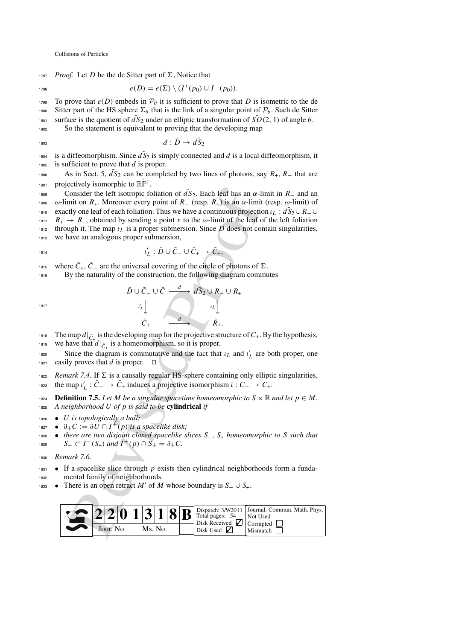$1797$  *Proof.* Let *D* be the de Sitter part of  $\Sigma$ , Notice that

$$
e(D) = e(\Sigma) \setminus (I^+(p_0) \cup I^-(p_0)).
$$

1799 To prove that  $e(D)$  embeds in  $\mathcal{P}_{\theta}$  it is sufficient to prove that *D* is isometric to the de 1800 Sitter part of the HS sphere  $\Sigma_{\theta}$  that is the link of a singular point of  $\mathcal{P}_{\theta}$ . Such de Sitter 1801 surface is the quotient of  $dS_2$  under an elliptic transformation of  $SO(2, 1)$  of angle θ.

<sup>1802</sup> So the statement is equivalent to proving that the developing map

$$
1803\\
$$

$$
d:\tilde{D}\to d\tilde{S}_2
$$

 $\frac{1804}{1804}$  is a diffeomorphism. Since  $d\tilde{S}_2$  is simply connected and *d* is a local diffeomorphism, it <sup>1805</sup> is sufficient to prove that *d* is proper.

As in Sect. [5,](#page-28-0)  $\tilde{d}S_2$  can be completed by two lines of photons, say  $R_+$ ,  $R_-$  that are 1807 projectively isomorphic to  $\mathbb{RP}^1$ .

Consider the left isotropic foliation of  $d\tilde{S}_2$ . Each leaf has an  $\alpha$ -linion  $R_x$ . Moreover every point of  $R_z$  (resp.  $R_z$ ) is an  $\alpha$ -linion  $\tilde{S}_1$  and  $\alpha$ -linion  $\tilde{S}_2$ . Each leaf has an  $\alpha$ -linion  $\tilde{S}_$ <sup>1808</sup> Consider the left isotropic foliation of  $\tilde{d}S_2$ . Each leaf has an α-limit in *R*− and an <sup>1809</sup> ω-limit on *R*+. Moreover every point of *R*<sup>−</sup> (resp. *R*+) is an α-limit (resp. ω-limit) of t<sup>810</sup> exactly one leaf of each foliation. Thus we have a continuous projection *ι*<sub>L</sub> : *d*  $\tilde{S}_2 \cup R_$  ∪ 1811  $R_+ \rightarrow R_+$ , obtained by sending a point *x* to the  $\omega$ -limit of the leaf of the left foliation through it. The map  $\iota_L$  is a proper submersion. Since D does not contain singularities, <sup>1813</sup> we have an analogous proper submersion,

$$
\iota'_L : \tilde{D} \cup \tilde{C}_- \cup \tilde{C}_+ \to \tilde{C}_+,
$$

where  $\tilde{C}_+$ ,  $\tilde{C}_-$  are the universal covering of the circle of photons of  $\Sigma$ .  $\frac{1}{2}$ 

<sup>1816</sup> By the naturality of the construction, the following diagram commutes

$$
\begin{array}{ccc}\n\tilde{D} \cup \tilde{C}_{-} \cup \tilde{C} & \xrightarrow{d} & d\tilde{S}_{2} \cup R_{-} \cup R_{+} \\
\downarrow^{l'} & & & \downarrow^{l'} \\
\tilde{C}_{+} & & & & \tilde{R}_{+}.\n\end{array}
$$

1817

<sup>1818</sup> The map  $d|_{\tilde{C}_+}$  is the developing map for the projective structure of  $C_+$ . By the hypothesis, <sup>1819</sup> we have that  $d|_{\tilde{C}_+}$  is a homeomorphism, so it is proper.

Since the diagram is commutative and the fact that  $\iota_L$  and  $\iota'_L$  are both proper, one 1821 easily proves that *d* is proper.  $\Box$ 

1822 *Remark 7.4.* If  $\Sigma$  is a causally regular HS-sphere containing only elliptic singularities, the map  $\iota'_L : \tilde{C} \to \tilde{C}_+$  induces a projective isomorphism  $\overline{\iota} : C^- \to C_+$ .

1824 **Definition 7.5.** *Let M be a singular spacetime homeomorphic to*  $S \times \mathbb{R}$  *and let*  $p \in M$ . <sup>1825</sup> *A neighborhood U of p is said to be* **cylindrical** *if*

- <sup>1826</sup> *U is topologically a ball;*
- $\partial_{\pm} C := \partial U \cap I^{\pm}(p)$  *is a spacelike disk;*

<sup>1828</sup> • *there are two disjoint closed spacelike slices S*−, *S*<sup>+</sup> *homeomorphic to S such that*  $S_$  *S* − *C I* <sup>−</sup>(*S*<sub>+</sub>) *and*  $I^{\pm}(p)$  ∩  $S_{\pm} = \partial_{\pm} C$ .

<sup>1830</sup> *Remark 7.6.*

<sup>1831</sup> • If a spacelike slice through *p* exists then cylindrical neighborhoods form a funda-<sup>1832</sup> mental family of neighborhoods.

 $\bullet$  There is an open retract *M'* of *M* whose boundary is *S*− ∪ *S*<sub>+</sub>.

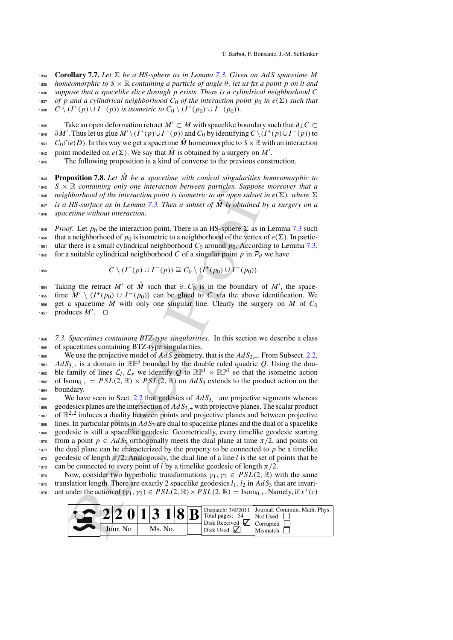**Corollary 7.7.** Let  $\Sigma$  be a HS-sphere as in Lemma [7.3.](#page-9-0) Given an AdS spacetime M *homeomorphic to S* × R *containing a particle of angle* θ*, let us fix a point p on it and suppose that a spacelike slice through p exists. There is a cylindrical neighborhood C of p and a cylindrical neighborhood*  $C_0$  *of the interaction point p<sub>0</sub> in e(* $\Sigma$ *) such that C*  $\setminus$  (*I*<sup>+</sup>(*p*) ∪ *I*<sup>−</sup>(*p*)) *is isometric to*  $C_0 \setminus (I^+(p_0) \cup I^-(p_0))$ *.* 

1839 Take an open deformation retract *M'* ⊂ *M* with spacelike boundary such that  $∂_+C$  ⊂

 $\partial M'$ . Thus let us glue  $M' \setminus (I^+(p) \cup I^-(p))$  and  $C_0$  by identifying  $C \setminus (I^+(p) \cup I^-(p))$  to

<sup>1841</sup> *C*0∩*e*(*D*). In this way we get a spacetime *M*ˆ homeomorphic to *S*×R with an interaction

point modelled on  $e(\Sigma)$ . We say that  $\hat{M}$  is obtained by a surgery on M'.

<sup>1843</sup> The following proposition is a kind of converse to the previous construction.

**Proposition 7.8.** Let  $\hat{M}$  be a spacetime with conical singularities homeomorphic to <sup>1845</sup> *S* × R *containing only one interaction between particles. Suppose moreover that a* 1846 *neighborhood of the interaction point is isometric to an open subset in*  $e(\Sigma)$ *, where*  $\Sigma$  $\mu_{1847}$  is a HS-surface as in Lemma 7.3. Then a subset of  $\hat{M}$  is obtained by a surgery on a <sup>1848</sup> *spacetime without interaction.*

1849 *Proof.* Let  $p_0$  be the interaction point. There is an HS-sphere  $\Sigma$  as in Lemma [7.3](#page-9-0) such that a neighborhood of  $p_0$  is isometric to a neighborhood of the vertex of  $e(\Sigma)$ . In partic-1851 ular there is a small cylindrical neighborhood  $C_0$  around  $p_0$ . According to Lemma [7.3,](#page-9-0) 1852 for a suitable cylindrical neighborhood *C* of a singular point *p* in  $\mathcal{P}_{\theta}$  we have

<sup>1853</sup> 
$$
C \setminus (I^+(p) \cup I^-(p)) \cong C_0 \setminus (I^+(p_0) \cup I^-(p_0)).
$$

Taking the retract *M'* of  $\hat{M}$  such that  $\partial_{\pm} C_0$  is in the boundary of *M'*, the spacetime  $M' \setminus (I^+(p_0) \cup I^-(p_0))$  can be glued to C via the above identification. We 1856 get a spacetime *M* with only one singular line. Clearly the surgery on *M* of  $C_0$ 1857 produces  $M'$ .  $\Box$ 

<span id="page-47-0"></span><sup>1858</sup> *7.3. Spacetimes containing BTZ-type singularities.* In this section we describe a class <sup>1859</sup> of spacetimes containing BTZ-type singularities.

<sup>1860</sup> We use the projective model of *AdS* geometry, that is the *AdS*3,+. From Subsect. [2.2,](#page-5-0) <sup>1861</sup>  $AdS_{3,+}$  is a domain in  $\mathbb{RP}^3$  bounded by the double ruled quadric *Q*. Using the double family of lines  $\mathcal{L}_l$ ,  $\mathcal{L}_r$  we identify  $Q$  to  $\mathbb{RP}^1 \times \mathbb{RP}^1$  so that the isometric action<br>of Isom<sub>0</sub> + =  $PSL(2, \mathbb{R}) \times PSL(2, \mathbb{R})$  on AdS<sub>3</sub> extends to the product action on the of Isom<sub>0, +</sub> =  $PSL(2, \mathbb{R}) \times PSL(2, \mathbb{R})$  on  $AdS_3$  extends to the product action on the <sup>1864</sup> boundary.

a containing only on interaction profers and phosis the proferes. Suppo[se](#page-5-0)s<br>
A containing only on the metrical model in the metric of the properties of the interaction point is isometric to an open subset<br>
HS-surface as in 1865 We have seen in Sect. 2.2 that gedesics of  $AdS_{3,+}$  are projective segments whereas 1866 geodesics planes are the intersection of  $AdS_{3,+}$  with projective planes. The scalar product 1867 of  $\mathbb{R}^{2,2}$  induces a duality between points and projective planes and between projective <sup>1868</sup> lines. In particular points in *AdS*<sup>3</sup> are dual to spacelike planes and the dual of a spacelike <sup>1869</sup> geodesic is still a spacelike geodesic. Geometrically, every timelike geodesic starting 1870 from a point  $p \in AdS_3$  orthogonally meets the dual plane at time  $\pi/2$ , and points on  $1871$  the dual plane can be characterized by the property to be connected to p be a timelike 1872 geodesic of length  $\pi/2$ . Analogously, the dual line of a line *l* is the set of points that be 1873 can be connected to every point of *l* by a timelike geodesic of length  $\pi/2$ .

1874 Now, consider two hyperbolic transformations  $\gamma_1, \gamma_2 \in PSL(2, \mathbb{R})$  with the same 1875 translation length. There are exactly 2 spacelike geodesics  $l_1$ ,  $l_2$  in  $AdS_3$  that are invari $a_{1876}$  ant under the action of  $(\gamma_1, \gamma_2) \in PSL(2, \mathbb{R}) \times PSL(2, \mathbb{R}) = \text{Isom}_{0,+}$ . Namely, if  $x^+(c)$ 

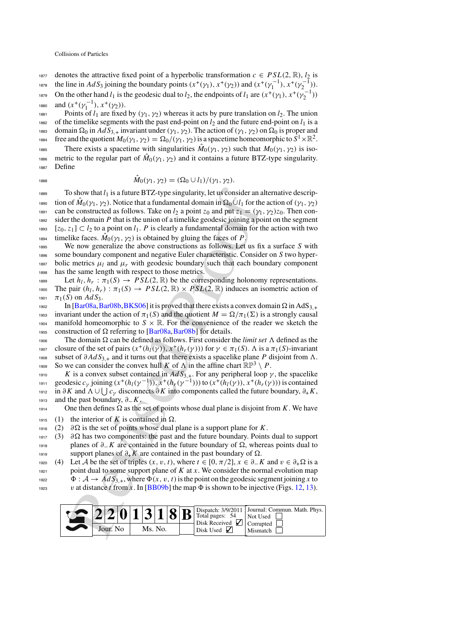1877 denotes the attractive fixed point of a hyperbolic transformation  $c \in PSL(2, \mathbb{R})$ ,  $l_2$  is the line in *AdS*<sub>3</sub> joining the boundary points  $(x^+(\gamma_1), x^+(\gamma_2))$  and  $(x^+(\gamma_1^{-1}), x^+(\gamma_2^{-1}))$ .

On the other hand *l*<sub>1</sub> is the geodesic dual to *l*<sub>2</sub>, the endpoints of *l*<sub>1</sub> are  $(x^+(\gamma_1), x^+(\gamma_2^{-1}))$ 1880 and  $(x^+(\gamma_1^{-1}), x^+(\gamma_2)).$ 

Points of  $l_1$  are fixed by ( $\gamma_1$ ,  $\gamma_2$ ) whereas it acts by pure translation on  $l_2$ . The union 1882 of the timelike segments with the past end-point on  $l_2$  and the future end-point on  $l_1$  is a <sup>1883</sup> domain  $\Omega_0$  in  $AdS_3$  + invariant under (γ<sub>1</sub>, γ<sub>2</sub>). The action of (γ<sub>1</sub>, γ<sub>2</sub>) on  $\Omega_0$  is proper and free and the quotient  $M_0(\gamma_1, \gamma_2) = \Omega_0/(\gamma_1, \gamma_2)$  is a spacetime homeomorphic to  $S^1 \times \mathbb{R}^2$ . There exists a spacetime with singularities  $\hat{M}_0(\gamma_1, \gamma_2)$  such that  $M_0(\gamma_1, \gamma_2)$  is iso-

1886 metric to the regular part of  $\hat{M}_0(\gamma_1, \gamma_2)$  and it contains a future BTZ-type singularity. <sup>1887</sup> Define

$$
\hat{M}_0(\gamma_1, \gamma_2) = (\Omega_0 \cup l_1)/(\gamma_1, \gamma_2).
$$

is ohow that  $l_1$  is a future BTZ-type singularity, let us consi[d](#page-52-22)er an a for  $\delta h_0(\gamma_1, \gamma_2)$ . Notice that a fundamental domain in  $\Omega_0 U_1$  for the domain  $l_1$  cheap of  $\delta h_2(\gamma_1, \gamma_2)$  is obtained by gluing the lake 1889 To show that  $l_1$  is a future BTZ-type singularity, let us consider an alternative description of  $\hat{M}_0(\gamma_1, \gamma_2)$ . Notice that a fundamental domain in  $\Omega_0 \cup l_1$  for the action of (γ<sub>1</sub>, γ<sub>2</sub>) <sup>1891</sup> can be constructed as follows. Take on  $l_2$  a point  $z_0$  and put  $z_1 = (\gamma_1, \gamma_2)z_0$ . Then con- $1892$  sider the domain *P* that is the union of a timelike geodesic joining a point on the segment 1893  $[z_0, z_1] \subset l_2$  to a point on  $l_1$ . *P* is clearly a fundamental domain for the action with two timelike faces.  $M_0(\gamma_1, \gamma_2)$  is obtained by gluing the faces of *P*.

 We now generalize the above constructions as follows. Let us fix a surface *S* with some boundary component and negative Euler characteristic. Consider on *S* two hyper- bolic metrics  $\mu_l$  and  $\mu_r$  with geodesic boundary such that each boundary component has the same length with respect to those metrics.

Let  $h_l$ ,  $h_r : \pi_1(S) \to PSL(2, \mathbb{R})$  be the corresponding holonomy representations. 1900 The pair  $(h_l, h_r)$ :  $\pi_1(S) \to PSL(2, \mathbb{R}) \times PSL(2, \mathbb{R})$  induces an isometric action of 1901  $\pi_1(S)$  on  $AdS_3$ .

1902 In  $\left[\text{Bar08a}, \text{Bar08b}, \text{BKS06}\right]$  it is proved that there exists a convex domain  $\Omega$  in AdS<sub>3,+</sub> 1903 invariant under the action of  $\pi_1(S)$  and the quotient  $M = \Omega/\pi_1(\Sigma)$  is a strongly causal manifold homeomorphic to  $S \times \mathbb{R}$ . For the convenience of the reader we sketch the 1905 construction of  $\Omega$  referring to [Bar08a, Bar08b] for details.

The domain  $\Omega$  can be defined as follows. First consider the *limit set*  $\Lambda$  defined as the closure of the set of pairs  $(x^+(h_l(\gamma)), x^+(h_r(\gamma)))$  for  $\gamma \in \pi_1(S)$ . A is a  $\pi_1(S)$ -invariant subset of  $\partial AdS_{3,+}$  and it turns out that there exists a spacelike plane *P* disjoint from  $\Lambda$ . So we can consider the convex hull *K* of  $\Lambda$  in the affine chart  $\mathbb{RP}^3 \setminus P$ .

1910 *K* is a convex subset contained in  $AdS_{3,+}$ . For any peripheral loop  $\gamma$ , the spacelike geodesic  $c_Y$  joining  $(x^+(h_l(\gamma^{-1})), x^+(h_r(\gamma^{-1})))$  to  $(x^+(h_l(\gamma)), x^+(h_r(\gamma)))$  is contained <sup>1907</sup> closure of the set of pairs  $(x^+(h_I(\gamma)), x^+(h_I(\gamma)))$  for  $\gamma \in \pi_1(S)$ . A is a  $\pi_1(S)$ -invariant subset of  $\partial AdS_{3,+}$  and it turns out that there exists a spacelike plane *P* disjoint from Λ.<br>
So we can consider the co <sup>1913</sup> and the past boundary, ∂−*K*.

One then defines  $\Omega$  as the set of points whose dual plane is disjoint from *K*. We have

1915 (1) the interior of *K* is contained in  $\Omega$ .

1916 (2)  $\partial \Omega$  is the set of points whose dual plane is a support plane for *K*.

1917 (3)  $\partial \Omega$  has two components: the past and the future boundary. Points dual to support  $1918$  planes of  $\partial$ −*K* are contained in the future boundary of  $\Omega$ , whereas points dual to 1919 support planes of  $\partial_{+} K$  are contained in the past boundary of  $\Omega$ .

<sup>1920</sup> (4) Let *A* be the set of triples  $(x, v, t)$ , where  $t \in [0, \pi/2]$ ,  $x \in \partial_- K$  and  $v \in \partial_+ \Omega$  is a point dual to some support plane of *K* at *x*. We consider the normal evolution map point dual to some support plane of  $K$  at  $x$ . We consider the normal evolution map 1922  $\Phi: \mathcal{A} \to AdS_{3,+}$ , where  $\Phi(x, v, t)$  is the point on the geodesic segment joining *x* to <br>1923 v at distance *t* from *x*. In [BB09b] the map  $\Phi$  is shown to be injective (Figs. 12, 13).

v at distance *t* from x. In [BB09b] the map  $\Phi$  is shown to be injective (Figs. [12,](#page-49-0) [13\)](#page-50-0).

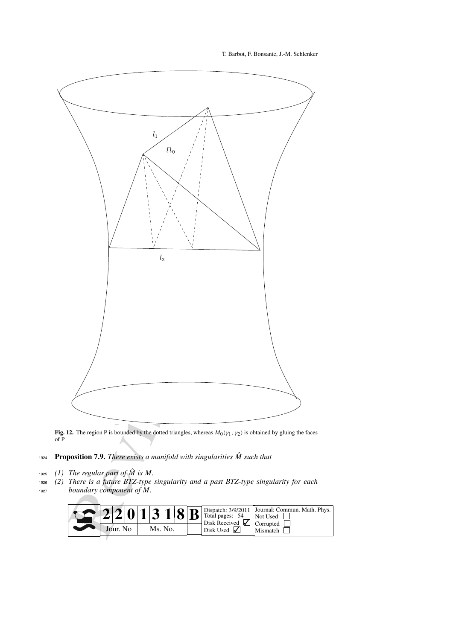T. Barbot, F. Bonsante, J.-M. Schlenker



**Fig. 12.** The region P is bounded by the dotted triangles, whereas  $M_0(\gamma_1, \gamma_2)$  is obtained by gluing the faces of P

# <span id="page-49-0"></span>1924 **Proposition 7.9.** *There exists a manifold with singularities*  $\hat{M}$  such that

- 1925 (1) The regular part of  $\hat{M}$  is M.
- <sup>1926</sup> *(2) There is a future BTZ-type singularity and a past BTZ-type singularity for each* <sup>1927</sup> *boundary component of M.*

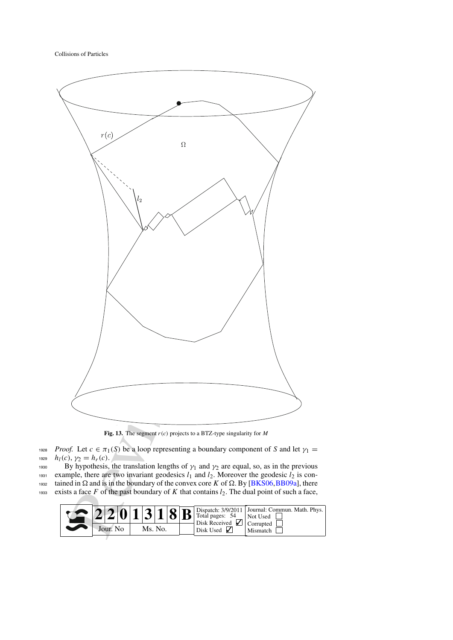

<span id="page-50-0"></span>**Fig. 13.** The segment *r*(*c*) projects to a BTZ-type singularity for *M*

1928 *Proof.* Let  $c \in \pi_1(S)$  be a loop representing a boundary component of S and let  $\gamma_1 =$ 1929  $h_l(c), \gamma_2 = h_r(c).$ 

1930 By hypothesis, the translation lengths of  $\gamma_1$  and  $\gamma_2$  are equal, so, as in the previous 1931 example, there are two invariant geodesics  $l_1$  and  $l_2$ . Moreover the geodesic  $l_2$  is con-1932 tained in  $\Omega$  and is in the boundary of the convex core *K* of  $\Omega$ . By [\[BKS06](#page-52-6)[,BB09a](#page-52-30)], there 1933 exists a face *F* of the past boundary of *K* that contains  $l_2$ . The dual point of such a face,

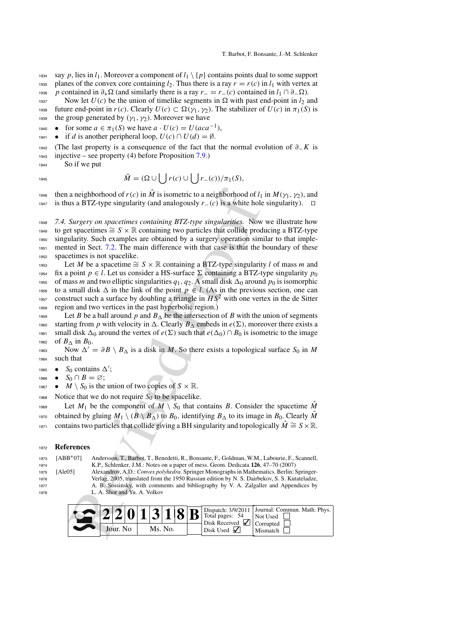1934 say p, lies in  $l_1$ . Moreover a component of  $l_1 \setminus \{p\}$  contains points dual to some support 1935 planes of the convex core containing  $l_2$ . Thus there is a ray  $r = r(c)$  in  $l_1$  with vertex at <sup>1936</sup> *p* contained in  $\partial_+ \Omega$  (and similarly there is a ray  $r_ - = r_-(c)$  contained in  $l_1 \cap \partial_-\Omega$ ).

1937 Now let  $U(c)$  be the union of timelike segments in  $\Omega$  with past end-point in  $l_2$  and 1938 future end-point in *r*(*c*). Clearly *U*(*c*) ⊂ Ω(γ<sub>1</sub>, γ<sub>2</sub>). The stabilizer of *U*(*c*) in  $\pi_1(S)$  is 1939 the group generated by  $(\gamma_1, \gamma_2)$ . Moreover we have

<sup>1940</sup> ● for some *a* ∈  $\pi_1(S)$  we have *a* · *U*(*c*) = *U*(*aca*<sup>-1</sup>).

1940 • Iof some  $a \in \mathbb{R}^1_+$  of  $f$  is another peripheral loop,  $U(c) \cap U(d) = \emptyset$ .

<sup>1942</sup> (The last property is a consequence of the fact that the normal evolution of ∂−*K* is  $_{1943}$  injective – see property (4) before Proposition [7.9.](#page-14-4)

<sup>1944</sup> So if we put

$$
\hat{M} = (\Omega \cup \bigcup r(c) \cup \bigcup r(c))/\pi_1(S),
$$

#### <span id="page-51-3"></span><span id="page-51-2"></span><span id="page-51-1"></span><sup>1972</sup> **References**

<span id="page-51-0"></span>

| 1946<br>1947                                                                                                                                                                                                                                                                                                                                                                                                                                                                                                                                                                            | then a neighborhood of $r(c)$ in M is isometric to a neighborhood of $l_1$ in $M(\gamma_1, \gamma_2)$ , and<br>is thus a BTZ-type singularity (and analogously $r_{-}(c)$ is a white hole singularity).<br>□ |  |  |  |  |  |  |
|-----------------------------------------------------------------------------------------------------------------------------------------------------------------------------------------------------------------------------------------------------------------------------------------------------------------------------------------------------------------------------------------------------------------------------------------------------------------------------------------------------------------------------------------------------------------------------------------|--------------------------------------------------------------------------------------------------------------------------------------------------------------------------------------------------------------|--|--|--|--|--|--|
| 1948                                                                                                                                                                                                                                                                                                                                                                                                                                                                                                                                                                                    | 7.4. Surgery on spacetimes containing BTZ-type singularities. Now we illustrate how                                                                                                                          |  |  |  |  |  |  |
| 1949                                                                                                                                                                                                                                                                                                                                                                                                                                                                                                                                                                                    | to get spacetimes $\cong S \times \mathbb{R}$ containing two particles that collide producing a BTZ-type                                                                                                     |  |  |  |  |  |  |
| 1950                                                                                                                                                                                                                                                                                                                                                                                                                                                                                                                                                                                    | singularity. Such examples are obtained by a surgery operation similar to that imple-                                                                                                                        |  |  |  |  |  |  |
| 1951                                                                                                                                                                                                                                                                                                                                                                                                                                                                                                                                                                                    | mented in Sect. 7.2. The main difference with that case is that the boundary of these                                                                                                                        |  |  |  |  |  |  |
| 1952                                                                                                                                                                                                                                                                                                                                                                                                                                                                                                                                                                                    | spacetimes is not spacelike.                                                                                                                                                                                 |  |  |  |  |  |  |
| 1953                                                                                                                                                                                                                                                                                                                                                                                                                                                                                                                                                                                    | Let M be a spacetime $\cong S \times \mathbb{R}$ containing a BTZ-type singularity l of mass m and                                                                                                           |  |  |  |  |  |  |
| 1954                                                                                                                                                                                                                                                                                                                                                                                                                                                                                                                                                                                    | fix a point $p \in l$ . Let us consider a HS-surface $\Sigma$ containing a BTZ-type singularity $p_0$                                                                                                        |  |  |  |  |  |  |
| 1955                                                                                                                                                                                                                                                                                                                                                                                                                                                                                                                                                                                    | of mass <i>m</i> and two elliptic singularities $q_1$ , $q_2$ . A small disk $\Delta_0$ around $p_0$ is isomorphic                                                                                           |  |  |  |  |  |  |
| 1956                                                                                                                                                                                                                                                                                                                                                                                                                                                                                                                                                                                    | to a small disk $\Delta$ in the link of the point $p \in l$ . (As in the previous section, one can                                                                                                           |  |  |  |  |  |  |
| 1957                                                                                                                                                                                                                                                                                                                                                                                                                                                                                                                                                                                    | construct such a surface by doubling a triangle in $HS^2$ with one vertex in the de Sitter                                                                                                                   |  |  |  |  |  |  |
| 1958                                                                                                                                                                                                                                                                                                                                                                                                                                                                                                                                                                                    | region and two vertices in the past hyperbolic region.)                                                                                                                                                      |  |  |  |  |  |  |
| 1959                                                                                                                                                                                                                                                                                                                                                                                                                                                                                                                                                                                    | Let B be a ball around p and $B_{\Delta}$ be the intersection of B with the union of segments                                                                                                                |  |  |  |  |  |  |
| 1960                                                                                                                                                                                                                                                                                                                                                                                                                                                                                                                                                                                    | starting from p with velocity in $\Delta$ . Clearly $B_{\Delta}$ embeds in $e(\Sigma)$ , moreover there exists a                                                                                             |  |  |  |  |  |  |
| 1961                                                                                                                                                                                                                                                                                                                                                                                                                                                                                                                                                                                    | small disk $\Delta_0$ around the vertex of $e(\Sigma)$ such that $e(\Delta_0) \cap B_0$ is isometric to the image                                                                                            |  |  |  |  |  |  |
| 1962                                                                                                                                                                                                                                                                                                                                                                                                                                                                                                                                                                                    | of $B_{\Lambda}$ in $B_0$ .                                                                                                                                                                                  |  |  |  |  |  |  |
| 1963                                                                                                                                                                                                                                                                                                                                                                                                                                                                                                                                                                                    | Now $\Delta' = \partial B \setminus B_{\Delta}$ is a disk in M. So there exists a topological surface $S_0$ in M                                                                                             |  |  |  |  |  |  |
| 1964                                                                                                                                                                                                                                                                                                                                                                                                                                                                                                                                                                                    | such that                                                                                                                                                                                                    |  |  |  |  |  |  |
| 1965                                                                                                                                                                                                                                                                                                                                                                                                                                                                                                                                                                                    | $S_0$ contains $\Delta'$ ;                                                                                                                                                                                   |  |  |  |  |  |  |
| 1966                                                                                                                                                                                                                                                                                                                                                                                                                                                                                                                                                                                    | $S_0 \cap B = \varnothing;$                                                                                                                                                                                  |  |  |  |  |  |  |
| 1967                                                                                                                                                                                                                                                                                                                                                                                                                                                                                                                                                                                    | $M \setminus S_0$ is the union of two copies of $S \times \mathbb{R}$ .                                                                                                                                      |  |  |  |  |  |  |
| 1968                                                                                                                                                                                                                                                                                                                                                                                                                                                                                                                                                                                    | Notice that we do not require $S_0$ to be spacelike.                                                                                                                                                         |  |  |  |  |  |  |
| 1969                                                                                                                                                                                                                                                                                                                                                                                                                                                                                                                                                                                    | Let $M_1$ be the component of $M \setminus S_0$ that contains B. Consider the spacetime M                                                                                                                    |  |  |  |  |  |  |
| 1970                                                                                                                                                                                                                                                                                                                                                                                                                                                                                                                                                                                    | obtained by gluing $M_1 \setminus (B \setminus B_\Delta)$ to $B_0$ , identifying $B_\Delta$ to its image in $B_0$ . Clearly $\hat{M}$                                                                        |  |  |  |  |  |  |
| 1971                                                                                                                                                                                                                                                                                                                                                                                                                                                                                                                                                                                    | contains two particles that collide giving a BH singularity and topologically $\hat{M} \cong S \times \mathbb{R}$ .                                                                                          |  |  |  |  |  |  |
| 1972                                                                                                                                                                                                                                                                                                                                                                                                                                                                                                                                                                                    | <b>References</b>                                                                                                                                                                                            |  |  |  |  |  |  |
| $[ABB^+07]$<br>Andersson, T., Barbot, T., Benedetti, R., Bonsante, F., Goldman, W.M., Labourie, F., Scannell,<br>1973<br>K.P., Schlenker, J.M.: Notes on a paper of mess. Geom. Dedicata 126, 47–70 (2007)<br>1974<br>[Ale $05$ ]<br>Alexandrov, A.D.: Convex polyhedra. Springer Monographs in Mathematics. Berlin: Springer-<br>1975<br>Verlag, 2005, translated from the 1950 Russian edition by N. S. Dairbekov, S. S. Kutateladze,<br>1976<br>A. B. Sossinsky, with comments and bibliography by V. A. Zalgaller and Appendices by<br>1977<br>L. A. Shor and Yu. A. Volkov<br>1978 |                                                                                                                                                                                                              |  |  |  |  |  |  |
|                                                                                                                                                                                                                                                                                                                                                                                                                                                                                                                                                                                         | Journal: Commun. Math. Ph<br>Dispatch: 3/9/2011<br>B<br>Total pages: 54<br>Not Used<br>Disk Received $\vert \checkmark \vert$<br>Corrupted<br>Jour. No<br>Ms. No.<br>Disk Used $\sqrt{}$<br>Mismatch         |  |  |  |  |  |  |

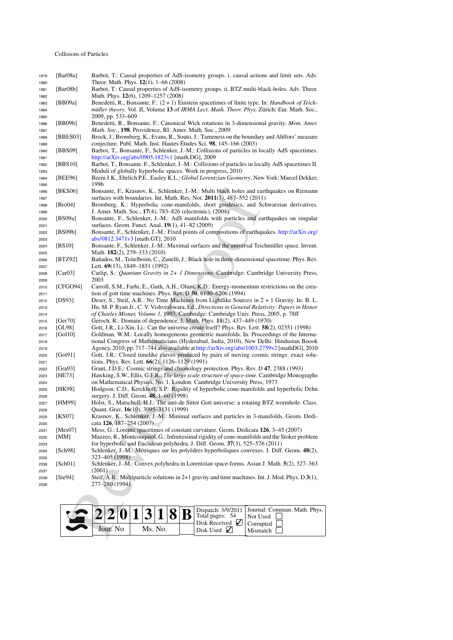<span id="page-52-30"></span><span id="page-52-29"></span><span id="page-52-27"></span><span id="page-52-26"></span><span id="page-52-22"></span><span id="page-52-21"></span><span id="page-52-20"></span><span id="page-52-16"></span><span id="page-52-12"></span><span id="page-52-10"></span><span id="page-52-9"></span><span id="page-52-8"></span><span id="page-52-6"></span><span id="page-52-5"></span><span id="page-52-3"></span><span id="page-52-2"></span>

| 1979         | [Bar08a]    | Barbot, T.: Causal properties of AdS-isometry groups. i. causal actions and limit sets. Adv.                                                                                          |
|--------------|-------------|---------------------------------------------------------------------------------------------------------------------------------------------------------------------------------------|
| 1980         |             | Theor. Math. Phys. $12(1)$ , $1-66(2008)$<br>Barbot, T.: Causal properties of AdS-isometry groups. ii. BTZ multi-black-holes. Adv. Theor.                                             |
| 1981<br>1982 | [Bar08b]    | Math. Phys. 12(6), 1209–1257 (2008)                                                                                                                                                   |
| 1983         | [BB09a]     | Benedetti, R., Bonsante, F.: $(2 + 1)$ Einstein spacetimes of finite type. In: <i>Handbook of Teich</i> -                                                                             |
| 1984         |             | müller theory. Vol. II, Volume 13 of IRMA Lect. Math. Theor. Phys. Zürich: Eur. Math. Soc.,                                                                                           |
| 1985         |             | 2009, pp. 533–609                                                                                                                                                                     |
| 1986         | [BB09b]     | Benedetti, R., Bonsante, F.: Canonical Wick rotations in 3-dimensional gravity. Mem. Amer.                                                                                            |
| 1987         |             | <i>Math. Soc.</i> , 198, Providence, RI: Amer. Math. Soc., 2009                                                                                                                       |
| 1988         | [BBES03]    | Brock, J., Bromberg, K., Evans, R., Souto, J.: Tameness on the boundary and Ahlfors' measure                                                                                          |
| 1989         |             | conjecture. Publ. Math. Inst. Hautes Études Sci. 98, 145-166 (2003)                                                                                                                   |
| 1990         | [BBS09]     | Barbot, T., Bonsante, F., Schlenker, J.-M.: Collisions of particles in locally AdS spacetimes.<br>http://arXiv.org/abs/0905.1823v1 [math.DG], 2009                                    |
| 1991<br>1992 | [BBS10]     | Barbot, T., Bonsante, F., Schlenker, J.-M.: Collisions of particles in locally AdS spacetimes II.                                                                                     |
| 1993         |             | Moduli of globally hyperbolic spaces. Work in progress, 2010                                                                                                                          |
| 1994         | [BEE96]     | Beem J.K., Ehrlich P.E., Easley K.L.: Global Lorentzian Geometry. New York: Marcel Dekker,                                                                                            |
| 1995         |             | 1996                                                                                                                                                                                  |
| 1996         | [BKS06]     | Bonsante, F., Krasnov, K., Schlenker, J.-M.: Multi black holes and earthquakes on Riemann                                                                                             |
| 1997         |             | surfaces with boundaries. Int. Math. Res. Not. 2011(3), 487–552 (2011)                                                                                                                |
| 1998         | [ $Bro04$ ] | Bromberg, K.: Hyperbolic cone-manifolds, short geodesics, and Schwarzian derivatives.                                                                                                 |
| 1999         |             | J. Amer. Math. Soc., 17(4), 783–826 (electronic), (2004)                                                                                                                              |
| 2000         | [BS09a]     | Bonsante, F., Schlenker, J.-M.: AdS manifolds with particles and earthquakes on singular<br>surfaces. Geom. Funct. Anal. 19(1), 41–82 (2009)                                          |
| 2001<br>2002 | [BS09b]     | Bonsante, F., Schlenker, J.-M.: Fixed points of compositions of earthquakes. http://arXiv.org/                                                                                        |
| 2003         |             | abs/0812.3471v3 [math.GT], 2010                                                                                                                                                       |
| 2004         | [BS10]      | Bonsante, F., Schlenker, J.-M.: Maximal surfaces and the universal Teichmüller space. Invent.                                                                                         |
| 2005         |             | Math. 182(2), 279–333 (2010)                                                                                                                                                          |
| 2006         | [BTZ92]     | Bañados, M., Teitelboim, C., Zanelli, J.: Black hole in three-dimensional spacetime. Phys. Rev.                                                                                       |
| 2007         |             | Lett. $69(13)$ , 1849–1851 (1992)                                                                                                                                                     |
| 2008         | [Car03]     | Carlip, S.: Quantum Gravity in 2+ 1 Dimensions. Cambridge: Cambridge University Press,                                                                                                |
| 2009         |             | 2003                                                                                                                                                                                  |
| 2010         | [CFGO94]    | Carroll, S.M., Farhi, E., Guth, A.H., Olum, K.D.: Energy-momentum restrictions on the crea-<br>tion of gott time machines. Phys. Rev. D $50$ , $6190-6206$ (1994)                     |
| 2011<br>2012 | [DS93]      | Deser, S., Steif, A.R.: No Time Machines from Lightlike Sources in $2 + 1$ Gravity. In: B. L.                                                                                         |
| 2013         |             | Hu, M. P. Ryan Jr., C. V. Vishveshwara, Ed., Directions in General Relativity: Papers in Honor                                                                                        |
| 2014         |             | of Charles Misner, Volume 1, 1993, Cambridge: Cambridge Univ. Press, 2005, p. 78ff                                                                                                    |
| 2015         | [Ger70]     | Geroch, R.: Domain of dependence. J. Math. Phys. 11(2), 437-449 (1970)                                                                                                                |
| 2016         | [GL98]      | Gott, J.R., Li-Xin, Li.: Can the universe create itself? Phys. Rev. Lett. 58(2), 02351 (1998)                                                                                         |
| 2017         | [60110]     | Goldman, W.M.: Locally homogeneous geometric manifolds. In: Proceedings of the Interna-                                                                                               |
| 2018         |             | tional Congress of Mathematicians (Hyderabad, India, 2010), New Delhi: Hindustan Boook<br>Agency, 2010, pp. 717–744 also available at http://arXiv.org/abs/1003.2759v2 [mathDG], 2010 |
| 2019<br>2020 | [Got91]     | Gott, J.R.: Closed timelike curves produced by pairs of moving cosmic strings: exact solu-                                                                                            |
| 2021         |             | tions. Phys. Rev. Lett. $66(2)$ , 1126–1129 (1991)                                                                                                                                    |
| 2022         | [Gra $93$ ] | Grant, J.D.E.: Cosmic strings and chronology protection. Phys. Rev. D 47, 2388 (1993)                                                                                                 |
| 2023         | [HE73]      | Hawking, S.W., Ellis, G.F.R.: The large scale structure of space-time. Cambridge Monographs                                                                                           |
| 2024         |             | on Mathematical Physics, No. 1. London: Cambridge University Press, 1973                                                                                                              |
| 2025         | [HK98]      | Hodgson, C.D., Kerckhoff, S.P.: Rigidity of hyperbolic cone-manifolds and hyperbolic Dehn                                                                                             |
| 2026         |             | surgery. J. Diff. Geom. 48, 1–60 (1998)                                                                                                                                               |
| 2027         | [HM99]      | Holst, S., Matschull, H.J.: The anti-de Sitter Gott universe: a rotating BTZ wormhole. Class.<br>Quant. Grav. 16(10), 3095-3131 (1999)                                                |
| 2028         | [KS07]      | Krasnov, K., Schlenker, J.-M.: Minimal surfaces and particles in 3-manifolds. Geom. Dedi-                                                                                             |
| 2029<br>2030 |             | cata 126, 187-254 (2007).                                                                                                                                                             |
| 2031         | [ $Mes07$ ] | Mess, G.: Lorentz spacetimes of constant curvature. Geom. Dedicata 126, 3-45 (2007)                                                                                                   |
| 2032         | [MM]        | Mazzeo, R., Montcouquiol, G.: Infinitesimal rigidity of cone-manifolds and the Stoker problem                                                                                         |
| 2033         |             | for hyperbolic and Euclidean polyhedra. J. Diff. Geom. $37(3)$ , 525–576 (2011)                                                                                                       |
| 2034         | [Sch98]     | Schlenker, J.-M.: Métriques sur les polyèdres hyperboliques convexes. J. Diff. Geom. 48(2),                                                                                           |
| 2035         |             | 323–405 (1998)                                                                                                                                                                        |
| 2036         | [Sch01]     | Schlenker, J.-M.: Convex polyhedra in Lorentzian space-forms. Asian J. Math. 5(2), 327-363                                                                                            |
| 2037<br>2038 | [ $Ste94$ ] | (2001)<br>Steif, A.R.: Multiparticle solutions in 2+1 gravity and time machines. Int. J. Mod. Phys. D $3(1)$ ,                                                                        |
| 2039         |             | 277-280 (1994)                                                                                                                                                                        |
|              |             |                                                                                                                                                                                       |
|              |             |                                                                                                                                                                                       |
|              |             |                                                                                                                                                                                       |
|              |             | Dispatch: 3/9/2011<br>Journal: Commun. Math. Phys.<br>8<br>B<br>3<br>Total pages: 54<br>Not Used                                                                                      |
|              |             | Disk Received $\sqrt{\phantom{a}}$<br>Corrupted                                                                                                                                       |
|              |             | Jour. No<br>Ms. No.<br>Disk Used $\blacksquare$<br>Mismatch                                                                                                                           |
|              |             |                                                                                                                                                                                       |

<span id="page-52-28"></span><span id="page-52-25"></span><span id="page-52-24"></span><span id="page-52-23"></span><span id="page-52-19"></span><span id="page-52-18"></span><span id="page-52-17"></span><span id="page-52-15"></span><span id="page-52-14"></span><span id="page-52-13"></span><span id="page-52-11"></span><span id="page-52-7"></span><span id="page-52-4"></span><span id="page-52-1"></span><span id="page-52-0"></span>